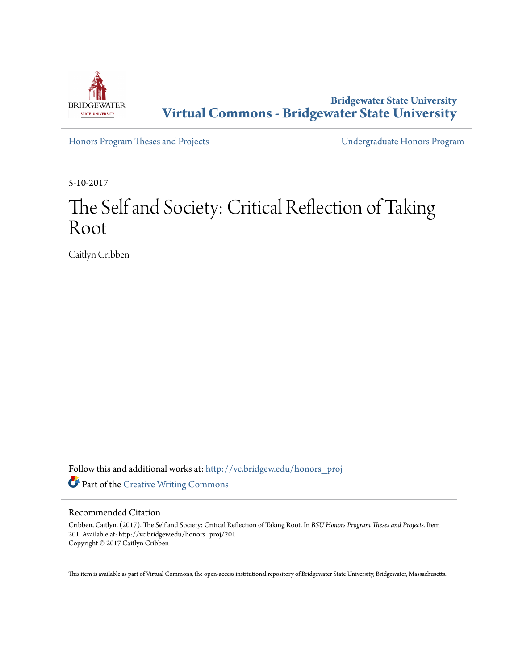

**Bridgewater State University [Virtual Commons - Bridgewater State University](http://vc.bridgew.edu?utm_source=vc.bridgew.edu%2Fhonors_proj%2F201&utm_medium=PDF&utm_campaign=PDFCoverPages)**

[Honors Program Theses and Projects](http://vc.bridgew.edu/honors_proj?utm_source=vc.bridgew.edu%2Fhonors_proj%2F201&utm_medium=PDF&utm_campaign=PDFCoverPages) [Undergraduate Honors Program](http://vc.bridgew.edu/honors?utm_source=vc.bridgew.edu%2Fhonors_proj%2F201&utm_medium=PDF&utm_campaign=PDFCoverPages)

5-10-2017

# The Self and Society: Critical Reflection of Taking Root

Caitlyn Cribben

Follow this and additional works at: [http://vc.bridgew.edu/honors\\_proj](http://vc.bridgew.edu/honors_proj?utm_source=vc.bridgew.edu%2Fhonors_proj%2F201&utm_medium=PDF&utm_campaign=PDFCoverPages) Part of the [Creative Writing Commons](http://network.bepress.com/hgg/discipline/574?utm_source=vc.bridgew.edu%2Fhonors_proj%2F201&utm_medium=PDF&utm_campaign=PDFCoverPages)

#### Recommended Citation

Cribben, Caitlyn. (2017). The Self and Society: Critical Reflection of Taking Root. In *BSU Honors Program Theses and Projects.* Item 201. Available at: http://vc.bridgew.edu/honors\_proj/201 Copyright © 2017 Caitlyn Cribben

This item is available as part of Virtual Commons, the open-access institutional repository of Bridgewater State University, Bridgewater, Massachusetts.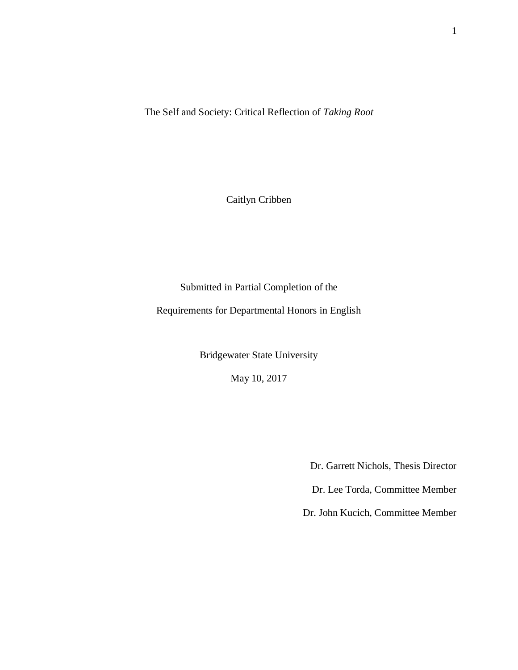The Self and Society: Critical Reflection of *Taking Root*

Caitlyn Cribben

Submitted in Partial Completion of the

Requirements for Departmental Honors in English

Bridgewater State University

May 10, 2017

Dr. Garrett Nichols, Thesis Director

Dr. Lee Torda, Committee Member

Dr. John Kucich, Committee Member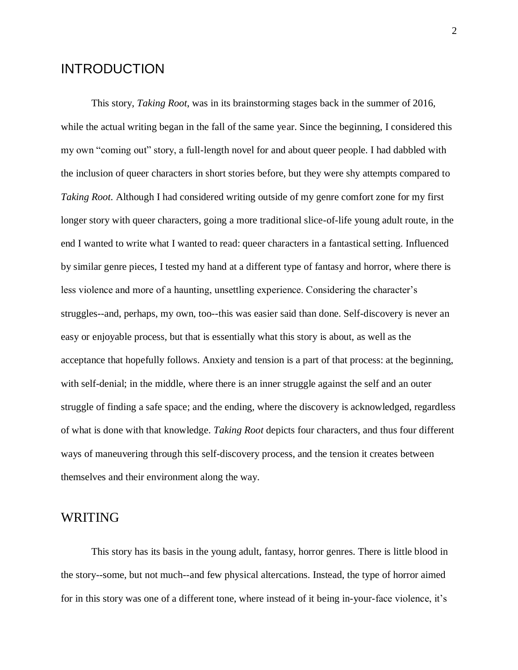# INTRODUCTION

This story, *Taking Root*, was in its brainstorming stages back in the summer of 2016, while the actual writing began in the fall of the same year. Since the beginning, I considered this my own "coming out" story, a full-length novel for and about queer people. I had dabbled with the inclusion of queer characters in short stories before, but they were shy attempts compared to *Taking Root*. Although I had considered writing outside of my genre comfort zone for my first longer story with queer characters, going a more traditional slice-of-life young adult route, in the end I wanted to write what I wanted to read: queer characters in a fantastical setting. Influenced by similar genre pieces, I tested my hand at a different type of fantasy and horror, where there is less violence and more of a haunting, unsettling experience. Considering the character's struggles--and, perhaps, my own, too--this was easier said than done. Self-discovery is never an easy or enjoyable process, but that is essentially what this story is about, as well as the acceptance that hopefully follows. Anxiety and tension is a part of that process: at the beginning, with self-denial; in the middle, where there is an inner struggle against the self and an outer struggle of finding a safe space; and the ending, where the discovery is acknowledged, regardless of what is done with that knowledge. *Taking Root* depicts four characters, and thus four different ways of maneuvering through this self-discovery process, and the tension it creates between themselves and their environment along the way.

### WRITING

This story has its basis in the young adult, fantasy, horror genres. There is little blood in the story--some, but not much--and few physical altercations. Instead, the type of horror aimed for in this story was one of a different tone, where instead of it being in-your-face violence, it's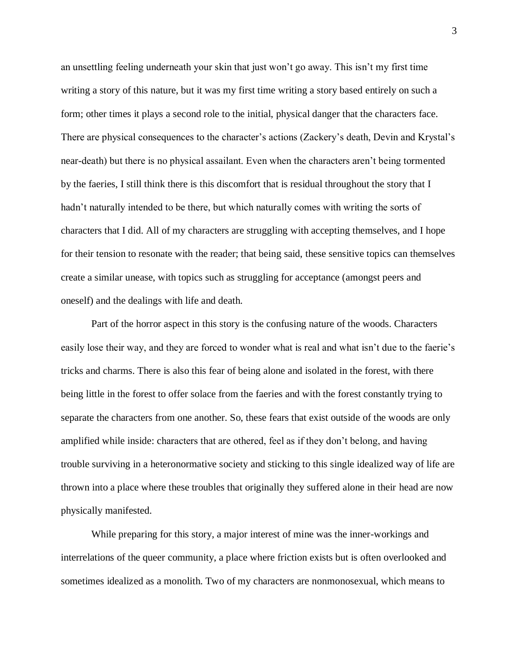an unsettling feeling underneath your skin that just won't go away. This isn't my first time writing a story of this nature, but it was my first time writing a story based entirely on such a form; other times it plays a second role to the initial, physical danger that the characters face. There are physical consequences to the character's actions (Zackery's death, Devin and Krystal's near-death) but there is no physical assailant. Even when the characters aren't being tormented by the faeries, I still think there is this discomfort that is residual throughout the story that I hadn't naturally intended to be there, but which naturally comes with writing the sorts of characters that I did. All of my characters are struggling with accepting themselves, and I hope for their tension to resonate with the reader; that being said, these sensitive topics can themselves create a similar unease, with topics such as struggling for acceptance (amongst peers and oneself) and the dealings with life and death.

Part of the horror aspect in this story is the confusing nature of the woods. Characters easily lose their way, and they are forced to wonder what is real and what isn't due to the faerie's tricks and charms. There is also this fear of being alone and isolated in the forest, with there being little in the forest to offer solace from the faeries and with the forest constantly trying to separate the characters from one another. So, these fears that exist outside of the woods are only amplified while inside: characters that are othered, feel as if they don't belong, and having trouble surviving in a heteronormative society and sticking to this single idealized way of life are thrown into a place where these troubles that originally they suffered alone in their head are now physically manifested.

While preparing for this story, a major interest of mine was the inner-workings and interrelations of the queer community, a place where friction exists but is often overlooked and sometimes idealized as a monolith. Two of my characters are nonmonosexual, which means to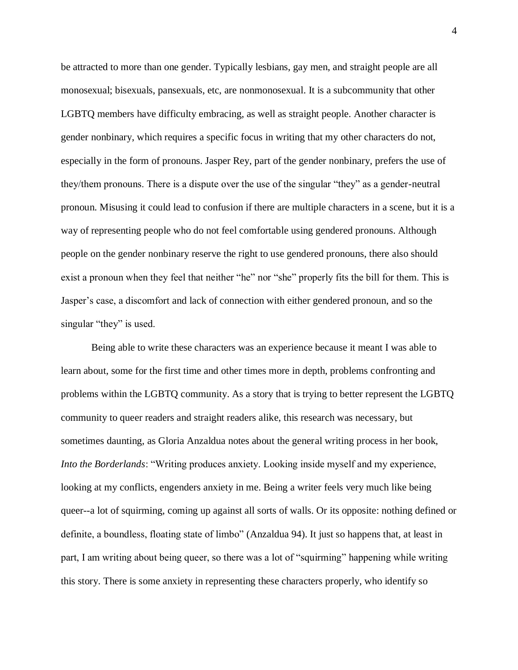be attracted to more than one gender. Typically lesbians, gay men, and straight people are all monosexual; bisexuals, pansexuals, etc, are nonmonosexual. It is a subcommunity that other LGBTQ members have difficulty embracing, as well as straight people. Another character is gender nonbinary, which requires a specific focus in writing that my other characters do not, especially in the form of pronouns. Jasper Rey, part of the gender nonbinary, prefers the use of they/them pronouns. There is a dispute over the use of the singular "they" as a gender-neutral pronoun. Misusing it could lead to confusion if there are multiple characters in a scene, but it is a way of representing people who do not feel comfortable using gendered pronouns. Although people on the gender nonbinary reserve the right to use gendered pronouns, there also should exist a pronoun when they feel that neither "he" nor "she" properly fits the bill for them. This is Jasper's case, a discomfort and lack of connection with either gendered pronoun, and so the singular "they" is used.

Being able to write these characters was an experience because it meant I was able to learn about, some for the first time and other times more in depth, problems confronting and problems within the LGBTQ community. As a story that is trying to better represent the LGBTQ community to queer readers and straight readers alike, this research was necessary, but sometimes daunting, as Gloria Anzaldua notes about the general writing process in her book, *Into the Borderlands*: "Writing produces anxiety. Looking inside myself and my experience, looking at my conflicts, engenders anxiety in me. Being a writer feels very much like being queer--a lot of squirming, coming up against all sorts of walls. Or its opposite: nothing defined or definite, a boundless, floating state of limbo" (Anzaldua 94). It just so happens that, at least in part, I am writing about being queer, so there was a lot of "squirming" happening while writing this story. There is some anxiety in representing these characters properly, who identify so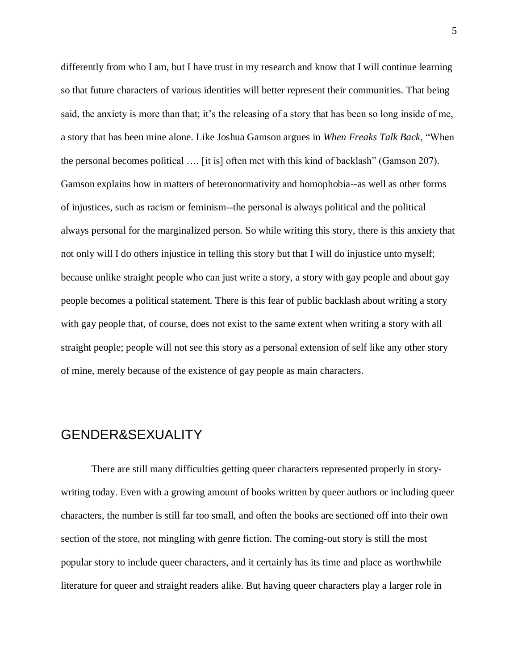differently from who I am, but I have trust in my research and know that I will continue learning so that future characters of various identities will better represent their communities. That being said, the anxiety is more than that; it's the releasing of a story that has been so long inside of me, a story that has been mine alone. Like Joshua Gamson argues in *When Freaks Talk Back*, "When the personal becomes political …. [it is] often met with this kind of backlash" (Gamson 207). Gamson explains how in matters of heteronormativity and homophobia--as well as other forms of injustices, such as racism or feminism--the personal is always political and the political always personal for the marginalized person. So while writing this story, there is this anxiety that not only will I do others injustice in telling this story but that I will do injustice unto myself; because unlike straight people who can just write a story, a story with gay people and about gay people becomes a political statement. There is this fear of public backlash about writing a story with gay people that, of course, does not exist to the same extent when writing a story with all straight people; people will not see this story as a personal extension of self like any other story of mine, merely because of the existence of gay people as main characters.

# GENDER&SEXUALITY

There are still many difficulties getting queer characters represented properly in storywriting today. Even with a growing amount of books written by queer authors or including queer characters, the number is still far too small, and often the books are sectioned off into their own section of the store, not mingling with genre fiction. The coming-out story is still the most popular story to include queer characters, and it certainly has its time and place as worthwhile literature for queer and straight readers alike. But having queer characters play a larger role in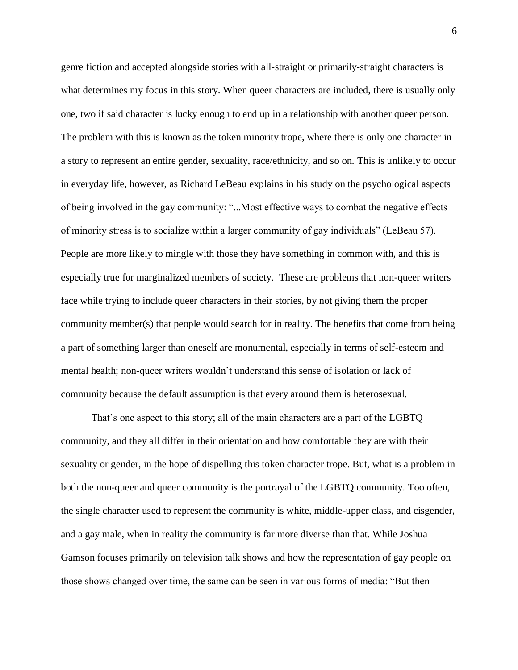genre fiction and accepted alongside stories with all-straight or primarily-straight characters is what determines my focus in this story. When queer characters are included, there is usually only one, two if said character is lucky enough to end up in a relationship with another queer person. The problem with this is known as the token minority trope, where there is only one character in a story to represent an entire gender, sexuality, race/ethnicity, and so on. This is unlikely to occur in everyday life, however, as Richard LeBeau explains in his study on the psychological aspects of being involved in the gay community: "...Most effective ways to combat the negative effects of minority stress is to socialize within a larger community of gay individuals" (LeBeau 57). People are more likely to mingle with those they have something in common with, and this is especially true for marginalized members of society. These are problems that non-queer writers face while trying to include queer characters in their stories, by not giving them the proper community member(s) that people would search for in reality. The benefits that come from being a part of something larger than oneself are monumental, especially in terms of self-esteem and mental health; non-queer writers wouldn't understand this sense of isolation or lack of community because the default assumption is that every around them is heterosexual.

That's one aspect to this story; all of the main characters are a part of the LGBTQ community, and they all differ in their orientation and how comfortable they are with their sexuality or gender, in the hope of dispelling this token character trope. But, what is a problem in both the non-queer and queer community is the portrayal of the LGBTQ community. Too often, the single character used to represent the community is white, middle-upper class, and cisgender, and a gay male, when in reality the community is far more diverse than that. While Joshua Gamson focuses primarily on television talk shows and how the representation of gay people on those shows changed over time, the same can be seen in various forms of media: "But then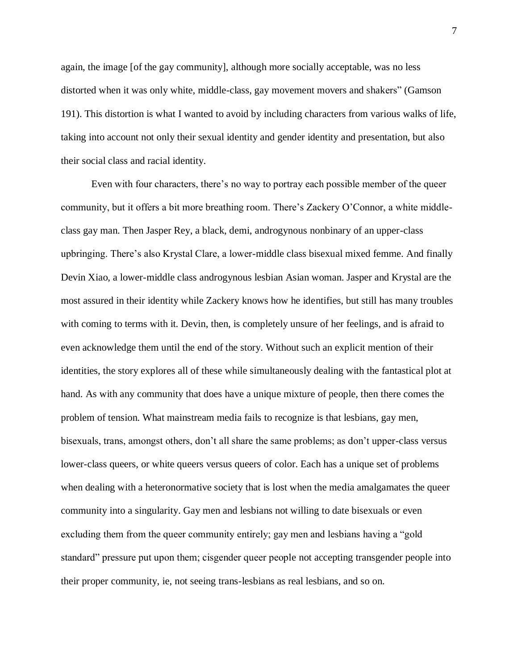again, the image [of the gay community], although more socially acceptable, was no less distorted when it was only white, middle-class, gay movement movers and shakers" (Gamson 191). This distortion is what I wanted to avoid by including characters from various walks of life, taking into account not only their sexual identity and gender identity and presentation, but also their social class and racial identity.

Even with four characters, there's no way to portray each possible member of the queer community, but it offers a bit more breathing room. There's Zackery O'Connor, a white middleclass gay man. Then Jasper Rey, a black, demi, androgynous nonbinary of an upper-class upbringing. There's also Krystal Clare, a lower-middle class bisexual mixed femme. And finally Devin Xiao, a lower-middle class androgynous lesbian Asian woman. Jasper and Krystal are the most assured in their identity while Zackery knows how he identifies, but still has many troubles with coming to terms with it. Devin, then, is completely unsure of her feelings, and is afraid to even acknowledge them until the end of the story. Without such an explicit mention of their identities, the story explores all of these while simultaneously dealing with the fantastical plot at hand. As with any community that does have a unique mixture of people, then there comes the problem of tension. What mainstream media fails to recognize is that lesbians, gay men, bisexuals, trans, amongst others, don't all share the same problems; as don't upper-class versus lower-class queers, or white queers versus queers of color. Each has a unique set of problems when dealing with a heteronormative society that is lost when the media amalgamates the queer community into a singularity. Gay men and lesbians not willing to date bisexuals or even excluding them from the queer community entirely; gay men and lesbians having a "gold standard" pressure put upon them; cisgender queer people not accepting transgender people into their proper community, ie, not seeing trans-lesbians as real lesbians, and so on.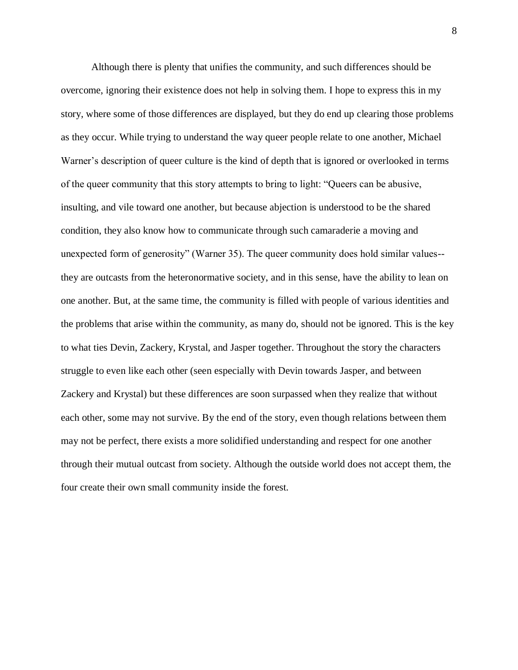Although there is plenty that unifies the community, and such differences should be overcome, ignoring their existence does not help in solving them. I hope to express this in my story, where some of those differences are displayed, but they do end up clearing those problems as they occur. While trying to understand the way queer people relate to one another, Michael Warner's description of queer culture is the kind of depth that is ignored or overlooked in terms of the queer community that this story attempts to bring to light: "Queers can be abusive, insulting, and vile toward one another, but because abjection is understood to be the shared condition, they also know how to communicate through such camaraderie a moving and unexpected form of generosity" (Warner 35). The queer community does hold similar values- they are outcasts from the heteronormative society, and in this sense, have the ability to lean on one another. But, at the same time, the community is filled with people of various identities and the problems that arise within the community, as many do, should not be ignored. This is the key to what ties Devin, Zackery, Krystal, and Jasper together. Throughout the story the characters struggle to even like each other (seen especially with Devin towards Jasper, and between Zackery and Krystal) but these differences are soon surpassed when they realize that without each other, some may not survive. By the end of the story, even though relations between them may not be perfect, there exists a more solidified understanding and respect for one another through their mutual outcast from society. Although the outside world does not accept them, the four create their own small community inside the forest.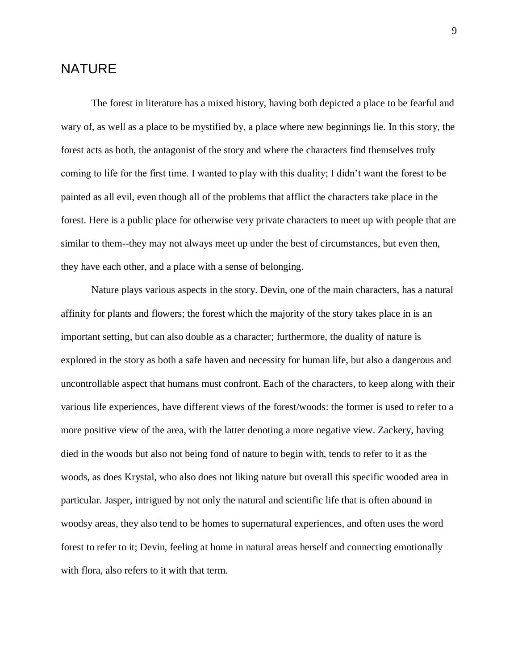### NATURE

The forest in literature has a mixed history, having both depicted a place to be fearful and wary of, as well as a place to be mystified by, a place where new beginnings lie. In this story, the forest acts as both, the antagonist of the story and where the characters find themselves truly coming to life for the first time. I wanted to play with this duality; I didn't want the forest to be painted as all evil, even though all of the problems that afflict the characters take place in the forest. Here is a public place for otherwise very private characters to meet up with people that are similar to them--they may not always meet up under the best of circumstances, but even then, they have each other, and a place with a sense of belonging.

Nature plays various aspects in the story. Devin, one of the main characters, has a natural affinity for plants and flowers; the forest which the majority of the story takes place in is an important setting, but can also double as a character; furthermore, the duality of nature is explored in the story as both a safe haven and necessity for human life, but also a dangerous and uncontrollable aspect that humans must confront. Each of the characters, to keep along with their various life experiences, have different views of the forest/woods: the former is used to refer to a more positive view of the area, with the latter denoting a more negative view. Zackery, having died in the woods but also not being fond of nature to begin with, tends to refer to it as the woods, as does Krystal, who also does not liking nature but overall this specific wooded area in particular. Jasper, intrigued by not only the natural and scientific life that is often abound in woodsy areas, they also tend to be homes to supernatural experiences, and often uses the word forest to refer to it; Devin, feeling at home in natural areas herself and connecting emotionally with flora, also refers to it with that term.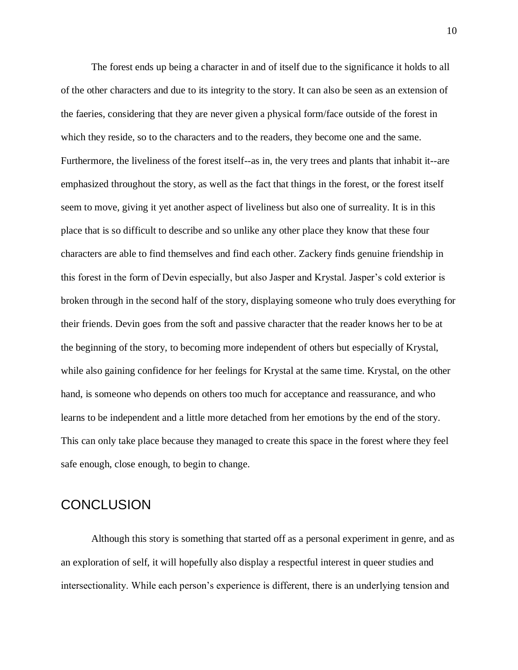The forest ends up being a character in and of itself due to the significance it holds to all of the other characters and due to its integrity to the story. It can also be seen as an extension of the faeries, considering that they are never given a physical form/face outside of the forest in which they reside, so to the characters and to the readers, they become one and the same. Furthermore, the liveliness of the forest itself--as in, the very trees and plants that inhabit it--are emphasized throughout the story, as well as the fact that things in the forest, or the forest itself seem to move, giving it yet another aspect of liveliness but also one of surreality. It is in this place that is so difficult to describe and so unlike any other place they know that these four characters are able to find themselves and find each other. Zackery finds genuine friendship in this forest in the form of Devin especially, but also Jasper and Krystal. Jasper's cold exterior is broken through in the second half of the story, displaying someone who truly does everything for their friends. Devin goes from the soft and passive character that the reader knows her to be at the beginning of the story, to becoming more independent of others but especially of Krystal, while also gaining confidence for her feelings for Krystal at the same time. Krystal, on the other hand, is someone who depends on others too much for acceptance and reassurance, and who learns to be independent and a little more detached from her emotions by the end of the story. This can only take place because they managed to create this space in the forest where they feel safe enough, close enough, to begin to change.

### **CONCLUSION**

Although this story is something that started off as a personal experiment in genre, and as an exploration of self, it will hopefully also display a respectful interest in queer studies and intersectionality. While each person's experience is different, there is an underlying tension and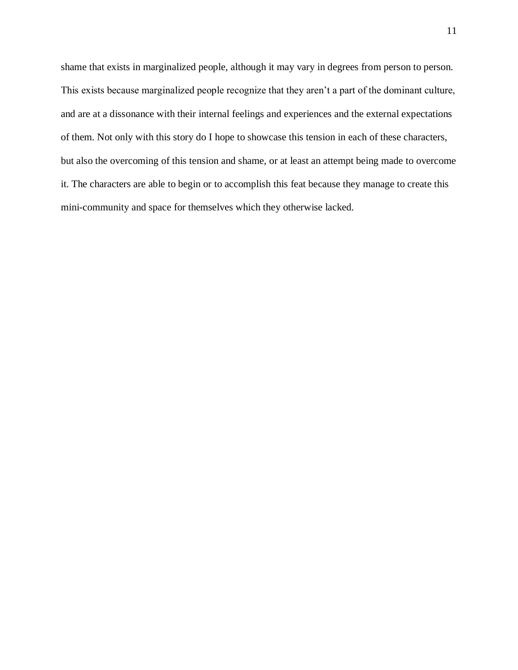shame that exists in marginalized people, although it may vary in degrees from person to person. This exists because marginalized people recognize that they aren't a part of the dominant culture, and are at a dissonance with their internal feelings and experiences and the external expectations of them. Not only with this story do I hope to showcase this tension in each of these characters, but also the overcoming of this tension and shame, or at least an attempt being made to overcome it. The characters are able to begin or to accomplish this feat because they manage to create this mini-community and space for themselves which they otherwise lacked.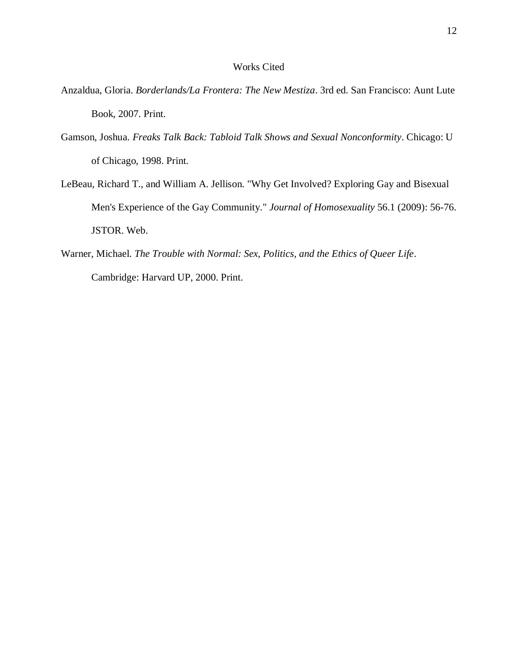#### Works Cited

- Anzaldua, Gloria. *Borderlands/La Frontera: The New Mestiza*. 3rd ed. San Francisco: Aunt Lute Book, 2007. Print.
- Gamson, Joshua. *Freaks Talk Back: Tabloid Talk Shows and Sexual Nonconformity*. Chicago: U of Chicago, 1998. Print.
- LeBeau, Richard T., and William A. Jellison. "Why Get Involved? Exploring Gay and Bisexual Men's Experience of the Gay Community." *Journal of Homosexuality* 56.1 (2009): 56-76. JSTOR. Web.
- Warner, Michael. *The Trouble with Normal: Sex, Politics, and the Ethics of Queer Life*. Cambridge: Harvard UP, 2000. Print.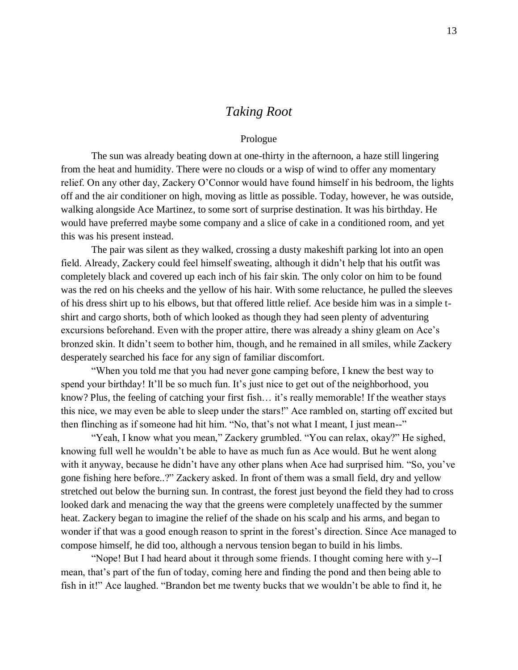### *Taking Root*

#### Prologue

The sun was already beating down at one-thirty in the afternoon, a haze still lingering from the heat and humidity. There were no clouds or a wisp of wind to offer any momentary relief. On any other day, Zackery O'Connor would have found himself in his bedroom, the lights off and the air conditioner on high, moving as little as possible. Today, however, he was outside, walking alongside Ace Martinez, to some sort of surprise destination. It was his birthday. He would have preferred maybe some company and a slice of cake in a conditioned room, and yet this was his present instead.

The pair was silent as they walked, crossing a dusty makeshift parking lot into an open field. Already, Zackery could feel himself sweating, although it didn't help that his outfit was completely black and covered up each inch of his fair skin. The only color on him to be found was the red on his cheeks and the yellow of his hair. With some reluctance, he pulled the sleeves of his dress shirt up to his elbows, but that offered little relief. Ace beside him was in a simple tshirt and cargo shorts, both of which looked as though they had seen plenty of adventuring excursions beforehand. Even with the proper attire, there was already a shiny gleam on Ace's bronzed skin. It didn't seem to bother him, though, and he remained in all smiles, while Zackery desperately searched his face for any sign of familiar discomfort.

"When you told me that you had never gone camping before, I knew the best way to spend your birthday! It'll be so much fun. It's just nice to get out of the neighborhood, you know? Plus, the feeling of catching your first fish… it's really memorable! If the weather stays this nice, we may even be able to sleep under the stars!" Ace rambled on, starting off excited but then flinching as if someone had hit him. "No, that's not what I meant, I just mean--"

"Yeah, I know what you mean," Zackery grumbled. "You can relax, okay?" He sighed, knowing full well he wouldn't be able to have as much fun as Ace would. But he went along with it anyway, because he didn't have any other plans when Ace had surprised him. "So, you've gone fishing here before..?" Zackery asked. In front of them was a small field, dry and yellow stretched out below the burning sun. In contrast, the forest just beyond the field they had to cross looked dark and menacing the way that the greens were completely unaffected by the summer heat. Zackery began to imagine the relief of the shade on his scalp and his arms, and began to wonder if that was a good enough reason to sprint in the forest's direction. Since Ace managed to compose himself, he did too, although a nervous tension began to build in his limbs.

"Nope! But I had heard about it through some friends. I thought coming here with y--I mean, that's part of the fun of today, coming here and finding the pond and then being able to fish in it!" Ace laughed. "Brandon bet me twenty bucks that we wouldn't be able to find it, he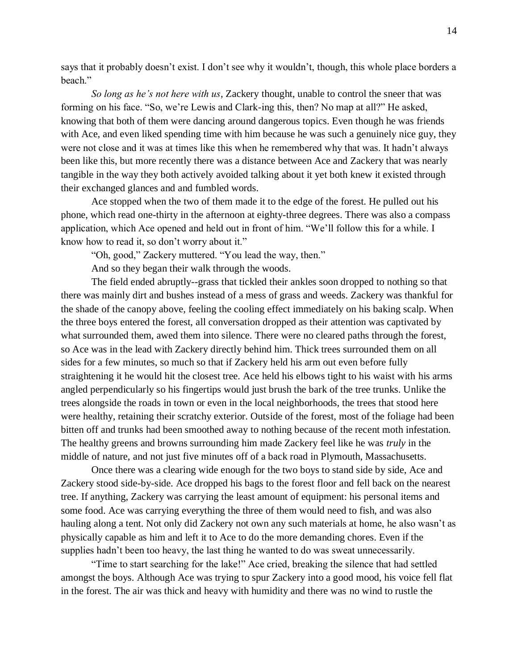says that it probably doesn't exist. I don't see why it wouldn't, though, this whole place borders a heach"

*So long as he's not here with us*, Zackery thought, unable to control the sneer that was forming on his face. "So, we're Lewis and Clark-ing this, then? No map at all?" He asked, knowing that both of them were dancing around dangerous topics. Even though he was friends with Ace, and even liked spending time with him because he was such a genuinely nice guy, they were not close and it was at times like this when he remembered why that was. It hadn't always been like this, but more recently there was a distance between Ace and Zackery that was nearly tangible in the way they both actively avoided talking about it yet both knew it existed through their exchanged glances and and fumbled words.

Ace stopped when the two of them made it to the edge of the forest. He pulled out his phone, which read one-thirty in the afternoon at eighty-three degrees. There was also a compass application, which Ace opened and held out in front of him. "We'll follow this for a while. I know how to read it, so don't worry about it."

"Oh, good," Zackery muttered. "You lead the way, then."

And so they began their walk through the woods.

The field ended abruptly--grass that tickled their ankles soon dropped to nothing so that there was mainly dirt and bushes instead of a mess of grass and weeds. Zackery was thankful for the shade of the canopy above, feeling the cooling effect immediately on his baking scalp. When the three boys entered the forest, all conversation dropped as their attention was captivated by what surrounded them, awed them into silence. There were no cleared paths through the forest, so Ace was in the lead with Zackery directly behind him. Thick trees surrounded them on all sides for a few minutes, so much so that if Zackery held his arm out even before fully straightening it he would hit the closest tree. Ace held his elbows tight to his waist with his arms angled perpendicularly so his fingertips would just brush the bark of the tree trunks. Unlike the trees alongside the roads in town or even in the local neighborhoods, the trees that stood here were healthy, retaining their scratchy exterior. Outside of the forest, most of the foliage had been bitten off and trunks had been smoothed away to nothing because of the recent moth infestation. The healthy greens and browns surrounding him made Zackery feel like he was *truly* in the middle of nature, and not just five minutes off of a back road in Plymouth, Massachusetts.

Once there was a clearing wide enough for the two boys to stand side by side, Ace and Zackery stood side-by-side. Ace dropped his bags to the forest floor and fell back on the nearest tree. If anything, Zackery was carrying the least amount of equipment: his personal items and some food. Ace was carrying everything the three of them would need to fish, and was also hauling along a tent. Not only did Zackery not own any such materials at home, he also wasn't as physically capable as him and left it to Ace to do the more demanding chores. Even if the supplies hadn't been too heavy, the last thing he wanted to do was sweat unnecessarily.

"Time to start searching for the lake!" Ace cried, breaking the silence that had settled amongst the boys. Although Ace was trying to spur Zackery into a good mood, his voice fell flat in the forest. The air was thick and heavy with humidity and there was no wind to rustle the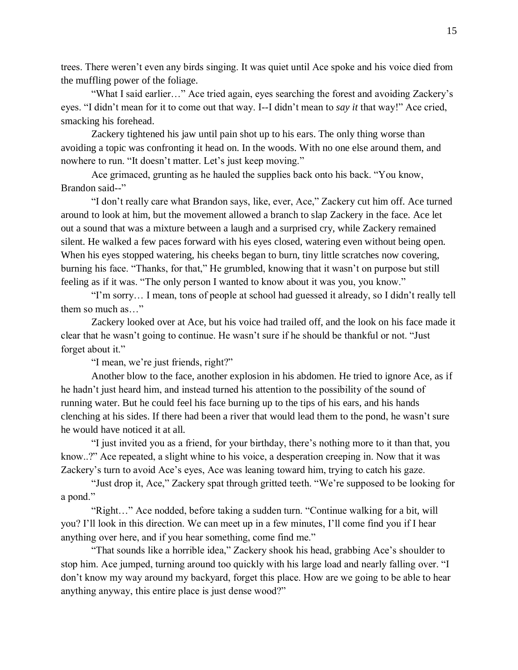trees. There weren't even any birds singing. It was quiet until Ace spoke and his voice died from the muffling power of the foliage.

"What I said earlier…" Ace tried again, eyes searching the forest and avoiding Zackery's eyes. "I didn't mean for it to come out that way. I--I didn't mean to *say it* that way!" Ace cried, smacking his forehead.

Zackery tightened his jaw until pain shot up to his ears. The only thing worse than avoiding a topic was confronting it head on. In the woods. With no one else around them, and nowhere to run. "It doesn't matter. Let's just keep moving."

Ace grimaced, grunting as he hauled the supplies back onto his back. "You know, Brandon said--"

"I don't really care what Brandon says, like, ever, Ace," Zackery cut him off. Ace turned around to look at him, but the movement allowed a branch to slap Zackery in the face. Ace let out a sound that was a mixture between a laugh and a surprised cry, while Zackery remained silent. He walked a few paces forward with his eyes closed, watering even without being open. When his eyes stopped watering, his cheeks began to burn, tiny little scratches now covering, burning his face. "Thanks, for that," He grumbled, knowing that it wasn't on purpose but still feeling as if it was. "The only person I wanted to know about it was you, you know."

"I'm sorry… I mean, tons of people at school had guessed it already, so I didn't really tell them so much as…"

Zackery looked over at Ace, but his voice had trailed off, and the look on his face made it clear that he wasn't going to continue. He wasn't sure if he should be thankful or not. "Just forget about it."

"I mean, we're just friends, right?"

Another blow to the face, another explosion in his abdomen. He tried to ignore Ace, as if he hadn't just heard him, and instead turned his attention to the possibility of the sound of running water. But he could feel his face burning up to the tips of his ears, and his hands clenching at his sides. If there had been a river that would lead them to the pond, he wasn't sure he would have noticed it at all.

"I just invited you as a friend, for your birthday, there's nothing more to it than that, you know..?" Ace repeated, a slight whine to his voice, a desperation creeping in. Now that it was Zackery's turn to avoid Ace's eyes, Ace was leaning toward him, trying to catch his gaze.

"Just drop it, Ace," Zackery spat through gritted teeth. "We're supposed to be looking for a pond."

"Right…" Ace nodded, before taking a sudden turn. "Continue walking for a bit, will you? I'll look in this direction. We can meet up in a few minutes, I'll come find you if I hear anything over here, and if you hear something, come find me."

"That sounds like a horrible idea," Zackery shook his head, grabbing Ace's shoulder to stop him. Ace jumped, turning around too quickly with his large load and nearly falling over. "I don't know my way around my backyard, forget this place. How are we going to be able to hear anything anyway, this entire place is just dense wood?"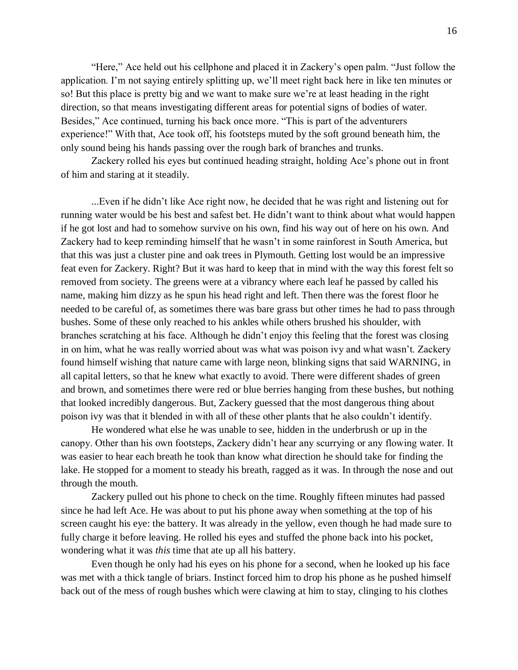"Here," Ace held out his cellphone and placed it in Zackery's open palm. "Just follow the application. I'm not saying entirely splitting up, we'll meet right back here in like ten minutes or so! But this place is pretty big and we want to make sure we're at least heading in the right direction, so that means investigating different areas for potential signs of bodies of water. Besides," Ace continued, turning his back once more. "This is part of the adventurers experience!" With that, Ace took off, his footsteps muted by the soft ground beneath him, the only sound being his hands passing over the rough bark of branches and trunks.

Zackery rolled his eyes but continued heading straight, holding Ace's phone out in front of him and staring at it steadily.

...Even if he didn't like Ace right now, he decided that he was right and listening out for running water would be his best and safest bet. He didn't want to think about what would happen if he got lost and had to somehow survive on his own, find his way out of here on his own. And Zackery had to keep reminding himself that he wasn't in some rainforest in South America, but that this was just a cluster pine and oak trees in Plymouth. Getting lost would be an impressive feat even for Zackery. Right? But it was hard to keep that in mind with the way this forest felt so removed from society. The greens were at a vibrancy where each leaf he passed by called his name, making him dizzy as he spun his head right and left. Then there was the forest floor he needed to be careful of, as sometimes there was bare grass but other times he had to pass through bushes. Some of these only reached to his ankles while others brushed his shoulder, with branches scratching at his face. Although he didn't enjoy this feeling that the forest was closing in on him, what he was really worried about was what was poison ivy and what wasn't. Zackery found himself wishing that nature came with large neon, blinking signs that said WARNING, in all capital letters, so that he knew what exactly to avoid. There were different shades of green and brown, and sometimes there were red or blue berries hanging from these bushes, but nothing that looked incredibly dangerous. But, Zackery guessed that the most dangerous thing about poison ivy was that it blended in with all of these other plants that he also couldn't identify.

He wondered what else he was unable to see, hidden in the underbrush or up in the canopy. Other than his own footsteps, Zackery didn't hear any scurrying or any flowing water. It was easier to hear each breath he took than know what direction he should take for finding the lake. He stopped for a moment to steady his breath, ragged as it was. In through the nose and out through the mouth.

Zackery pulled out his phone to check on the time. Roughly fifteen minutes had passed since he had left Ace. He was about to put his phone away when something at the top of his screen caught his eye: the battery. It was already in the yellow, even though he had made sure to fully charge it before leaving. He rolled his eyes and stuffed the phone back into his pocket, wondering what it was *this* time that ate up all his battery.

Even though he only had his eyes on his phone for a second, when he looked up his face was met with a thick tangle of briars. Instinct forced him to drop his phone as he pushed himself back out of the mess of rough bushes which were clawing at him to stay, clinging to his clothes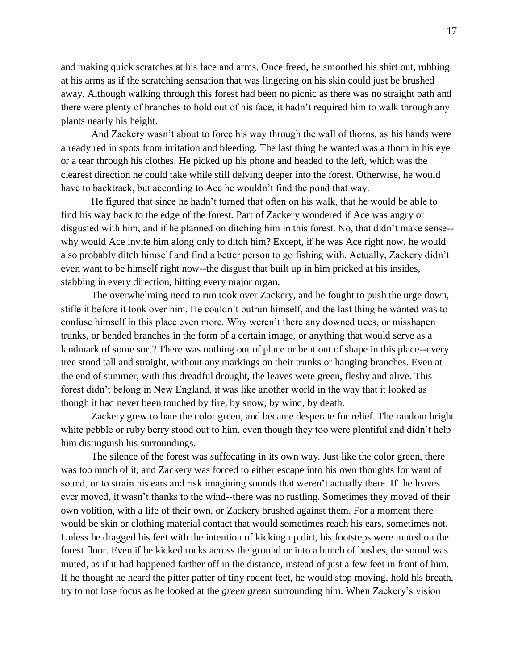and making quick scratches at his face and arms. Once freed, he smoothed his shirt out, rubbing at his arms as if the scratching sensation that was lingering on his skin could just be brushed away. Although walking through this forest had been no picnic as there was no straight path and there were plenty of branches to hold out of his face, it hadn't required him to walk through any plants nearly his height.

And Zackery wasn't about to force his way through the wall of thorns, as his hands were already red in spots from irritation and bleeding. The last thing he wanted was a thorn in his eye or a tear through his clothes. He picked up his phone and headed to the left, which was the clearest direction he could take while still delving deeper into the forest. Otherwise, he would have to backtrack, but according to Ace he wouldn't find the pond that way.

He figured that since he hadn't turned that often on his walk, that he would be able to find his way back to the edge of the forest. Part of Zackery wondered if Ace was angry or disgusted with him, and if he planned on ditching him in this forest. No, that didn't make sense- why would Ace invite him along only to ditch him? Except, if he was Ace right now, he would also probably ditch himself and find a better person to go fishing with. Actually, Zackery didn't even want to be himself right now--the disgust that built up in him pricked at his insides, stabbing in every direction, hitting every major organ.

The overwhelming need to run took over Zackery, and he fought to push the urge down, stifle it before it took over him. He couldn't outrun himself, and the last thing he wanted was to confuse himself in this place even more. Why weren't there any downed trees, or misshapen trunks, or bended branches in the form of a certain image, or anything that would serve as a landmark of some sort? There was nothing out of place or bent out of shape in this place--every tree stood tall and straight, without any markings on their trunks or hanging branches. Even at the end of summer, with this dreadful drought, the leaves were green, fleshy and alive. This forest didn't belong in New England, it was like another world in the way that it looked as though it had never been touched by fire, by snow, by wind, by death.

Zackery grew to hate the color green, and became desperate for relief. The random bright white pebble or ruby berry stood out to him, even though they too were plentiful and didn't help him distinguish his surroundings.

The silence of the forest was suffocating in its own way. Just like the color green, there was too much of it, and Zackery was forced to either escape into his own thoughts for want of sound, or to strain his ears and risk imagining sounds that weren't actually there. If the leaves ever moved, it wasn't thanks to the wind--there was no rustling. Sometimes they moved of their own volition, with a life of their own, or Zackery brushed against them. For a moment there would be skin or clothing material contact that would sometimes reach his ears, sometimes not. Unless he dragged his feet with the intention of kicking up dirt, his footsteps were muted on the forest floor. Even if he kicked rocks across the ground or into a bunch of bushes, the sound was muted, as if it had happened farther off in the distance, instead of just a few feet in front of him. If he thought he heard the pitter patter of tiny rodent feet, he would stop moving, hold his breath, try to not lose focus as he looked at the *green green* surrounding him. When Zackery's vision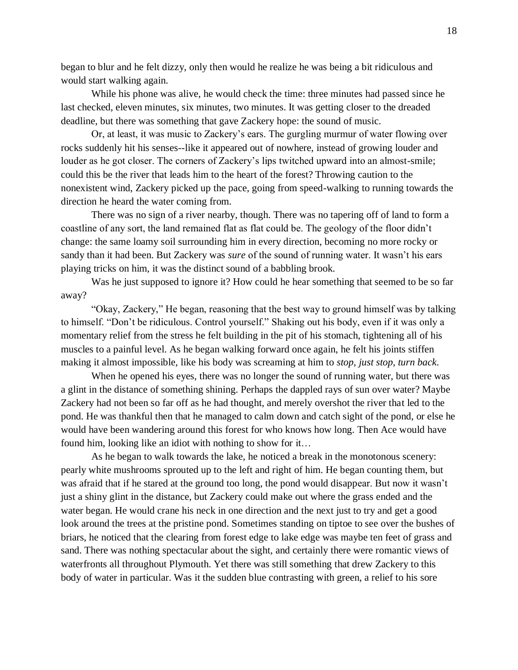began to blur and he felt dizzy, only then would he realize he was being a bit ridiculous and would start walking again.

While his phone was alive, he would check the time: three minutes had passed since he last checked, eleven minutes, six minutes, two minutes. It was getting closer to the dreaded deadline, but there was something that gave Zackery hope: the sound of music.

Or, at least, it was music to Zackery's ears. The gurgling murmur of water flowing over rocks suddenly hit his senses--like it appeared out of nowhere, instead of growing louder and louder as he got closer. The corners of Zackery's lips twitched upward into an almost-smile; could this be the river that leads him to the heart of the forest? Throwing caution to the nonexistent wind, Zackery picked up the pace, going from speed-walking to running towards the direction he heard the water coming from.

There was no sign of a river nearby, though. There was no tapering off of land to form a coastline of any sort, the land remained flat as flat could be. The geology of the floor didn't change: the same loamy soil surrounding him in every direction, becoming no more rocky or sandy than it had been. But Zackery was *sure* of the sound of running water. It wasn't his ears playing tricks on him, it was the distinct sound of a babbling brook.

Was he just supposed to ignore it? How could he hear something that seemed to be so far away?

"Okay, Zackery," He began, reasoning that the best way to ground himself was by talking to himself. "Don't be ridiculous. Control yourself." Shaking out his body, even if it was only a momentary relief from the stress he felt building in the pit of his stomach, tightening all of his muscles to a painful level. As he began walking forward once again, he felt his joints stiffen making it almost impossible, like his body was screaming at him to *stop, just stop, turn back*.

When he opened his eyes, there was no longer the sound of running water, but there was a glint in the distance of something shining. Perhaps the dappled rays of sun over water? Maybe Zackery had not been so far off as he had thought, and merely overshot the river that led to the pond. He was thankful then that he managed to calm down and catch sight of the pond, or else he would have been wandering around this forest for who knows how long. Then Ace would have found him, looking like an idiot with nothing to show for it…

As he began to walk towards the lake, he noticed a break in the monotonous scenery: pearly white mushrooms sprouted up to the left and right of him. He began counting them, but was afraid that if he stared at the ground too long, the pond would disappear. But now it wasn't just a shiny glint in the distance, but Zackery could make out where the grass ended and the water began. He would crane his neck in one direction and the next just to try and get a good look around the trees at the pristine pond. Sometimes standing on tiptoe to see over the bushes of briars, he noticed that the clearing from forest edge to lake edge was maybe ten feet of grass and sand. There was nothing spectacular about the sight, and certainly there were romantic views of waterfronts all throughout Plymouth. Yet there was still something that drew Zackery to this body of water in particular. Was it the sudden blue contrasting with green, a relief to his sore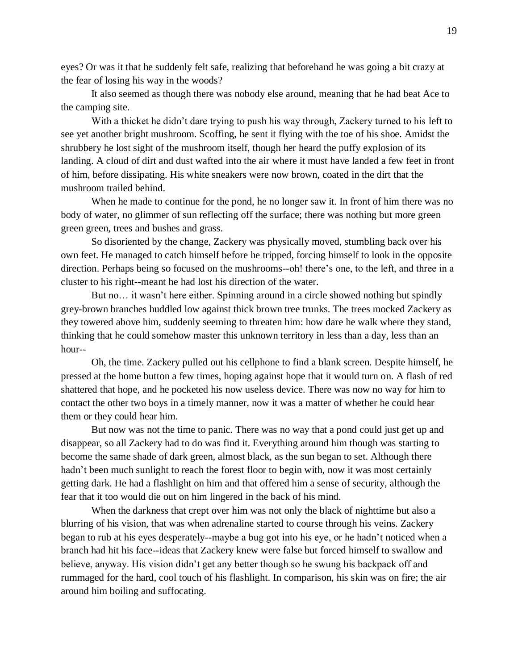eyes? Or was it that he suddenly felt safe, realizing that beforehand he was going a bit crazy at the fear of losing his way in the woods?

It also seemed as though there was nobody else around, meaning that he had beat Ace to the camping site.

With a thicket he didn't dare trying to push his way through, Zackery turned to his left to see yet another bright mushroom. Scoffing, he sent it flying with the toe of his shoe. Amidst the shrubbery he lost sight of the mushroom itself, though her heard the puffy explosion of its landing. A cloud of dirt and dust wafted into the air where it must have landed a few feet in front of him, before dissipating. His white sneakers were now brown, coated in the dirt that the mushroom trailed behind.

When he made to continue for the pond, he no longer saw it. In front of him there was no body of water, no glimmer of sun reflecting off the surface; there was nothing but more green green green, trees and bushes and grass.

So disoriented by the change, Zackery was physically moved, stumbling back over his own feet. He managed to catch himself before he tripped, forcing himself to look in the opposite direction. Perhaps being so focused on the mushrooms--oh! there's one, to the left, and three in a cluster to his right--meant he had lost his direction of the water.

But no… it wasn't here either. Spinning around in a circle showed nothing but spindly grey-brown branches huddled low against thick brown tree trunks. The trees mocked Zackery as they towered above him, suddenly seeming to threaten him: how dare he walk where they stand, thinking that he could somehow master this unknown territory in less than a day, less than an hour--

Oh, the time. Zackery pulled out his cellphone to find a blank screen. Despite himself, he pressed at the home button a few times, hoping against hope that it would turn on. A flash of red shattered that hope, and he pocketed his now useless device. There was now no way for him to contact the other two boys in a timely manner, now it was a matter of whether he could hear them or they could hear him.

But now was not the time to panic. There was no way that a pond could just get up and disappear, so all Zackery had to do was find it. Everything around him though was starting to become the same shade of dark green, almost black, as the sun began to set. Although there hadn't been much sunlight to reach the forest floor to begin with, now it was most certainly getting dark. He had a flashlight on him and that offered him a sense of security, although the fear that it too would die out on him lingered in the back of his mind.

When the darkness that crept over him was not only the black of nighttime but also a blurring of his vision, that was when adrenaline started to course through his veins. Zackery began to rub at his eyes desperately--maybe a bug got into his eye, or he hadn't noticed when a branch had hit his face--ideas that Zackery knew were false but forced himself to swallow and believe, anyway. His vision didn't get any better though so he swung his backpack off and rummaged for the hard, cool touch of his flashlight. In comparison, his skin was on fire; the air around him boiling and suffocating.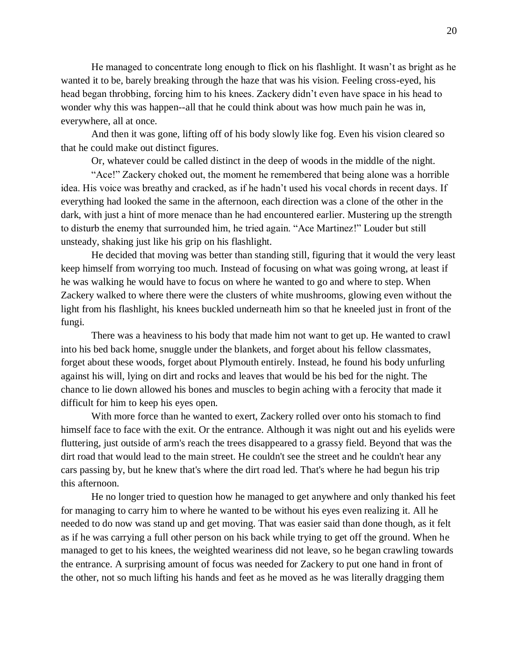He managed to concentrate long enough to flick on his flashlight. It wasn't as bright as he wanted it to be, barely breaking through the haze that was his vision. Feeling cross-eyed, his head began throbbing, forcing him to his knees. Zackery didn't even have space in his head to wonder why this was happen--all that he could think about was how much pain he was in, everywhere, all at once.

And then it was gone, lifting off of his body slowly like fog. Even his vision cleared so that he could make out distinct figures.

Or, whatever could be called distinct in the deep of woods in the middle of the night.

"Ace!" Zackery choked out, the moment he remembered that being alone was a horrible idea. His voice was breathy and cracked, as if he hadn't used his vocal chords in recent days. If everything had looked the same in the afternoon, each direction was a clone of the other in the dark, with just a hint of more menace than he had encountered earlier. Mustering up the strength to disturb the enemy that surrounded him, he tried again. "Ace Martinez!" Louder but still unsteady, shaking just like his grip on his flashlight.

He decided that moving was better than standing still, figuring that it would the very least keep himself from worrying too much. Instead of focusing on what was going wrong, at least if he was walking he would have to focus on where he wanted to go and where to step. When Zackery walked to where there were the clusters of white mushrooms, glowing even without the light from his flashlight, his knees buckled underneath him so that he kneeled just in front of the fungi.

There was a heaviness to his body that made him not want to get up. He wanted to crawl into his bed back home, snuggle under the blankets, and forget about his fellow classmates, forget about these woods, forget about Plymouth entirely. Instead, he found his body unfurling against his will, lying on dirt and rocks and leaves that would be his bed for the night. The chance to lie down allowed his bones and muscles to begin aching with a ferocity that made it difficult for him to keep his eyes open.

With more force than he wanted to exert, Zackery rolled over onto his stomach to find himself face to face with the exit. Or the entrance. Although it was night out and his eyelids were fluttering, just outside of arm's reach the trees disappeared to a grassy field. Beyond that was the dirt road that would lead to the main street. He couldn't see the street and he couldn't hear any cars passing by, but he knew that's where the dirt road led. That's where he had begun his trip this afternoon.

He no longer tried to question how he managed to get anywhere and only thanked his feet for managing to carry him to where he wanted to be without his eyes even realizing it. All he needed to do now was stand up and get moving. That was easier said than done though, as it felt as if he was carrying a full other person on his back while trying to get off the ground. When he managed to get to his knees, the weighted weariness did not leave, so he began crawling towards the entrance. A surprising amount of focus was needed for Zackery to put one hand in front of the other, not so much lifting his hands and feet as he moved as he was literally dragging them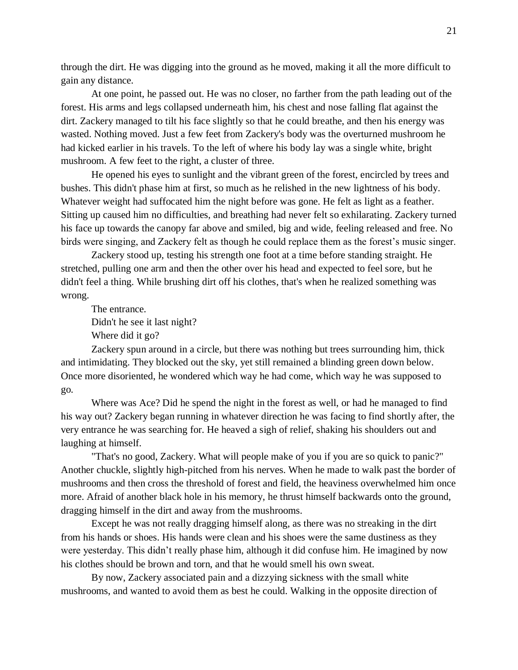through the dirt. He was digging into the ground as he moved, making it all the more difficult to gain any distance.

At one point, he passed out. He was no closer, no farther from the path leading out of the forest. His arms and legs collapsed underneath him, his chest and nose falling flat against the dirt. Zackery managed to tilt his face slightly so that he could breathe, and then his energy was wasted. Nothing moved. Just a few feet from Zackery's body was the overturned mushroom he had kicked earlier in his travels. To the left of where his body lay was a single white, bright mushroom. A few feet to the right, a cluster of three.

He opened his eyes to sunlight and the vibrant green of the forest, encircled by trees and bushes. This didn't phase him at first, so much as he relished in the new lightness of his body. Whatever weight had suffocated him the night before was gone. He felt as light as a feather. Sitting up caused him no difficulties, and breathing had never felt so exhilarating. Zackery turned his face up towards the canopy far above and smiled, big and wide, feeling released and free. No birds were singing, and Zackery felt as though he could replace them as the forest's music singer.

Zackery stood up, testing his strength one foot at a time before standing straight. He stretched, pulling one arm and then the other over his head and expected to feel sore, but he didn't feel a thing. While brushing dirt off his clothes, that's when he realized something was wrong.

The entrance.

Didn't he see it last night?

Where did it go?

Zackery spun around in a circle, but there was nothing but trees surrounding him, thick and intimidating. They blocked out the sky, yet still remained a blinding green down below. Once more disoriented, he wondered which way he had come, which way he was supposed to go.

Where was Ace? Did he spend the night in the forest as well, or had he managed to find his way out? Zackery began running in whatever direction he was facing to find shortly after, the very entrance he was searching for. He heaved a sigh of relief, shaking his shoulders out and laughing at himself.

"That's no good, Zackery. What will people make of you if you are so quick to panic?" Another chuckle, slightly high-pitched from his nerves. When he made to walk past the border of mushrooms and then cross the threshold of forest and field, the heaviness overwhelmed him once more. Afraid of another black hole in his memory, he thrust himself backwards onto the ground, dragging himself in the dirt and away from the mushrooms.

Except he was not really dragging himself along, as there was no streaking in the dirt from his hands or shoes. His hands were clean and his shoes were the same dustiness as they were yesterday. This didn't really phase him, although it did confuse him. He imagined by now his clothes should be brown and torn, and that he would smell his own sweat.

By now, Zackery associated pain and a dizzying sickness with the small white mushrooms, and wanted to avoid them as best he could. Walking in the opposite direction of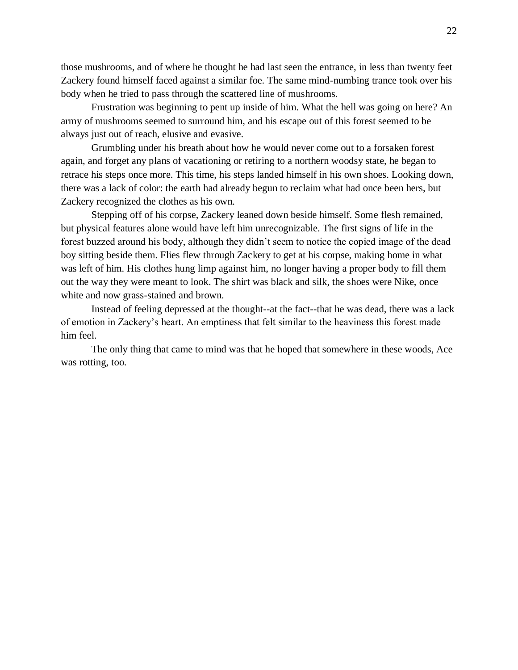those mushrooms, and of where he thought he had last seen the entrance, in less than twenty feet Zackery found himself faced against a similar foe. The same mind-numbing trance took over his body when he tried to pass through the scattered line of mushrooms.

Frustration was beginning to pent up inside of him. What the hell was going on here? An army of mushrooms seemed to surround him, and his escape out of this forest seemed to be always just out of reach, elusive and evasive.

Grumbling under his breath about how he would never come out to a forsaken forest again, and forget any plans of vacationing or retiring to a northern woodsy state, he began to retrace his steps once more. This time, his steps landed himself in his own shoes. Looking down, there was a lack of color: the earth had already begun to reclaim what had once been hers, but Zackery recognized the clothes as his own.

Stepping off of his corpse, Zackery leaned down beside himself. Some flesh remained, but physical features alone would have left him unrecognizable. The first signs of life in the forest buzzed around his body, although they didn't seem to notice the copied image of the dead boy sitting beside them. Flies flew through Zackery to get at his corpse, making home in what was left of him. His clothes hung limp against him, no longer having a proper body to fill them out the way they were meant to look. The shirt was black and silk, the shoes were Nike, once white and now grass-stained and brown.

Instead of feeling depressed at the thought--at the fact--that he was dead, there was a lack of emotion in Zackery's heart. An emptiness that felt similar to the heaviness this forest made him feel.

The only thing that came to mind was that he hoped that somewhere in these woods, Ace was rotting, too.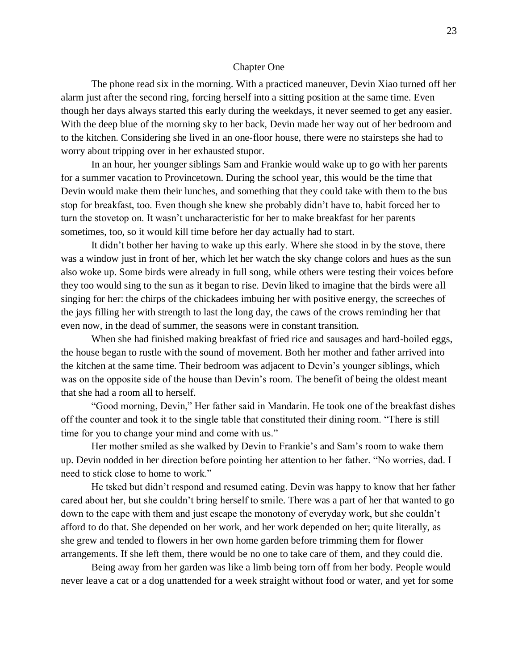#### Chapter One

The phone read six in the morning. With a practiced maneuver, Devin Xiao turned off her alarm just after the second ring, forcing herself into a sitting position at the same time. Even though her days always started this early during the weekdays, it never seemed to get any easier. With the deep blue of the morning sky to her back, Devin made her way out of her bedroom and to the kitchen. Considering she lived in an one-floor house, there were no stairsteps she had to worry about tripping over in her exhausted stupor.

In an hour, her younger siblings Sam and Frankie would wake up to go with her parents for a summer vacation to Provincetown. During the school year, this would be the time that Devin would make them their lunches, and something that they could take with them to the bus stop for breakfast, too. Even though she knew she probably didn't have to, habit forced her to turn the stovetop on. It wasn't uncharacteristic for her to make breakfast for her parents sometimes, too, so it would kill time before her day actually had to start.

It didn't bother her having to wake up this early. Where she stood in by the stove, there was a window just in front of her, which let her watch the sky change colors and hues as the sun also woke up. Some birds were already in full song, while others were testing their voices before they too would sing to the sun as it began to rise. Devin liked to imagine that the birds were all singing for her: the chirps of the chickadees imbuing her with positive energy, the screeches of the jays filling her with strength to last the long day, the caws of the crows reminding her that even now, in the dead of summer, the seasons were in constant transition.

When she had finished making breakfast of fried rice and sausages and hard-boiled eggs, the house began to rustle with the sound of movement. Both her mother and father arrived into the kitchen at the same time. Their bedroom was adjacent to Devin's younger siblings, which was on the opposite side of the house than Devin's room. The benefit of being the oldest meant that she had a room all to herself.

"Good morning, Devin," Her father said in Mandarin. He took one of the breakfast dishes off the counter and took it to the single table that constituted their dining room. "There is still time for you to change your mind and come with us."

Her mother smiled as she walked by Devin to Frankie's and Sam's room to wake them up. Devin nodded in her direction before pointing her attention to her father. "No worries, dad. I need to stick close to home to work."

He tsked but didn't respond and resumed eating. Devin was happy to know that her father cared about her, but she couldn't bring herself to smile. There was a part of her that wanted to go down to the cape with them and just escape the monotony of everyday work, but she couldn't afford to do that. She depended on her work, and her work depended on her; quite literally, as she grew and tended to flowers in her own home garden before trimming them for flower arrangements. If she left them, there would be no one to take care of them, and they could die.

Being away from her garden was like a limb being torn off from her body. People would never leave a cat or a dog unattended for a week straight without food or water, and yet for some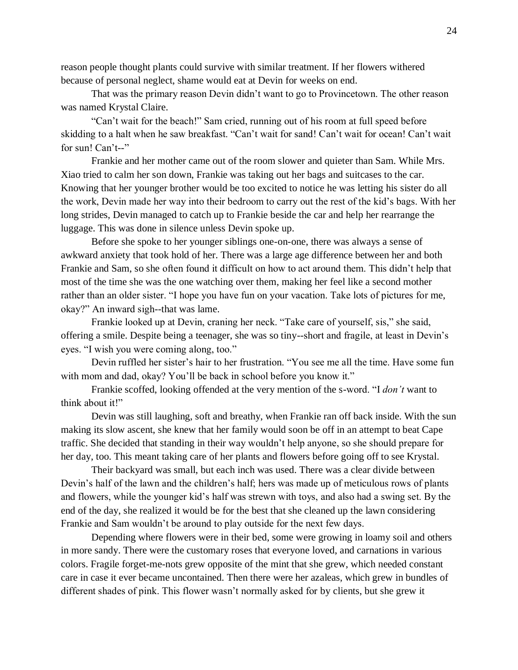reason people thought plants could survive with similar treatment. If her flowers withered because of personal neglect, shame would eat at Devin for weeks on end.

That was the primary reason Devin didn't want to go to Provincetown. The other reason was named Krystal Claire.

"Can't wait for the beach!" Sam cried, running out of his room at full speed before skidding to a halt when he saw breakfast. "Can't wait for sand! Can't wait for ocean! Can't wait for sun! Can't--"

Frankie and her mother came out of the room slower and quieter than Sam. While Mrs. Xiao tried to calm her son down, Frankie was taking out her bags and suitcases to the car. Knowing that her younger brother would be too excited to notice he was letting his sister do all the work, Devin made her way into their bedroom to carry out the rest of the kid's bags. With her long strides, Devin managed to catch up to Frankie beside the car and help her rearrange the luggage. This was done in silence unless Devin spoke up.

Before she spoke to her younger siblings one-on-one, there was always a sense of awkward anxiety that took hold of her. There was a large age difference between her and both Frankie and Sam, so she often found it difficult on how to act around them. This didn't help that most of the time she was the one watching over them, making her feel like a second mother rather than an older sister. "I hope you have fun on your vacation. Take lots of pictures for me, okay?" An inward sigh--that was lame.

Frankie looked up at Devin, craning her neck. "Take care of yourself, sis," she said, offering a smile. Despite being a teenager, she was so tiny--short and fragile, at least in Devin's eyes. "I wish you were coming along, too."

Devin ruffled her sister's hair to her frustration. "You see me all the time. Have some fun with mom and dad, okay? You'll be back in school before you know it."

Frankie scoffed, looking offended at the very mention of the s-word. "I *don't* want to think about it!"

Devin was still laughing, soft and breathy, when Frankie ran off back inside. With the sun making its slow ascent, she knew that her family would soon be off in an attempt to beat Cape traffic. She decided that standing in their way wouldn't help anyone, so she should prepare for her day, too. This meant taking care of her plants and flowers before going off to see Krystal.

Their backyard was small, but each inch was used. There was a clear divide between Devin's half of the lawn and the children's half; hers was made up of meticulous rows of plants and flowers, while the younger kid's half was strewn with toys, and also had a swing set. By the end of the day, she realized it would be for the best that she cleaned up the lawn considering Frankie and Sam wouldn't be around to play outside for the next few days.

Depending where flowers were in their bed, some were growing in loamy soil and others in more sandy. There were the customary roses that everyone loved, and carnations in various colors. Fragile forget-me-nots grew opposite of the mint that she grew, which needed constant care in case it ever became uncontained. Then there were her azaleas, which grew in bundles of different shades of pink. This flower wasn't normally asked for by clients, but she grew it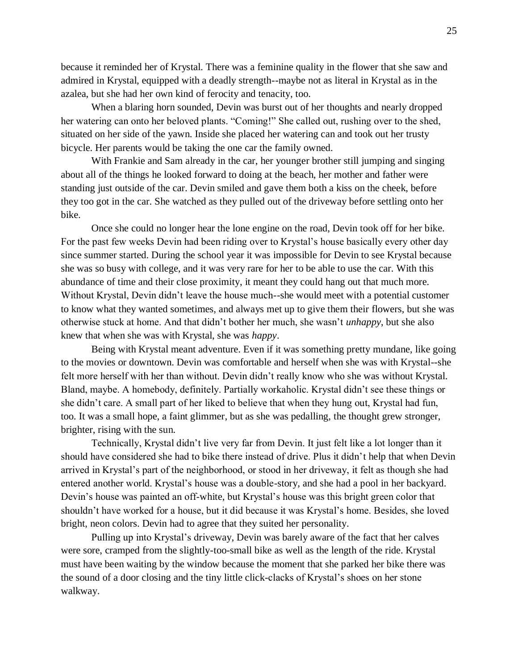because it reminded her of Krystal. There was a feminine quality in the flower that she saw and admired in Krystal, equipped with a deadly strength--maybe not as literal in Krystal as in the azalea, but she had her own kind of ferocity and tenacity, too.

When a blaring horn sounded, Devin was burst out of her thoughts and nearly dropped her watering can onto her beloved plants. "Coming!" She called out, rushing over to the shed, situated on her side of the yawn. Inside she placed her watering can and took out her trusty bicycle. Her parents would be taking the one car the family owned.

With Frankie and Sam already in the car, her younger brother still jumping and singing about all of the things he looked forward to doing at the beach, her mother and father were standing just outside of the car. Devin smiled and gave them both a kiss on the cheek, before they too got in the car. She watched as they pulled out of the driveway before settling onto her bike.

Once she could no longer hear the lone engine on the road, Devin took off for her bike. For the past few weeks Devin had been riding over to Krystal's house basically every other day since summer started. During the school year it was impossible for Devin to see Krystal because she was so busy with college, and it was very rare for her to be able to use the car. With this abundance of time and their close proximity, it meant they could hang out that much more. Without Krystal, Devin didn't leave the house much--she would meet with a potential customer to know what they wanted sometimes, and always met up to give them their flowers, but she was otherwise stuck at home. And that didn't bother her much, she wasn't *unhappy*, but she also knew that when she was with Krystal, she was *happy*.

Being with Krystal meant adventure. Even if it was something pretty mundane, like going to the movies or downtown. Devin was comfortable and herself when she was with Krystal--she felt more herself with her than without. Devin didn't really know who she was without Krystal. Bland, maybe. A homebody, definitely. Partially workaholic. Krystal didn't see these things or she didn't care. A small part of her liked to believe that when they hung out, Krystal had fun, too. It was a small hope, a faint glimmer, but as she was pedalling, the thought grew stronger, brighter, rising with the sun.

Technically, Krystal didn't live very far from Devin. It just felt like a lot longer than it should have considered she had to bike there instead of drive. Plus it didn't help that when Devin arrived in Krystal's part of the neighborhood, or stood in her driveway, it felt as though she had entered another world. Krystal's house was a double-story, and she had a pool in her backyard. Devin's house was painted an off-white, but Krystal's house was this bright green color that shouldn't have worked for a house, but it did because it was Krystal's home. Besides, she loved bright, neon colors. Devin had to agree that they suited her personality.

Pulling up into Krystal's driveway, Devin was barely aware of the fact that her calves were sore, cramped from the slightly-too-small bike as well as the length of the ride. Krystal must have been waiting by the window because the moment that she parked her bike there was the sound of a door closing and the tiny little click-clacks of Krystal's shoes on her stone walkway.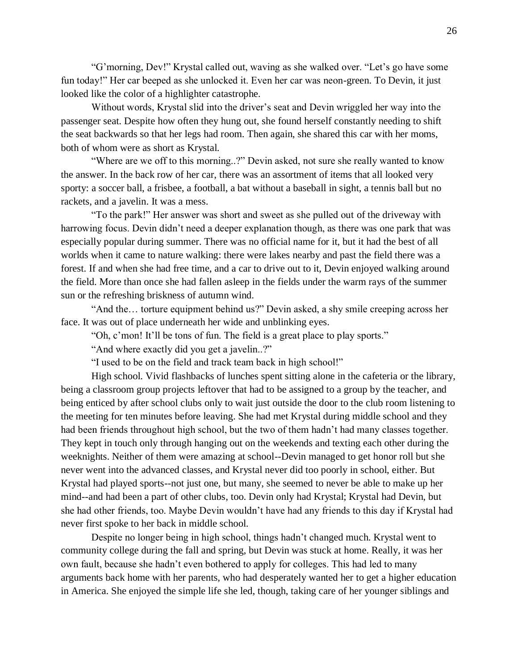"G'morning, Dev!" Krystal called out, waving as she walked over. "Let's go have some fun today!" Her car beeped as she unlocked it. Even her car was neon-green. To Devin, it just looked like the color of a highlighter catastrophe.

Without words, Krystal slid into the driver's seat and Devin wriggled her way into the passenger seat. Despite how often they hung out, she found herself constantly needing to shift the seat backwards so that her legs had room. Then again, she shared this car with her moms, both of whom were as short as Krystal.

"Where are we off to this morning..?" Devin asked, not sure she really wanted to know the answer. In the back row of her car, there was an assortment of items that all looked very sporty: a soccer ball, a frisbee, a football, a bat without a baseball in sight, a tennis ball but no rackets, and a javelin. It was a mess.

"To the park!" Her answer was short and sweet as she pulled out of the driveway with harrowing focus. Devin didn't need a deeper explanation though, as there was one park that was especially popular during summer. There was no official name for it, but it had the best of all worlds when it came to nature walking: there were lakes nearby and past the field there was a forest. If and when she had free time, and a car to drive out to it, Devin enjoyed walking around the field. More than once she had fallen asleep in the fields under the warm rays of the summer sun or the refreshing briskness of autumn wind.

"And the… torture equipment behind us?" Devin asked, a shy smile creeping across her face. It was out of place underneath her wide and unblinking eyes.

"Oh, c'mon! It'll be tons of fun. The field is a great place to play sports."

"And where exactly did you get a javelin..?"

"I used to be on the field and track team back in high school!"

High school. Vivid flashbacks of lunches spent sitting alone in the cafeteria or the library, being a classroom group projects leftover that had to be assigned to a group by the teacher, and being enticed by after school clubs only to wait just outside the door to the club room listening to the meeting for ten minutes before leaving. She had met Krystal during middle school and they had been friends throughout high school, but the two of them hadn't had many classes together. They kept in touch only through hanging out on the weekends and texting each other during the weeknights. Neither of them were amazing at school--Devin managed to get honor roll but she never went into the advanced classes, and Krystal never did too poorly in school, either. But Krystal had played sports--not just one, but many, she seemed to never be able to make up her mind--and had been a part of other clubs, too. Devin only had Krystal; Krystal had Devin, but she had other friends, too. Maybe Devin wouldn't have had any friends to this day if Krystal had never first spoke to her back in middle school.

Despite no longer being in high school, things hadn't changed much. Krystal went to community college during the fall and spring, but Devin was stuck at home. Really, it was her own fault, because she hadn't even bothered to apply for colleges. This had led to many arguments back home with her parents, who had desperately wanted her to get a higher education in America. She enjoyed the simple life she led, though, taking care of her younger siblings and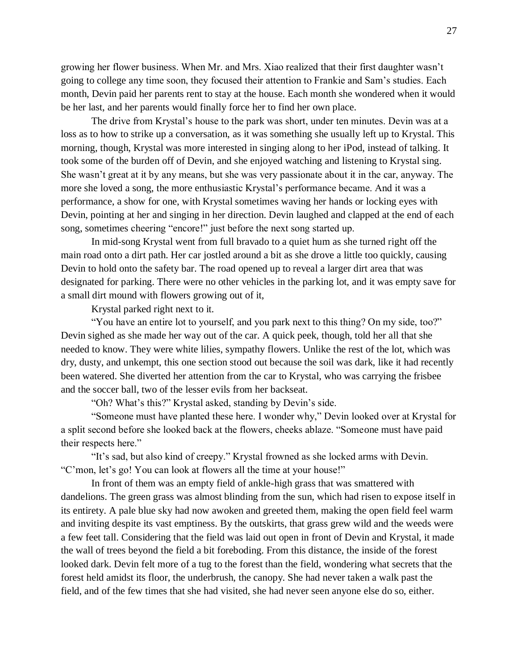growing her flower business. When Mr. and Mrs. Xiao realized that their first daughter wasn't going to college any time soon, they focused their attention to Frankie and Sam's studies. Each month, Devin paid her parents rent to stay at the house. Each month she wondered when it would be her last, and her parents would finally force her to find her own place.

The drive from Krystal's house to the park was short, under ten minutes. Devin was at a loss as to how to strike up a conversation, as it was something she usually left up to Krystal. This morning, though, Krystal was more interested in singing along to her iPod, instead of talking. It took some of the burden off of Devin, and she enjoyed watching and listening to Krystal sing. She wasn't great at it by any means, but she was very passionate about it in the car, anyway. The more she loved a song, the more enthusiastic Krystal's performance became. And it was a performance, a show for one, with Krystal sometimes waving her hands or locking eyes with Devin, pointing at her and singing in her direction. Devin laughed and clapped at the end of each song, sometimes cheering "encore!" just before the next song started up.

In mid-song Krystal went from full bravado to a quiet hum as she turned right off the main road onto a dirt path. Her car jostled around a bit as she drove a little too quickly, causing Devin to hold onto the safety bar. The road opened up to reveal a larger dirt area that was designated for parking. There were no other vehicles in the parking lot, and it was empty save for a small dirt mound with flowers growing out of it,

Krystal parked right next to it.

"You have an entire lot to yourself, and you park next to this thing? On my side, too?" Devin sighed as she made her way out of the car. A quick peek, though, told her all that she needed to know. They were white lilies, sympathy flowers. Unlike the rest of the lot, which was dry, dusty, and unkempt, this one section stood out because the soil was dark, like it had recently been watered. She diverted her attention from the car to Krystal, who was carrying the frisbee and the soccer ball, two of the lesser evils from her backseat.

"Oh? What's this?" Krystal asked, standing by Devin's side.

"Someone must have planted these here. I wonder why," Devin looked over at Krystal for a split second before she looked back at the flowers, cheeks ablaze. "Someone must have paid their respects here."

"It's sad, but also kind of creepy." Krystal frowned as she locked arms with Devin. "C'mon, let's go! You can look at flowers all the time at your house!"

In front of them was an empty field of ankle-high grass that was smattered with dandelions. The green grass was almost blinding from the sun, which had risen to expose itself in its entirety. A pale blue sky had now awoken and greeted them, making the open field feel warm and inviting despite its vast emptiness. By the outskirts, that grass grew wild and the weeds were a few feet tall. Considering that the field was laid out open in front of Devin and Krystal, it made the wall of trees beyond the field a bit foreboding. From this distance, the inside of the forest looked dark. Devin felt more of a tug to the forest than the field, wondering what secrets that the forest held amidst its floor, the underbrush, the canopy. She had never taken a walk past the field, and of the few times that she had visited, she had never seen anyone else do so, either.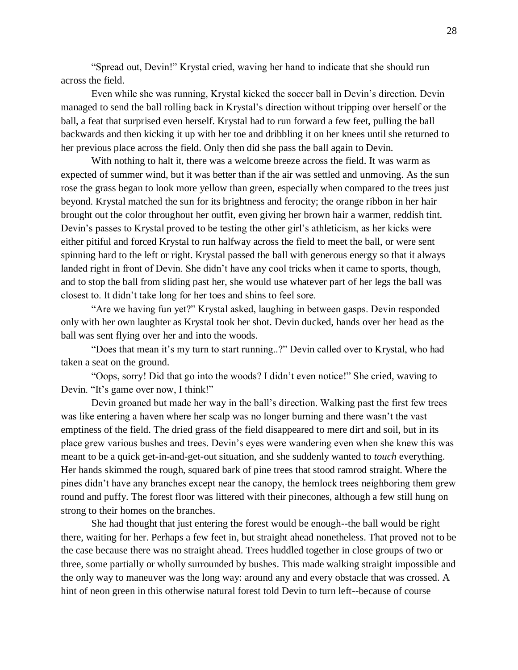"Spread out, Devin!" Krystal cried, waving her hand to indicate that she should run across the field.

Even while she was running, Krystal kicked the soccer ball in Devin's direction. Devin managed to send the ball rolling back in Krystal's direction without tripping over herself or the ball, a feat that surprised even herself. Krystal had to run forward a few feet, pulling the ball backwards and then kicking it up with her toe and dribbling it on her knees until she returned to her previous place across the field. Only then did she pass the ball again to Devin.

With nothing to halt it, there was a welcome breeze across the field. It was warm as expected of summer wind, but it was better than if the air was settled and unmoving. As the sun rose the grass began to look more yellow than green, especially when compared to the trees just beyond. Krystal matched the sun for its brightness and ferocity; the orange ribbon in her hair brought out the color throughout her outfit, even giving her brown hair a warmer, reddish tint. Devin's passes to Krystal proved to be testing the other girl's athleticism, as her kicks were either pitiful and forced Krystal to run halfway across the field to meet the ball, or were sent spinning hard to the left or right. Krystal passed the ball with generous energy so that it always landed right in front of Devin. She didn't have any cool tricks when it came to sports, though, and to stop the ball from sliding past her, she would use whatever part of her legs the ball was closest to. It didn't take long for her toes and shins to feel sore.

"Are we having fun yet?" Krystal asked, laughing in between gasps. Devin responded only with her own laughter as Krystal took her shot. Devin ducked, hands over her head as the ball was sent flying over her and into the woods.

"Does that mean it's my turn to start running..?" Devin called over to Krystal, who had taken a seat on the ground.

"Oops, sorry! Did that go into the woods? I didn't even notice!" She cried, waving to Devin. "It's game over now, I think!"

Devin groaned but made her way in the ball's direction. Walking past the first few trees was like entering a haven where her scalp was no longer burning and there wasn't the vast emptiness of the field. The dried grass of the field disappeared to mere dirt and soil, but in its place grew various bushes and trees. Devin's eyes were wandering even when she knew this was meant to be a quick get-in-and-get-out situation, and she suddenly wanted to *touch* everything. Her hands skimmed the rough, squared bark of pine trees that stood ramrod straight. Where the pines didn't have any branches except near the canopy, the hemlock trees neighboring them grew round and puffy. The forest floor was littered with their pinecones, although a few still hung on strong to their homes on the branches.

She had thought that just entering the forest would be enough--the ball would be right there, waiting for her. Perhaps a few feet in, but straight ahead nonetheless. That proved not to be the case because there was no straight ahead. Trees huddled together in close groups of two or three, some partially or wholly surrounded by bushes. This made walking straight impossible and the only way to maneuver was the long way: around any and every obstacle that was crossed. A hint of neon green in this otherwise natural forest told Devin to turn left--because of course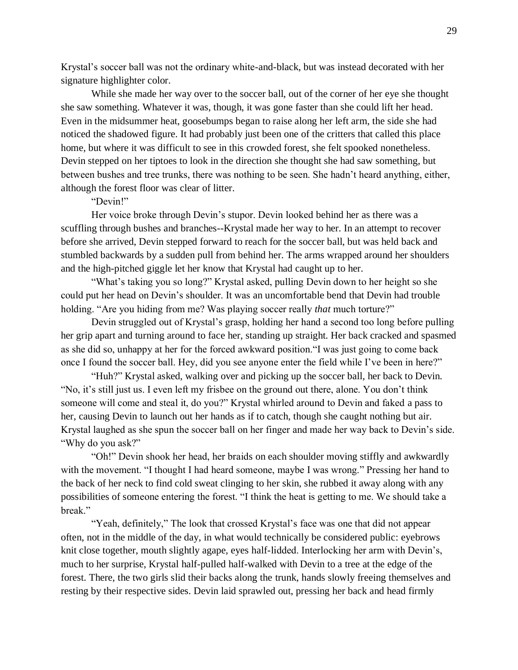Krystal's soccer ball was not the ordinary white-and-black, but was instead decorated with her signature highlighter color.

While she made her way over to the soccer ball, out of the corner of her eye she thought she saw something. Whatever it was, though, it was gone faster than she could lift her head. Even in the midsummer heat, goosebumps began to raise along her left arm, the side she had noticed the shadowed figure. It had probably just been one of the critters that called this place home, but where it was difficult to see in this crowded forest, she felt spooked nonetheless. Devin stepped on her tiptoes to look in the direction she thought she had saw something, but between bushes and tree trunks, there was nothing to be seen. She hadn't heard anything, either, although the forest floor was clear of litter.

#### "Devin!"

Her voice broke through Devin's stupor. Devin looked behind her as there was a scuffling through bushes and branches--Krystal made her way to her. In an attempt to recover before she arrived, Devin stepped forward to reach for the soccer ball, but was held back and stumbled backwards by a sudden pull from behind her. The arms wrapped around her shoulders and the high-pitched giggle let her know that Krystal had caught up to her.

"What's taking you so long?" Krystal asked, pulling Devin down to her height so she could put her head on Devin's shoulder. It was an uncomfortable bend that Devin had trouble holding. "Are you hiding from me? Was playing soccer really *that* much torture?"

Devin struggled out of Krystal's grasp, holding her hand a second too long before pulling her grip apart and turning around to face her, standing up straight. Her back cracked and spasmed as she did so, unhappy at her for the forced awkward position."I was just going to come back once I found the soccer ball. Hey, did you see anyone enter the field while I've been in here?"

"Huh?" Krystal asked, walking over and picking up the soccer ball, her back to Devin. "No, it's still just us. I even left my frisbee on the ground out there, alone. You don't think someone will come and steal it, do you?" Krystal whirled around to Devin and faked a pass to her, causing Devin to launch out her hands as if to catch, though she caught nothing but air. Krystal laughed as she spun the soccer ball on her finger and made her way back to Devin's side. "Why do you ask?"

"Oh!" Devin shook her head, her braids on each shoulder moving stiffly and awkwardly with the movement. "I thought I had heard someone, maybe I was wrong." Pressing her hand to the back of her neck to find cold sweat clinging to her skin, she rubbed it away along with any possibilities of someone entering the forest. "I think the heat is getting to me. We should take a break."

"Yeah, definitely," The look that crossed Krystal's face was one that did not appear often, not in the middle of the day, in what would technically be considered public: eyebrows knit close together, mouth slightly agape, eyes half-lidded. Interlocking her arm with Devin's, much to her surprise, Krystal half-pulled half-walked with Devin to a tree at the edge of the forest. There, the two girls slid their backs along the trunk, hands slowly freeing themselves and resting by their respective sides. Devin laid sprawled out, pressing her back and head firmly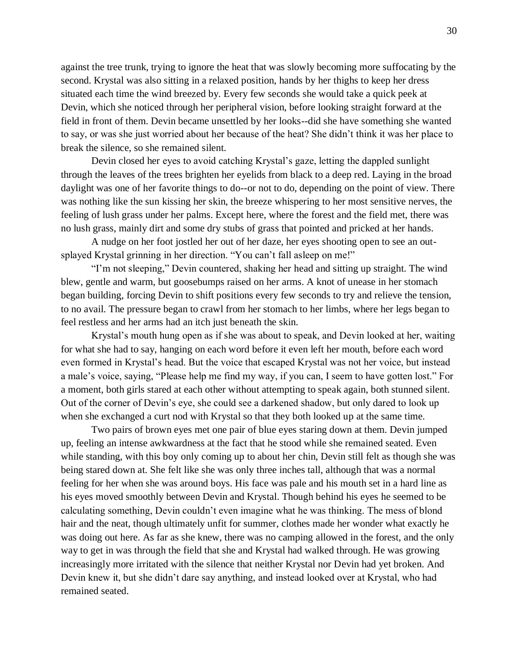against the tree trunk, trying to ignore the heat that was slowly becoming more suffocating by the second. Krystal was also sitting in a relaxed position, hands by her thighs to keep her dress situated each time the wind breezed by. Every few seconds she would take a quick peek at Devin, which she noticed through her peripheral vision, before looking straight forward at the field in front of them. Devin became unsettled by her looks--did she have something she wanted to say, or was she just worried about her because of the heat? She didn't think it was her place to break the silence, so she remained silent.

Devin closed her eyes to avoid catching Krystal's gaze, letting the dappled sunlight through the leaves of the trees brighten her eyelids from black to a deep red. Laying in the broad daylight was one of her favorite things to do--or not to do, depending on the point of view. There was nothing like the sun kissing her skin, the breeze whispering to her most sensitive nerves, the feeling of lush grass under her palms. Except here, where the forest and the field met, there was no lush grass, mainly dirt and some dry stubs of grass that pointed and pricked at her hands.

A nudge on her foot jostled her out of her daze, her eyes shooting open to see an outsplayed Krystal grinning in her direction. "You can't fall asleep on me!"

"I'm not sleeping," Devin countered, shaking her head and sitting up straight. The wind blew, gentle and warm, but goosebumps raised on her arms. A knot of unease in her stomach began building, forcing Devin to shift positions every few seconds to try and relieve the tension, to no avail. The pressure began to crawl from her stomach to her limbs, where her legs began to feel restless and her arms had an itch just beneath the skin.

Krystal's mouth hung open as if she was about to speak, and Devin looked at her, waiting for what she had to say, hanging on each word before it even left her mouth, before each word even formed in Krystal's head. But the voice that escaped Krystal was not her voice, but instead a male's voice, saying, "Please help me find my way, if you can, I seem to have gotten lost." For a moment, both girls stared at each other without attempting to speak again, both stunned silent. Out of the corner of Devin's eye, she could see a darkened shadow, but only dared to look up when she exchanged a curt nod with Krystal so that they both looked up at the same time.

Two pairs of brown eyes met one pair of blue eyes staring down at them. Devin jumped up, feeling an intense awkwardness at the fact that he stood while she remained seated. Even while standing, with this boy only coming up to about her chin, Devin still felt as though she was being stared down at. She felt like she was only three inches tall, although that was a normal feeling for her when she was around boys. His face was pale and his mouth set in a hard line as his eyes moved smoothly between Devin and Krystal. Though behind his eyes he seemed to be calculating something, Devin couldn't even imagine what he was thinking. The mess of blond hair and the neat, though ultimately unfit for summer, clothes made her wonder what exactly he was doing out here. As far as she knew, there was no camping allowed in the forest, and the only way to get in was through the field that she and Krystal had walked through. He was growing increasingly more irritated with the silence that neither Krystal nor Devin had yet broken. And Devin knew it, but she didn't dare say anything, and instead looked over at Krystal, who had remained seated.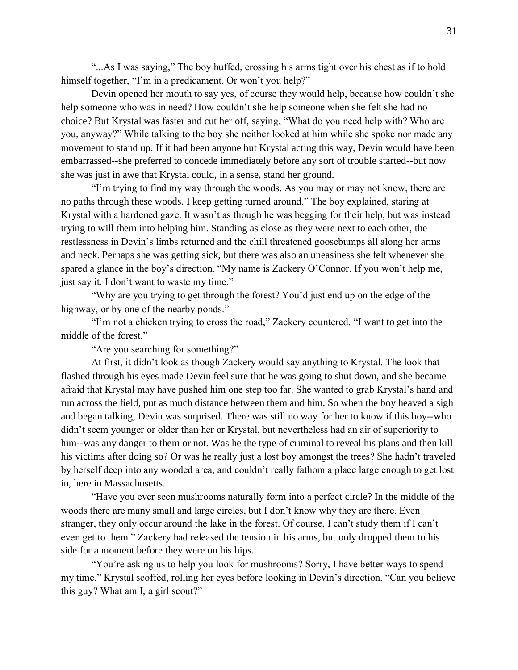"...As I was saying," The boy huffed, crossing his arms tight over his chest as if to hold himself together, "I'm in a predicament. Or won't you help?"

Devin opened her mouth to say yes, of course they would help, because how couldn't she help someone who was in need? How couldn't she help someone when she felt she had no choice? But Krystal was faster and cut her off, saying, "What do you need help with? Who are you, anyway?" While talking to the boy she neither looked at him while she spoke nor made any movement to stand up. If it had been anyone but Krystal acting this way, Devin would have been embarrassed--she preferred to concede immediately before any sort of trouble started--but now she was just in awe that Krystal could, in a sense, stand her ground.

"I'm trying to find my way through the woods. As you may or may not know, there are no paths through these woods. I keep getting turned around." The boy explained, staring at Krystal with a hardened gaze. It wasn't as though he was begging for their help, but was instead trying to will them into helping him. Standing as close as they were next to each other, the restlessness in Devin's limbs returned and the chill threatened goosebumps all along her arms and neck. Perhaps she was getting sick, but there was also an uneasiness she felt whenever she spared a glance in the boy's direction. "My name is Zackery O'Connor. If you won't help me, just say it. I don't want to waste my time."

"Why are you trying to get through the forest? You'd just end up on the edge of the highway, or by one of the nearby ponds."

"I'm not a chicken trying to cross the road," Zackery countered. "I want to get into the middle of the forest."

"Are you searching for something?"

At first, it didn't look as though Zackery would say anything to Krystal. The look that flashed through his eyes made Devin feel sure that he was going to shut down, and she became afraid that Krystal may have pushed him one step too far. She wanted to grab Krystal's hand and run across the field, put as much distance between them and him. So when the boy heaved a sigh and began talking, Devin was surprised. There was still no way for her to know if this boy--who didn't seem younger or older than her or Krystal, but nevertheless had an air of superiority to him--was any danger to them or not. Was he the type of criminal to reveal his plans and then kill his victims after doing so? Or was he really just a lost boy amongst the trees? She hadn't traveled by herself deep into any wooded area, and couldn't really fathom a place large enough to get lost in, here in Massachusetts.

"Have you ever seen mushrooms naturally form into a perfect circle? In the middle of the woods there are many small and large circles, but I don't know why they are there. Even stranger, they only occur around the lake in the forest. Of course, I can't study them if I can't even get to them." Zackery had released the tension in his arms, but only dropped them to his side for a moment before they were on his hips.

"You're asking us to help you look for mushrooms? Sorry, I have better ways to spend my time." Krystal scoffed, rolling her eyes before looking in Devin's direction. "Can you believe this guy? What am I, a girl scout?"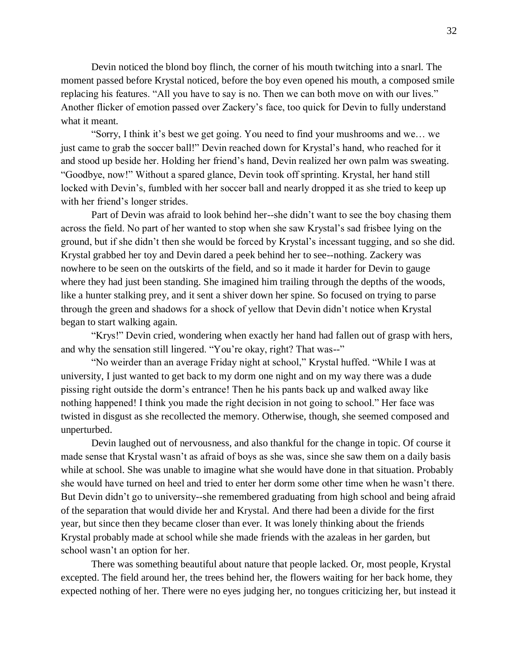Devin noticed the blond boy flinch, the corner of his mouth twitching into a snarl. The moment passed before Krystal noticed, before the boy even opened his mouth, a composed smile replacing his features. "All you have to say is no. Then we can both move on with our lives." Another flicker of emotion passed over Zackery's face, too quick for Devin to fully understand what it meant.

"Sorry, I think it's best we get going. You need to find your mushrooms and we… we just came to grab the soccer ball!" Devin reached down for Krystal's hand, who reached for it and stood up beside her. Holding her friend's hand, Devin realized her own palm was sweating. "Goodbye, now!" Without a spared glance, Devin took off sprinting. Krystal, her hand still locked with Devin's, fumbled with her soccer ball and nearly dropped it as she tried to keep up with her friend's longer strides.

Part of Devin was afraid to look behind her--she didn't want to see the boy chasing them across the field. No part of her wanted to stop when she saw Krystal's sad frisbee lying on the ground, but if she didn't then she would be forced by Krystal's incessant tugging, and so she did. Krystal grabbed her toy and Devin dared a peek behind her to see--nothing. Zackery was nowhere to be seen on the outskirts of the field, and so it made it harder for Devin to gauge where they had just been standing. She imagined him trailing through the depths of the woods, like a hunter stalking prey, and it sent a shiver down her spine. So focused on trying to parse through the green and shadows for a shock of yellow that Devin didn't notice when Krystal began to start walking again.

"Krys!" Devin cried, wondering when exactly her hand had fallen out of grasp with hers, and why the sensation still lingered. "You're okay, right? That was--"

"No weirder than an average Friday night at school," Krystal huffed. "While I was at university, I just wanted to get back to my dorm one night and on my way there was a dude pissing right outside the dorm's entrance! Then he his pants back up and walked away like nothing happened! I think you made the right decision in not going to school." Her face was twisted in disgust as she recollected the memory. Otherwise, though, she seemed composed and unperturbed.

Devin laughed out of nervousness, and also thankful for the change in topic. Of course it made sense that Krystal wasn't as afraid of boys as she was, since she saw them on a daily basis while at school. She was unable to imagine what she would have done in that situation. Probably she would have turned on heel and tried to enter her dorm some other time when he wasn't there. But Devin didn't go to university--she remembered graduating from high school and being afraid of the separation that would divide her and Krystal. And there had been a divide for the first year, but since then they became closer than ever. It was lonely thinking about the friends Krystal probably made at school while she made friends with the azaleas in her garden, but school wasn't an option for her.

There was something beautiful about nature that people lacked. Or, most people, Krystal excepted. The field around her, the trees behind her, the flowers waiting for her back home, they expected nothing of her. There were no eyes judging her, no tongues criticizing her, but instead it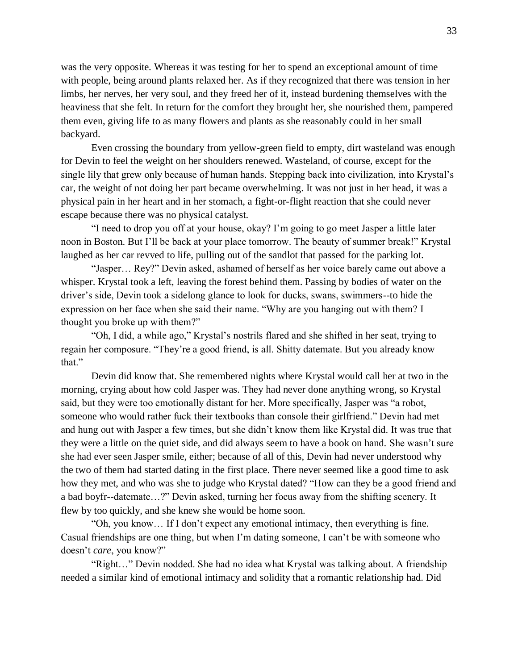was the very opposite. Whereas it was testing for her to spend an exceptional amount of time with people, being around plants relaxed her. As if they recognized that there was tension in her limbs, her nerves, her very soul, and they freed her of it, instead burdening themselves with the heaviness that she felt. In return for the comfort they brought her, she nourished them, pampered them even, giving life to as many flowers and plants as she reasonably could in her small backyard.

Even crossing the boundary from yellow-green field to empty, dirt wasteland was enough for Devin to feel the weight on her shoulders renewed. Wasteland, of course, except for the single lily that grew only because of human hands. Stepping back into civilization, into Krystal's car, the weight of not doing her part became overwhelming. It was not just in her head, it was a physical pain in her heart and in her stomach, a fight-or-flight reaction that she could never escape because there was no physical catalyst.

"I need to drop you off at your house, okay? I'm going to go meet Jasper a little later noon in Boston. But I'll be back at your place tomorrow. The beauty of summer break!" Krystal laughed as her car revved to life, pulling out of the sandlot that passed for the parking lot.

"Jasper… Rey?" Devin asked, ashamed of herself as her voice barely came out above a whisper. Krystal took a left, leaving the forest behind them. Passing by bodies of water on the driver's side, Devin took a sidelong glance to look for ducks, swans, swimmers--to hide the expression on her face when she said their name. "Why are you hanging out with them? I thought you broke up with them?"

"Oh, I did, a while ago," Krystal's nostrils flared and she shifted in her seat, trying to regain her composure. "They're a good friend, is all. Shitty datemate. But you already know that."

Devin did know that. She remembered nights where Krystal would call her at two in the morning, crying about how cold Jasper was. They had never done anything wrong, so Krystal said, but they were too emotionally distant for her. More specifically, Jasper was "a robot, someone who would rather fuck their textbooks than console their girlfriend." Devin had met and hung out with Jasper a few times, but she didn't know them like Krystal did. It was true that they were a little on the quiet side, and did always seem to have a book on hand. She wasn't sure she had ever seen Jasper smile, either; because of all of this, Devin had never understood why the two of them had started dating in the first place. There never seemed like a good time to ask how they met, and who was she to judge who Krystal dated? "How can they be a good friend and a bad boyfr--datemate…?" Devin asked, turning her focus away from the shifting scenery. It flew by too quickly, and she knew she would be home soon.

"Oh, you know… If I don't expect any emotional intimacy, then everything is fine. Casual friendships are one thing, but when I'm dating someone, I can't be with someone who doesn't *care*, you know?"

"Right…" Devin nodded. She had no idea what Krystal was talking about. A friendship needed a similar kind of emotional intimacy and solidity that a romantic relationship had. Did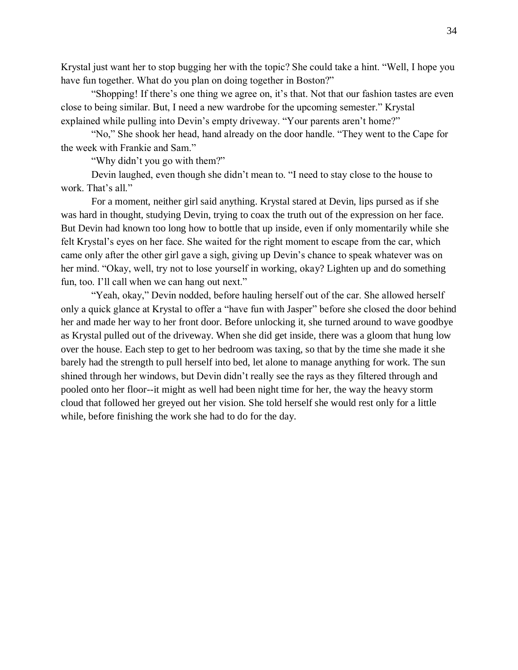Krystal just want her to stop bugging her with the topic? She could take a hint. "Well, I hope you have fun together. What do you plan on doing together in Boston?"

"Shopping! If there's one thing we agree on, it's that. Not that our fashion tastes are even close to being similar. But, I need a new wardrobe for the upcoming semester." Krystal explained while pulling into Devin's empty driveway. "Your parents aren't home?"

"No," She shook her head, hand already on the door handle. "They went to the Cape for the week with Frankie and Sam."

"Why didn't you go with them?"

Devin laughed, even though she didn't mean to. "I need to stay close to the house to work. That's all."

For a moment, neither girl said anything. Krystal stared at Devin, lips pursed as if she was hard in thought, studying Devin, trying to coax the truth out of the expression on her face. But Devin had known too long how to bottle that up inside, even if only momentarily while she felt Krystal's eyes on her face. She waited for the right moment to escape from the car, which came only after the other girl gave a sigh, giving up Devin's chance to speak whatever was on her mind. "Okay, well, try not to lose yourself in working, okay? Lighten up and do something fun, too. I'll call when we can hang out next."

"Yeah, okay," Devin nodded, before hauling herself out of the car. She allowed herself only a quick glance at Krystal to offer a "have fun with Jasper" before she closed the door behind her and made her way to her front door. Before unlocking it, she turned around to wave goodbye as Krystal pulled out of the driveway. When she did get inside, there was a gloom that hung low over the house. Each step to get to her bedroom was taxing, so that by the time she made it she barely had the strength to pull herself into bed, let alone to manage anything for work. The sun shined through her windows, but Devin didn't really see the rays as they filtered through and pooled onto her floor--it might as well had been night time for her, the way the heavy storm cloud that followed her greyed out her vision. She told herself she would rest only for a little while, before finishing the work she had to do for the day.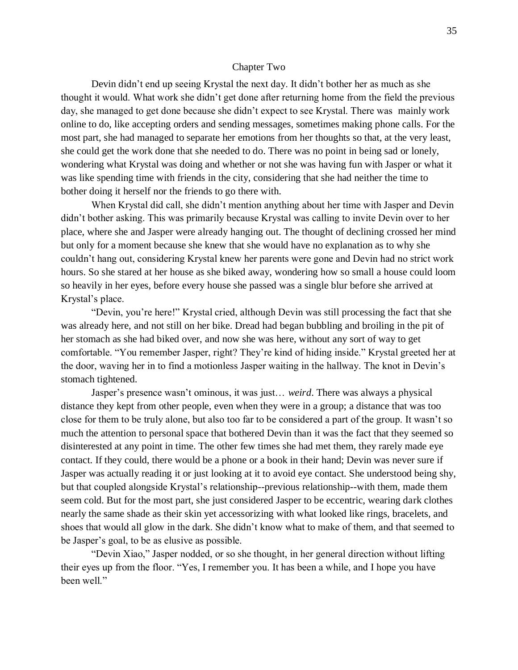#### Chapter Two

Devin didn't end up seeing Krystal the next day. It didn't bother her as much as she thought it would. What work she didn't get done after returning home from the field the previous day, she managed to get done because she didn't expect to see Krystal. There was mainly work online to do, like accepting orders and sending messages, sometimes making phone calls. For the most part, she had managed to separate her emotions from her thoughts so that, at the very least, she could get the work done that she needed to do. There was no point in being sad or lonely, wondering what Krystal was doing and whether or not she was having fun with Jasper or what it was like spending time with friends in the city, considering that she had neither the time to bother doing it herself nor the friends to go there with.

When Krystal did call, she didn't mention anything about her time with Jasper and Devin didn't bother asking. This was primarily because Krystal was calling to invite Devin over to her place, where she and Jasper were already hanging out. The thought of declining crossed her mind but only for a moment because she knew that she would have no explanation as to why she couldn't hang out, considering Krystal knew her parents were gone and Devin had no strict work hours. So she stared at her house as she biked away, wondering how so small a house could loom so heavily in her eyes, before every house she passed was a single blur before she arrived at Krystal's place.

"Devin, you're here!" Krystal cried, although Devin was still processing the fact that she was already here, and not still on her bike. Dread had began bubbling and broiling in the pit of her stomach as she had biked over, and now she was here, without any sort of way to get comfortable. "You remember Jasper, right? They're kind of hiding inside." Krystal greeted her at the door, waving her in to find a motionless Jasper waiting in the hallway. The knot in Devin's stomach tightened.

Jasper's presence wasn't ominous, it was just… *weird*. There was always a physical distance they kept from other people, even when they were in a group; a distance that was too close for them to be truly alone, but also too far to be considered a part of the group. It wasn't so much the attention to personal space that bothered Devin than it was the fact that they seemed so disinterested at any point in time. The other few times she had met them, they rarely made eye contact. If they could, there would be a phone or a book in their hand; Devin was never sure if Jasper was actually reading it or just looking at it to avoid eye contact. She understood being shy, but that coupled alongside Krystal's relationship--previous relationship--with them, made them seem cold. But for the most part, she just considered Jasper to be eccentric, wearing dark clothes nearly the same shade as their skin yet accessorizing with what looked like rings, bracelets, and shoes that would all glow in the dark. She didn't know what to make of them, and that seemed to be Jasper's goal, to be as elusive as possible.

"Devin Xiao," Jasper nodded, or so she thought, in her general direction without lifting their eyes up from the floor. "Yes, I remember you. It has been a while, and I hope you have been well."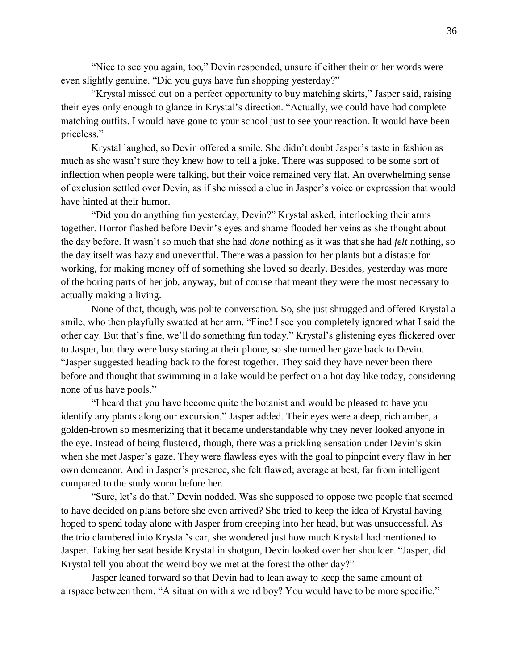"Nice to see you again, too," Devin responded, unsure if either their or her words were even slightly genuine. "Did you guys have fun shopping yesterday?"

"Krystal missed out on a perfect opportunity to buy matching skirts," Jasper said, raising their eyes only enough to glance in Krystal's direction. "Actually, we could have had complete matching outfits. I would have gone to your school just to see your reaction. It would have been priceless."

Krystal laughed, so Devin offered a smile. She didn't doubt Jasper's taste in fashion as much as she wasn't sure they knew how to tell a joke. There was supposed to be some sort of inflection when people were talking, but their voice remained very flat. An overwhelming sense of exclusion settled over Devin, as if she missed a clue in Jasper's voice or expression that would have hinted at their humor.

"Did you do anything fun yesterday, Devin?" Krystal asked, interlocking their arms together. Horror flashed before Devin's eyes and shame flooded her veins as she thought about the day before. It wasn't so much that she had *done* nothing as it was that she had *felt* nothing, so the day itself was hazy and uneventful. There was a passion for her plants but a distaste for working, for making money off of something she loved so dearly. Besides, yesterday was more of the boring parts of her job, anyway, but of course that meant they were the most necessary to actually making a living.

None of that, though, was polite conversation. So, she just shrugged and offered Krystal a smile, who then playfully swatted at her arm. "Fine! I see you completely ignored what I said the other day. But that's fine, we'll do something fun today." Krystal's glistening eyes flickered over to Jasper, but they were busy staring at their phone, so she turned her gaze back to Devin. "Jasper suggested heading back to the forest together. They said they have never been there before and thought that swimming in a lake would be perfect on a hot day like today, considering none of us have pools."

"I heard that you have become quite the botanist and would be pleased to have you identify any plants along our excursion." Jasper added. Their eyes were a deep, rich amber, a golden-brown so mesmerizing that it became understandable why they never looked anyone in the eye. Instead of being flustered, though, there was a prickling sensation under Devin's skin when she met Jasper's gaze. They were flawless eyes with the goal to pinpoint every flaw in her own demeanor. And in Jasper's presence, she felt flawed; average at best, far from intelligent compared to the study worm before her.

"Sure, let's do that." Devin nodded. Was she supposed to oppose two people that seemed to have decided on plans before she even arrived? She tried to keep the idea of Krystal having hoped to spend today alone with Jasper from creeping into her head, but was unsuccessful. As the trio clambered into Krystal's car, she wondered just how much Krystal had mentioned to Jasper. Taking her seat beside Krystal in shotgun, Devin looked over her shoulder. "Jasper, did Krystal tell you about the weird boy we met at the forest the other day?"

Jasper leaned forward so that Devin had to lean away to keep the same amount of airspace between them. "A situation with a weird boy? You would have to be more specific."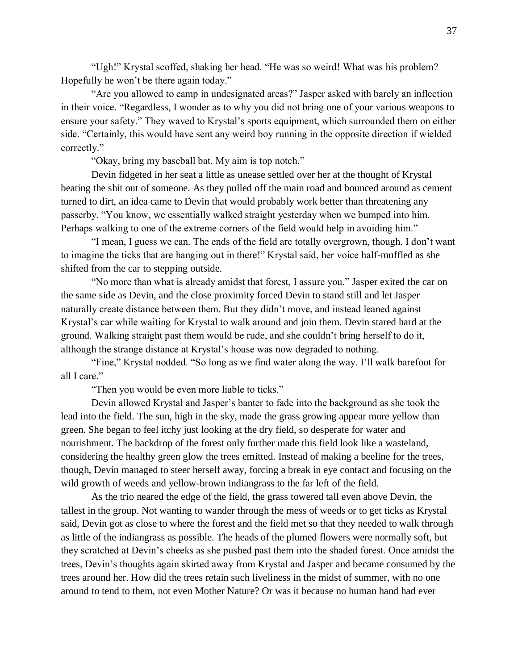"Ugh!" Krystal scoffed, shaking her head. "He was so weird! What was his problem? Hopefully he won't be there again today."

"Are you allowed to camp in undesignated areas?" Jasper asked with barely an inflection in their voice. "Regardless, I wonder as to why you did not bring one of your various weapons to ensure your safety." They waved to Krystal's sports equipment, which surrounded them on either side. "Certainly, this would have sent any weird boy running in the opposite direction if wielded correctly."

"Okay, bring my baseball bat. My aim is top notch."

Devin fidgeted in her seat a little as unease settled over her at the thought of Krystal beating the shit out of someone. As they pulled off the main road and bounced around as cement turned to dirt, an idea came to Devin that would probably work better than threatening any passerby. "You know, we essentially walked straight yesterday when we bumped into him. Perhaps walking to one of the extreme corners of the field would help in avoiding him."

"I mean, I guess we can. The ends of the field are totally overgrown, though. I don't want to imagine the ticks that are hanging out in there!" Krystal said, her voice half-muffled as she shifted from the car to stepping outside.

"No more than what is already amidst that forest, I assure you." Jasper exited the car on the same side as Devin, and the close proximity forced Devin to stand still and let Jasper naturally create distance between them. But they didn't move, and instead leaned against Krystal's car while waiting for Krystal to walk around and join them. Devin stared hard at the ground. Walking straight past them would be rude, and she couldn't bring herself to do it, although the strange distance at Krystal's house was now degraded to nothing.

"Fine," Krystal nodded. "So long as we find water along the way. I'll walk barefoot for all I care."

"Then you would be even more liable to ticks."

Devin allowed Krystal and Jasper's banter to fade into the background as she took the lead into the field. The sun, high in the sky, made the grass growing appear more yellow than green. She began to feel itchy just looking at the dry field, so desperate for water and nourishment. The backdrop of the forest only further made this field look like a wasteland, considering the healthy green glow the trees emitted. Instead of making a beeline for the trees, though, Devin managed to steer herself away, forcing a break in eye contact and focusing on the wild growth of weeds and yellow-brown indiangrass to the far left of the field.

As the trio neared the edge of the field, the grass towered tall even above Devin, the tallest in the group. Not wanting to wander through the mess of weeds or to get ticks as Krystal said, Devin got as close to where the forest and the field met so that they needed to walk through as little of the indiangrass as possible. The heads of the plumed flowers were normally soft, but they scratched at Devin's cheeks as she pushed past them into the shaded forest. Once amidst the trees, Devin's thoughts again skirted away from Krystal and Jasper and became consumed by the trees around her. How did the trees retain such liveliness in the midst of summer, with no one around to tend to them, not even Mother Nature? Or was it because no human hand had ever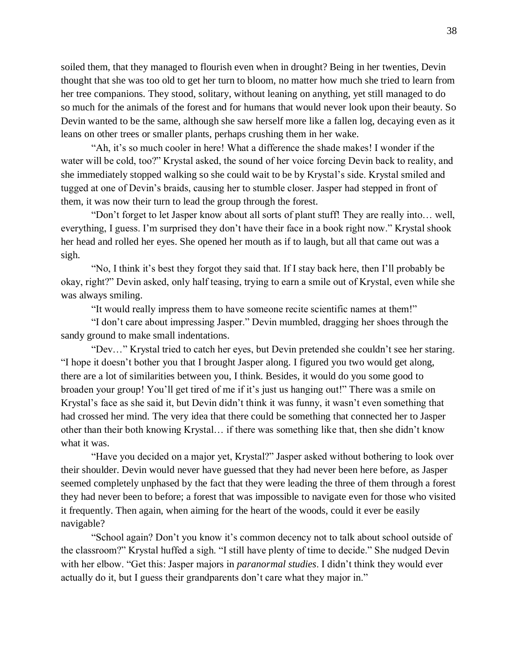soiled them, that they managed to flourish even when in drought? Being in her twenties, Devin thought that she was too old to get her turn to bloom, no matter how much she tried to learn from her tree companions. They stood, solitary, without leaning on anything, yet still managed to do so much for the animals of the forest and for humans that would never look upon their beauty. So Devin wanted to be the same, although she saw herself more like a fallen log, decaying even as it leans on other trees or smaller plants, perhaps crushing them in her wake.

"Ah, it's so much cooler in here! What a difference the shade makes! I wonder if the water will be cold, too?" Krystal asked, the sound of her voice forcing Devin back to reality, and she immediately stopped walking so she could wait to be by Krystal's side. Krystal smiled and tugged at one of Devin's braids, causing her to stumble closer. Jasper had stepped in front of them, it was now their turn to lead the group through the forest.

"Don't forget to let Jasper know about all sorts of plant stuff! They are really into… well, everything, I guess. I'm surprised they don't have their face in a book right now." Krystal shook her head and rolled her eyes. She opened her mouth as if to laugh, but all that came out was a sigh.

"No, I think it's best they forgot they said that. If I stay back here, then I'll probably be okay, right?" Devin asked, only half teasing, trying to earn a smile out of Krystal, even while she was always smiling.

"It would really impress them to have someone recite scientific names at them!"

"I don't care about impressing Jasper." Devin mumbled, dragging her shoes through the sandy ground to make small indentations.

"Dev…" Krystal tried to catch her eyes, but Devin pretended she couldn't see her staring. "I hope it doesn't bother you that I brought Jasper along. I figured you two would get along, there are a lot of similarities between you, I think. Besides, it would do you some good to broaden your group! You'll get tired of me if it's just us hanging out!" There was a smile on Krystal's face as she said it, but Devin didn't think it was funny, it wasn't even something that had crossed her mind. The very idea that there could be something that connected her to Jasper other than their both knowing Krystal… if there was something like that, then she didn't know what it was.

"Have you decided on a major yet, Krystal?" Jasper asked without bothering to look over their shoulder. Devin would never have guessed that they had never been here before, as Jasper seemed completely unphased by the fact that they were leading the three of them through a forest they had never been to before; a forest that was impossible to navigate even for those who visited it frequently. Then again, when aiming for the heart of the woods, could it ever be easily navigable?

"School again? Don't you know it's common decency not to talk about school outside of the classroom?" Krystal huffed a sigh. "I still have plenty of time to decide." She nudged Devin with her elbow. "Get this: Jasper majors in *paranormal studies*. I didn't think they would ever actually do it, but I guess their grandparents don't care what they major in."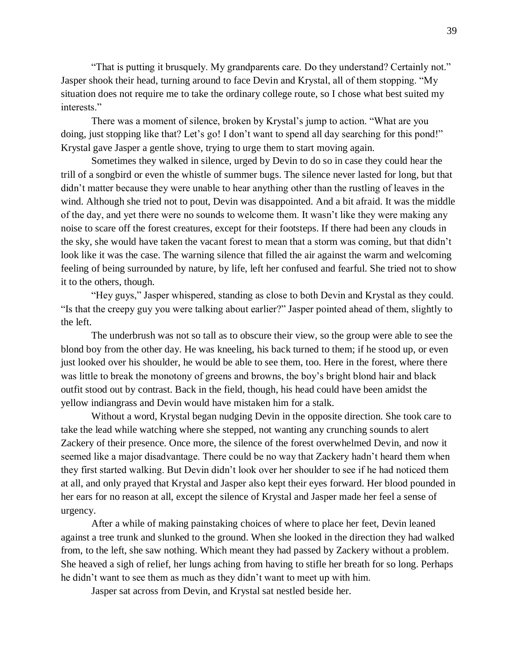"That is putting it brusquely. My grandparents care. Do they understand? Certainly not." Jasper shook their head, turning around to face Devin and Krystal, all of them stopping. "My situation does not require me to take the ordinary college route, so I chose what best suited my interests."

There was a moment of silence, broken by Krystal's jump to action. "What are you doing, just stopping like that? Let's go! I don't want to spend all day searching for this pond!" Krystal gave Jasper a gentle shove, trying to urge them to start moving again.

Sometimes they walked in silence, urged by Devin to do so in case they could hear the trill of a songbird or even the whistle of summer bugs. The silence never lasted for long, but that didn't matter because they were unable to hear anything other than the rustling of leaves in the wind. Although she tried not to pout, Devin was disappointed. And a bit afraid. It was the middle of the day, and yet there were no sounds to welcome them. It wasn't like they were making any noise to scare off the forest creatures, except for their footsteps. If there had been any clouds in the sky, she would have taken the vacant forest to mean that a storm was coming, but that didn't look like it was the case. The warning silence that filled the air against the warm and welcoming feeling of being surrounded by nature, by life, left her confused and fearful. She tried not to show it to the others, though.

"Hey guys," Jasper whispered, standing as close to both Devin and Krystal as they could. "Is that the creepy guy you were talking about earlier?" Jasper pointed ahead of them, slightly to the left.

The underbrush was not so tall as to obscure their view, so the group were able to see the blond boy from the other day. He was kneeling, his back turned to them; if he stood up, or even just looked over his shoulder, he would be able to see them, too. Here in the forest, where there was little to break the monotony of greens and browns, the boy's bright blond hair and black outfit stood out by contrast. Back in the field, though, his head could have been amidst the yellow indiangrass and Devin would have mistaken him for a stalk.

Without a word, Krystal began nudging Devin in the opposite direction. She took care to take the lead while watching where she stepped, not wanting any crunching sounds to alert Zackery of their presence. Once more, the silence of the forest overwhelmed Devin, and now it seemed like a major disadvantage. There could be no way that Zackery hadn't heard them when they first started walking. But Devin didn't look over her shoulder to see if he had noticed them at all, and only prayed that Krystal and Jasper also kept their eyes forward. Her blood pounded in her ears for no reason at all, except the silence of Krystal and Jasper made her feel a sense of urgency.

After a while of making painstaking choices of where to place her feet, Devin leaned against a tree trunk and slunked to the ground. When she looked in the direction they had walked from, to the left, she saw nothing. Which meant they had passed by Zackery without a problem. She heaved a sigh of relief, her lungs aching from having to stifle her breath for so long. Perhaps he didn't want to see them as much as they didn't want to meet up with him.

Jasper sat across from Devin, and Krystal sat nestled beside her.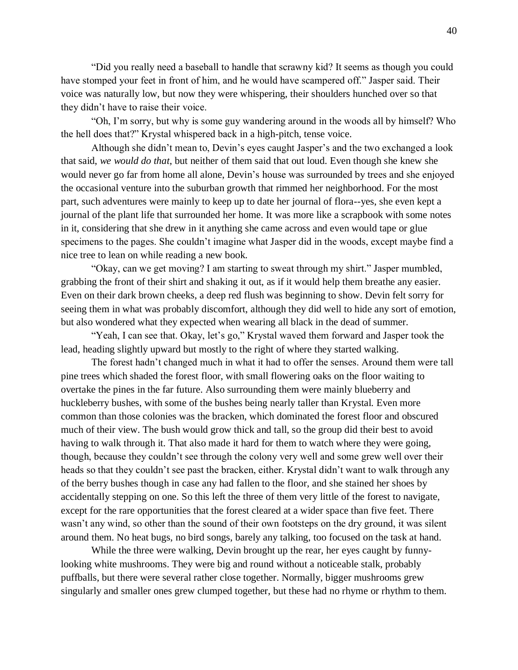"Did you really need a baseball to handle that scrawny kid? It seems as though you could have stomped your feet in front of him, and he would have scampered off." Jasper said. Their voice was naturally low, but now they were whispering, their shoulders hunched over so that they didn't have to raise their voice.

"Oh, I'm sorry, but why is some guy wandering around in the woods all by himself? Who the hell does that?" Krystal whispered back in a high-pitch, tense voice.

Although she didn't mean to, Devin's eyes caught Jasper's and the two exchanged a look that said, *we would do that*, but neither of them said that out loud. Even though she knew she would never go far from home all alone, Devin's house was surrounded by trees and she enjoyed the occasional venture into the suburban growth that rimmed her neighborhood. For the most part, such adventures were mainly to keep up to date her journal of flora--yes, she even kept a journal of the plant life that surrounded her home. It was more like a scrapbook with some notes in it, considering that she drew in it anything she came across and even would tape or glue specimens to the pages. She couldn't imagine what Jasper did in the woods, except maybe find a nice tree to lean on while reading a new book.

"Okay, can we get moving? I am starting to sweat through my shirt." Jasper mumbled, grabbing the front of their shirt and shaking it out, as if it would help them breathe any easier. Even on their dark brown cheeks, a deep red flush was beginning to show. Devin felt sorry for seeing them in what was probably discomfort, although they did well to hide any sort of emotion, but also wondered what they expected when wearing all black in the dead of summer.

"Yeah, I can see that. Okay, let's go," Krystal waved them forward and Jasper took the lead, heading slightly upward but mostly to the right of where they started walking.

The forest hadn't changed much in what it had to offer the senses. Around them were tall pine trees which shaded the forest floor, with small flowering oaks on the floor waiting to overtake the pines in the far future. Also surrounding them were mainly blueberry and huckleberry bushes, with some of the bushes being nearly taller than Krystal. Even more common than those colonies was the bracken, which dominated the forest floor and obscured much of their view. The bush would grow thick and tall, so the group did their best to avoid having to walk through it. That also made it hard for them to watch where they were going, though, because they couldn't see through the colony very well and some grew well over their heads so that they couldn't see past the bracken, either. Krystal didn't want to walk through any of the berry bushes though in case any had fallen to the floor, and she stained her shoes by accidentally stepping on one. So this left the three of them very little of the forest to navigate, except for the rare opportunities that the forest cleared at a wider space than five feet. There wasn't any wind, so other than the sound of their own footsteps on the dry ground, it was silent around them. No heat bugs, no bird songs, barely any talking, too focused on the task at hand.

While the three were walking, Devin brought up the rear, her eyes caught by funnylooking white mushrooms. They were big and round without a noticeable stalk, probably puffballs, but there were several rather close together. Normally, bigger mushrooms grew singularly and smaller ones grew clumped together, but these had no rhyme or rhythm to them.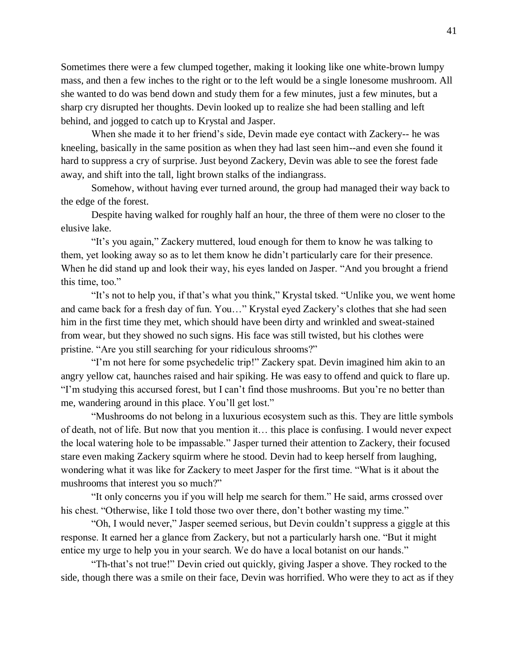Sometimes there were a few clumped together, making it looking like one white-brown lumpy mass, and then a few inches to the right or to the left would be a single lonesome mushroom. All she wanted to do was bend down and study them for a few minutes, just a few minutes, but a sharp cry disrupted her thoughts. Devin looked up to realize she had been stalling and left behind, and jogged to catch up to Krystal and Jasper.

When she made it to her friend's side, Devin made eye contact with Zackery-- he was kneeling, basically in the same position as when they had last seen him--and even she found it hard to suppress a cry of surprise. Just beyond Zackery, Devin was able to see the forest fade away, and shift into the tall, light brown stalks of the indiangrass.

Somehow, without having ever turned around, the group had managed their way back to the edge of the forest.

Despite having walked for roughly half an hour, the three of them were no closer to the elusive lake.

"It's you again," Zackery muttered, loud enough for them to know he was talking to them, yet looking away so as to let them know he didn't particularly care for their presence. When he did stand up and look their way, his eyes landed on Jasper. "And you brought a friend this time, too."

"It's not to help you, if that's what you think," Krystal tsked. "Unlike you, we went home and came back for a fresh day of fun. You…" Krystal eyed Zackery's clothes that she had seen him in the first time they met, which should have been dirty and wrinkled and sweat-stained from wear, but they showed no such signs. His face was still twisted, but his clothes were pristine. "Are you still searching for your ridiculous shrooms?"

"I'm not here for some psychedelic trip!" Zackery spat. Devin imagined him akin to an angry yellow cat, haunches raised and hair spiking. He was easy to offend and quick to flare up. "I'm studying this accursed forest, but I can't find those mushrooms. But you're no better than me, wandering around in this place. You'll get lost."

"Mushrooms do not belong in a luxurious ecosystem such as this. They are little symbols of death, not of life. But now that you mention it… this place is confusing. I would never expect the local watering hole to be impassable." Jasper turned their attention to Zackery, their focused stare even making Zackery squirm where he stood. Devin had to keep herself from laughing, wondering what it was like for Zackery to meet Jasper for the first time. "What is it about the mushrooms that interest you so much?"

"It only concerns you if you will help me search for them." He said, arms crossed over his chest. "Otherwise, like I told those two over there, don't bother wasting my time."

"Oh, I would never," Jasper seemed serious, but Devin couldn't suppress a giggle at this response. It earned her a glance from Zackery, but not a particularly harsh one. "But it might entice my urge to help you in your search. We do have a local botanist on our hands."

"Th-that's not true!" Devin cried out quickly, giving Jasper a shove. They rocked to the side, though there was a smile on their face, Devin was horrified. Who were they to act as if they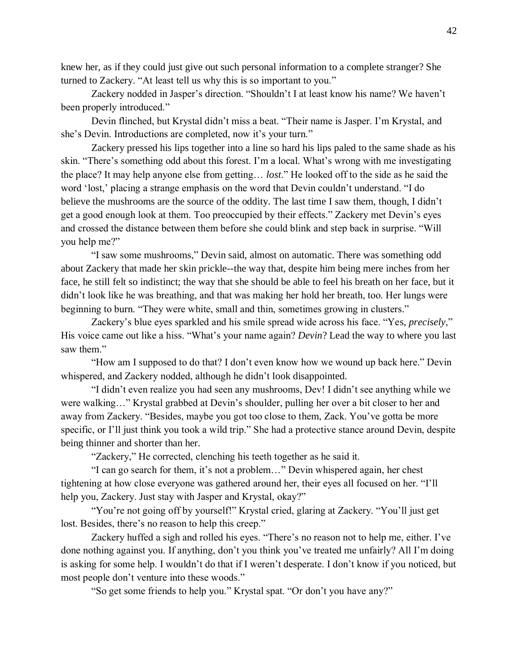knew her, as if they could just give out such personal information to a complete stranger? She turned to Zackery. "At least tell us why this is so important to you."

Zackery nodded in Jasper's direction. "Shouldn't I at least know his name? We haven't been properly introduced."

Devin flinched, but Krystal didn't miss a beat. "Their name is Jasper. I'm Krystal, and she's Devin. Introductions are completed, now it's your turn."

Zackery pressed his lips together into a line so hard his lips paled to the same shade as his skin. "There's something odd about this forest. I'm a local. What's wrong with me investigating the place? It may help anyone else from getting… *lost*." He looked off to the side as he said the word 'lost,' placing a strange emphasis on the word that Devin couldn't understand. "I do believe the mushrooms are the source of the oddity. The last time I saw them, though, I didn't get a good enough look at them. Too preoccupied by their effects." Zackery met Devin's eyes and crossed the distance between them before she could blink and step back in surprise. "Will you help me?"

"I saw some mushrooms," Devin said, almost on automatic. There was something odd about Zackery that made her skin prickle--the way that, despite him being mere inches from her face, he still felt so indistinct; the way that she should be able to feel his breath on her face, but it didn't look like he was breathing, and that was making her hold her breath, too. Her lungs were beginning to burn. "They were white, small and thin, sometimes growing in clusters."

Zackery's blue eyes sparkled and his smile spread wide across his face. "Yes, *precisely*," His voice came out like a hiss. "What's your name again? *Devin*? Lead the way to where you last saw them."

"How am I supposed to do that? I don't even know how we wound up back here." Devin whispered, and Zackery nodded, although he didn't look disappointed.

"I didn't even realize you had seen any mushrooms, Dev! I didn't see anything while we were walking…" Krystal grabbed at Devin's shoulder, pulling her over a bit closer to her and away from Zackery. "Besides, maybe you got too close to them, Zack. You've gotta be more specific, or I'll just think you took a wild trip." She had a protective stance around Devin, despite being thinner and shorter than her.

"Zackery," He corrected, clenching his teeth together as he said it.

"I can go search for them, it's not a problem…" Devin whispered again, her chest tightening at how close everyone was gathered around her, their eyes all focused on her. "I'll help you, Zackery. Just stay with Jasper and Krystal, okay?"

"You're not going off by yourself!" Krystal cried, glaring at Zackery. "You'll just get lost. Besides, there's no reason to help this creep."

Zackery huffed a sigh and rolled his eyes. "There's no reason not to help me, either. I've done nothing against you. If anything, don't you think you've treated me unfairly? All I'm doing is asking for some help. I wouldn't do that if I weren't desperate. I don't know if you noticed, but most people don't venture into these woods."

"So get some friends to help you." Krystal spat. "Or don't you have any?"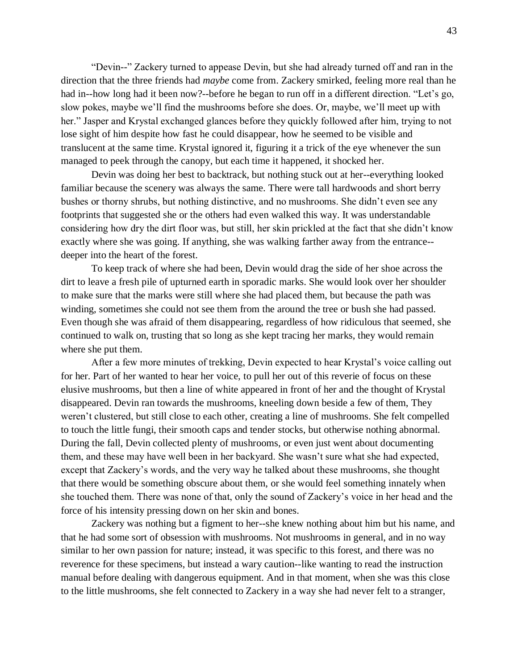"Devin--" Zackery turned to appease Devin, but she had already turned off and ran in the direction that the three friends had *maybe* come from. Zackery smirked, feeling more real than he had in--how long had it been now?--before he began to run off in a different direction. "Let's go, slow pokes, maybe we'll find the mushrooms before she does. Or, maybe, we'll meet up with her." Jasper and Krystal exchanged glances before they quickly followed after him, trying to not lose sight of him despite how fast he could disappear, how he seemed to be visible and translucent at the same time. Krystal ignored it, figuring it a trick of the eye whenever the sun managed to peek through the canopy, but each time it happened, it shocked her.

Devin was doing her best to backtrack, but nothing stuck out at her--everything looked familiar because the scenery was always the same. There were tall hardwoods and short berry bushes or thorny shrubs, but nothing distinctive, and no mushrooms. She didn't even see any footprints that suggested she or the others had even walked this way. It was understandable considering how dry the dirt floor was, but still, her skin prickled at the fact that she didn't know exactly where she was going. If anything, she was walking farther away from the entrance- deeper into the heart of the forest.

To keep track of where she had been, Devin would drag the side of her shoe across the dirt to leave a fresh pile of upturned earth in sporadic marks. She would look over her shoulder to make sure that the marks were still where she had placed them, but because the path was winding, sometimes she could not see them from the around the tree or bush she had passed. Even though she was afraid of them disappearing, regardless of how ridiculous that seemed, she continued to walk on, trusting that so long as she kept tracing her marks, they would remain where she put them.

After a few more minutes of trekking, Devin expected to hear Krystal's voice calling out for her. Part of her wanted to hear her voice, to pull her out of this reverie of focus on these elusive mushrooms, but then a line of white appeared in front of her and the thought of Krystal disappeared. Devin ran towards the mushrooms, kneeling down beside a few of them, They weren't clustered, but still close to each other, creating a line of mushrooms. She felt compelled to touch the little fungi, their smooth caps and tender stocks, but otherwise nothing abnormal. During the fall, Devin collected plenty of mushrooms, or even just went about documenting them, and these may have well been in her backyard. She wasn't sure what she had expected, except that Zackery's words, and the very way he talked about these mushrooms, she thought that there would be something obscure about them, or she would feel something innately when she touched them. There was none of that, only the sound of Zackery's voice in her head and the force of his intensity pressing down on her skin and bones.

Zackery was nothing but a figment to her--she knew nothing about him but his name, and that he had some sort of obsession with mushrooms. Not mushrooms in general, and in no way similar to her own passion for nature; instead, it was specific to this forest, and there was no reverence for these specimens, but instead a wary caution--like wanting to read the instruction manual before dealing with dangerous equipment. And in that moment, when she was this close to the little mushrooms, she felt connected to Zackery in a way she had never felt to a stranger,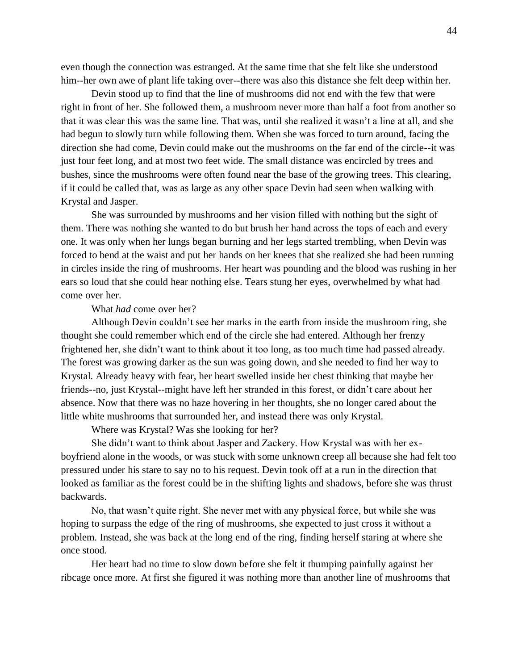even though the connection was estranged. At the same time that she felt like she understood him--her own awe of plant life taking over--there was also this distance she felt deep within her.

Devin stood up to find that the line of mushrooms did not end with the few that were right in front of her. She followed them, a mushroom never more than half a foot from another so that it was clear this was the same line. That was, until she realized it wasn't a line at all, and she had begun to slowly turn while following them. When she was forced to turn around, facing the direction she had come, Devin could make out the mushrooms on the far end of the circle--it was just four feet long, and at most two feet wide. The small distance was encircled by trees and bushes, since the mushrooms were often found near the base of the growing trees. This clearing, if it could be called that, was as large as any other space Devin had seen when walking with Krystal and Jasper.

She was surrounded by mushrooms and her vision filled with nothing but the sight of them. There was nothing she wanted to do but brush her hand across the tops of each and every one. It was only when her lungs began burning and her legs started trembling, when Devin was forced to bend at the waist and put her hands on her knees that she realized she had been running in circles inside the ring of mushrooms. Her heart was pounding and the blood was rushing in her ears so loud that she could hear nothing else. Tears stung her eyes, overwhelmed by what had come over her.

## What *had* come over her?

Although Devin couldn't see her marks in the earth from inside the mushroom ring, she thought she could remember which end of the circle she had entered. Although her frenzy frightened her, she didn't want to think about it too long, as too much time had passed already. The forest was growing darker as the sun was going down, and she needed to find her way to Krystal. Already heavy with fear, her heart swelled inside her chest thinking that maybe her friends--no, just Krystal--might have left her stranded in this forest, or didn't care about her absence. Now that there was no haze hovering in her thoughts, she no longer cared about the little white mushrooms that surrounded her, and instead there was only Krystal.

Where was Krystal? Was she looking for her?

She didn't want to think about Jasper and Zackery. How Krystal was with her exboyfriend alone in the woods, or was stuck with some unknown creep all because she had felt too pressured under his stare to say no to his request. Devin took off at a run in the direction that looked as familiar as the forest could be in the shifting lights and shadows, before she was thrust backwards.

No, that wasn't quite right. She never met with any physical force, but while she was hoping to surpass the edge of the ring of mushrooms, she expected to just cross it without a problem. Instead, she was back at the long end of the ring, finding herself staring at where she once stood.

Her heart had no time to slow down before she felt it thumping painfully against her ribcage once more. At first she figured it was nothing more than another line of mushrooms that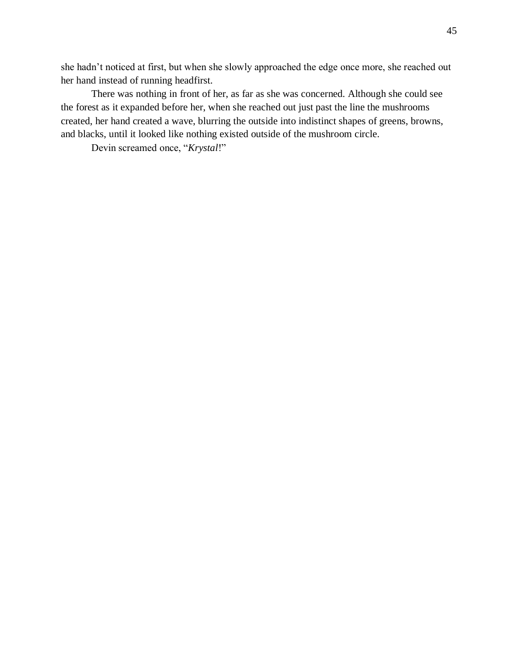she hadn't noticed at first, but when she slowly approached the edge once more, she reached out her hand instead of running headfirst.

There was nothing in front of her, as far as she was concerned. Although she could see the forest as it expanded before her, when she reached out just past the line the mushrooms created, her hand created a wave, blurring the outside into indistinct shapes of greens, browns, and blacks, until it looked like nothing existed outside of the mushroom circle.

Devin screamed once, "*Krystal*!"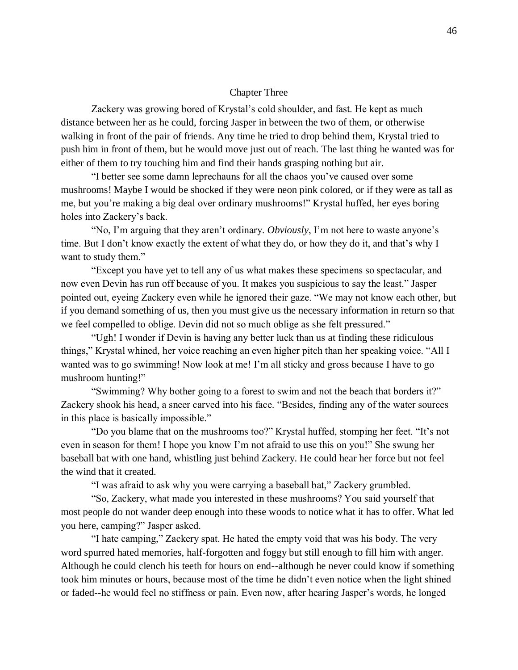# Chapter Three

Zackery was growing bored of Krystal's cold shoulder, and fast. He kept as much distance between her as he could, forcing Jasper in between the two of them, or otherwise walking in front of the pair of friends. Any time he tried to drop behind them, Krystal tried to push him in front of them, but he would move just out of reach. The last thing he wanted was for either of them to try touching him and find their hands grasping nothing but air.

"I better see some damn leprechauns for all the chaos you've caused over some mushrooms! Maybe I would be shocked if they were neon pink colored, or if they were as tall as me, but you're making a big deal over ordinary mushrooms!" Krystal huffed, her eyes boring holes into Zackery's back.

"No, I'm arguing that they aren't ordinary. *Obviously*, I'm not here to waste anyone's time. But I don't know exactly the extent of what they do, or how they do it, and that's why I want to study them."

"Except you have yet to tell any of us what makes these specimens so spectacular, and now even Devin has run off because of you. It makes you suspicious to say the least." Jasper pointed out, eyeing Zackery even while he ignored their gaze. "We may not know each other, but if you demand something of us, then you must give us the necessary information in return so that we feel compelled to oblige. Devin did not so much oblige as she felt pressured."

"Ugh! I wonder if Devin is having any better luck than us at finding these ridiculous things," Krystal whined, her voice reaching an even higher pitch than her speaking voice. "All I wanted was to go swimming! Now look at me! I'm all sticky and gross because I have to go mushroom hunting!"

"Swimming? Why bother going to a forest to swim and not the beach that borders it?" Zackery shook his head, a sneer carved into his face. "Besides, finding any of the water sources in this place is basically impossible."

"Do you blame that on the mushrooms too?" Krystal huffed, stomping her feet. "It's not even in season for them! I hope you know I'm not afraid to use this on you!" She swung her baseball bat with one hand, whistling just behind Zackery. He could hear her force but not feel the wind that it created.

"I was afraid to ask why you were carrying a baseball bat," Zackery grumbled.

"So, Zackery, what made you interested in these mushrooms? You said yourself that most people do not wander deep enough into these woods to notice what it has to offer. What led you here, camping?" Jasper asked.

"I hate camping," Zackery spat. He hated the empty void that was his body. The very word spurred hated memories, half-forgotten and foggy but still enough to fill him with anger. Although he could clench his teeth for hours on end--although he never could know if something took him minutes or hours, because most of the time he didn't even notice when the light shined or faded--he would feel no stiffness or pain. Even now, after hearing Jasper's words, he longed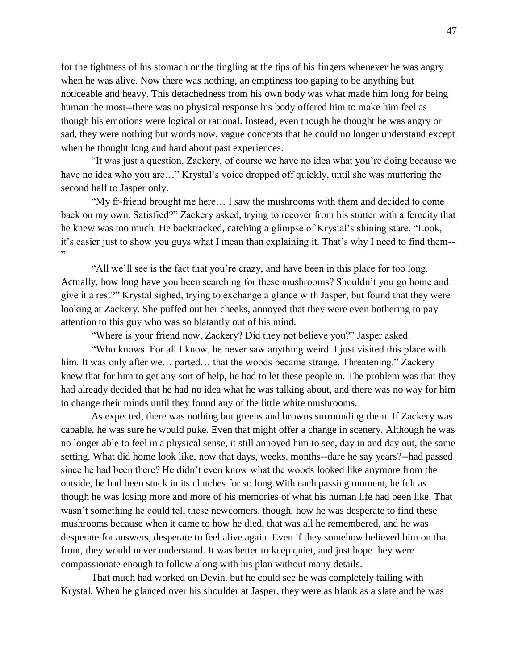for the tightness of his stomach or the tingling at the tips of his fingers whenever he was angry when he was alive. Now there was nothing, an emptiness too gaping to be anything but noticeable and heavy. This detachedness from his own body was what made him long for being human the most--there was no physical response his body offered him to make him feel as though his emotions were logical or rational. Instead, even though he thought he was angry or sad, they were nothing but words now, vague concepts that he could no longer understand except when he thought long and hard about past experiences.

"It was just a question, Zackery, of course we have no idea what you're doing because we have no idea who you are..." Krystal's voice dropped off quickly, until she was muttering the second half to Jasper only.

"My fr-friend brought me here… I saw the mushrooms with them and decided to come back on my own. Satisfied?" Zackery asked, trying to recover from his stutter with a ferocity that he knew was too much. He backtracked, catching a glimpse of Krystal's shining stare. "Look, it's easier just to show you guys what I mean than explaining it. That's why I need to find them-- "

"All we'll see is the fact that you're crazy, and have been in this place for too long. Actually, how long have you been searching for these mushrooms? Shouldn't you go home and give it a rest?" Krystal sighed, trying to exchange a glance with Jasper, but found that they were looking at Zackery. She puffed out her cheeks, annoyed that they were even bothering to pay attention to this guy who was so blatantly out of his mind.

"Where is your friend now, Zackery? Did they not believe you?" Jasper asked.

"Who knows. For all I know, he never saw anything weird. I just visited this place with him. It was only after we... parted... that the woods became strange. Threatening." Zackery knew that for him to get any sort of help, he had to let these people in. The problem was that they had already decided that he had no idea what he was talking about, and there was no way for him to change their minds until they found any of the little white mushrooms.

As expected, there was nothing but greens and browns surrounding them. If Zackery was capable, he was sure he would puke. Even that might offer a change in scenery. Although he was no longer able to feel in a physical sense, it still annoyed him to see, day in and day out, the same setting. What did home look like, now that days, weeks, months--dare he say years?--had passed since he had been there? He didn't even know what the woods looked like anymore from the outside, he had been stuck in its clutches for so long.With each passing moment, he felt as though he was losing more and more of his memories of what his human life had been like. That wasn't something he could tell these newcomers, though, how he was desperate to find these mushrooms because when it came to how he died, that was all he remembered, and he was desperate for answers, desperate to feel alive again. Even if they somehow believed him on that front, they would never understand. It was better to keep quiet, and just hope they were compassionate enough to follow along with his plan without many details.

That much had worked on Devin, but he could see he was completely failing with Krystal. When he glanced over his shoulder at Jasper, they were as blank as a slate and he was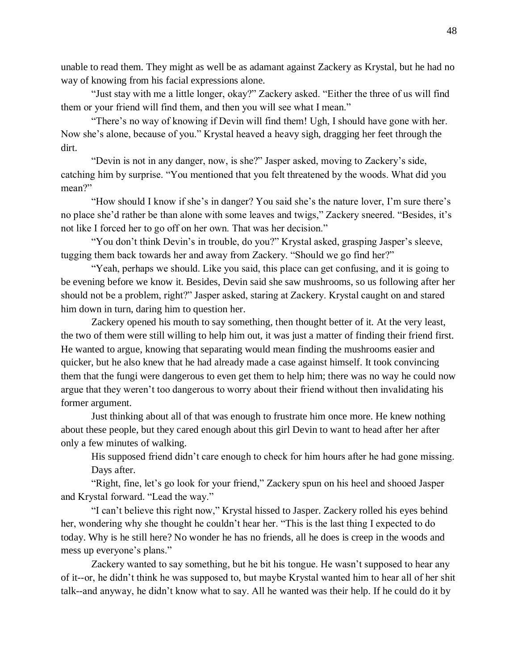unable to read them. They might as well be as adamant against Zackery as Krystal, but he had no way of knowing from his facial expressions alone.

"Just stay with me a little longer, okay?" Zackery asked. "Either the three of us will find them or your friend will find them, and then you will see what I mean."

"There's no way of knowing if Devin will find them! Ugh, I should have gone with her. Now she's alone, because of you." Krystal heaved a heavy sigh, dragging her feet through the dirt.

"Devin is not in any danger, now, is she?" Jasper asked, moving to Zackery's side, catching him by surprise. "You mentioned that you felt threatened by the woods. What did you mean?"

"How should I know if she's in danger? You said she's the nature lover, I'm sure there's no place she'd rather be than alone with some leaves and twigs," Zackery sneered. "Besides, it's not like I forced her to go off on her own. That was her decision."

"You don't think Devin's in trouble, do you?" Krystal asked, grasping Jasper's sleeve, tugging them back towards her and away from Zackery. "Should we go find her?"

"Yeah, perhaps we should. Like you said, this place can get confusing, and it is going to be evening before we know it. Besides, Devin said she saw mushrooms, so us following after her should not be a problem, right?" Jasper asked, staring at Zackery. Krystal caught on and stared him down in turn, daring him to question her.

Zackery opened his mouth to say something, then thought better of it. At the very least, the two of them were still willing to help him out, it was just a matter of finding their friend first. He wanted to argue, knowing that separating would mean finding the mushrooms easier and quicker, but he also knew that he had already made a case against himself. It took convincing them that the fungi were dangerous to even get them to help him; there was no way he could now argue that they weren't too dangerous to worry about their friend without then invalidating his former argument.

Just thinking about all of that was enough to frustrate him once more. He knew nothing about these people, but they cared enough about this girl Devin to want to head after her after only a few minutes of walking.

His supposed friend didn't care enough to check for him hours after he had gone missing. Days after.

"Right, fine, let's go look for your friend," Zackery spun on his heel and shooed Jasper and Krystal forward. "Lead the way."

"I can't believe this right now," Krystal hissed to Jasper. Zackery rolled his eyes behind her, wondering why she thought he couldn't hear her. "This is the last thing I expected to do today. Why is he still here? No wonder he has no friends, all he does is creep in the woods and mess up everyone's plans."

Zackery wanted to say something, but he bit his tongue. He wasn't supposed to hear any of it--or, he didn't think he was supposed to, but maybe Krystal wanted him to hear all of her shit talk--and anyway, he didn't know what to say. All he wanted was their help. If he could do it by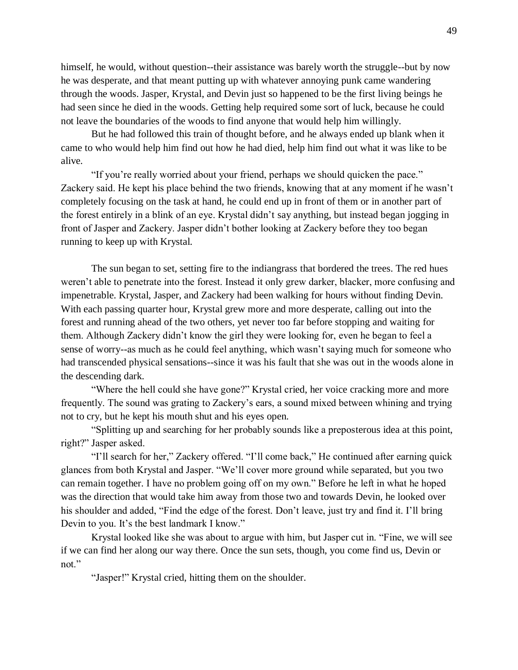himself, he would, without question--their assistance was barely worth the struggle--but by now he was desperate, and that meant putting up with whatever annoying punk came wandering through the woods. Jasper, Krystal, and Devin just so happened to be the first living beings he had seen since he died in the woods. Getting help required some sort of luck, because he could not leave the boundaries of the woods to find anyone that would help him willingly.

But he had followed this train of thought before, and he always ended up blank when it came to who would help him find out how he had died, help him find out what it was like to be alive.

"If you're really worried about your friend, perhaps we should quicken the pace." Zackery said. He kept his place behind the two friends, knowing that at any moment if he wasn't completely focusing on the task at hand, he could end up in front of them or in another part of the forest entirely in a blink of an eye. Krystal didn't say anything, but instead began jogging in front of Jasper and Zackery. Jasper didn't bother looking at Zackery before they too began running to keep up with Krystal.

The sun began to set, setting fire to the indiangrass that bordered the trees. The red hues weren't able to penetrate into the forest. Instead it only grew darker, blacker, more confusing and impenetrable. Krystal, Jasper, and Zackery had been walking for hours without finding Devin. With each passing quarter hour, Krystal grew more and more desperate, calling out into the forest and running ahead of the two others, yet never too far before stopping and waiting for them. Although Zackery didn't know the girl they were looking for, even he began to feel a sense of worry--as much as he could feel anything, which wasn't saying much for someone who had transcended physical sensations--since it was his fault that she was out in the woods alone in the descending dark.

"Where the hell could she have gone?" Krystal cried, her voice cracking more and more frequently. The sound was grating to Zackery's ears, a sound mixed between whining and trying not to cry, but he kept his mouth shut and his eyes open.

"Splitting up and searching for her probably sounds like a preposterous idea at this point, right?" Jasper asked.

"I'll search for her," Zackery offered. "I'll come back," He continued after earning quick glances from both Krystal and Jasper. "We'll cover more ground while separated, but you two can remain together. I have no problem going off on my own." Before he left in what he hoped was the direction that would take him away from those two and towards Devin, he looked over his shoulder and added, "Find the edge of the forest. Don't leave, just try and find it. I'll bring Devin to you. It's the best landmark I know."

Krystal looked like she was about to argue with him, but Jasper cut in. "Fine, we will see if we can find her along our way there. Once the sun sets, though, you come find us, Devin or not."

"Jasper!" Krystal cried, hitting them on the shoulder.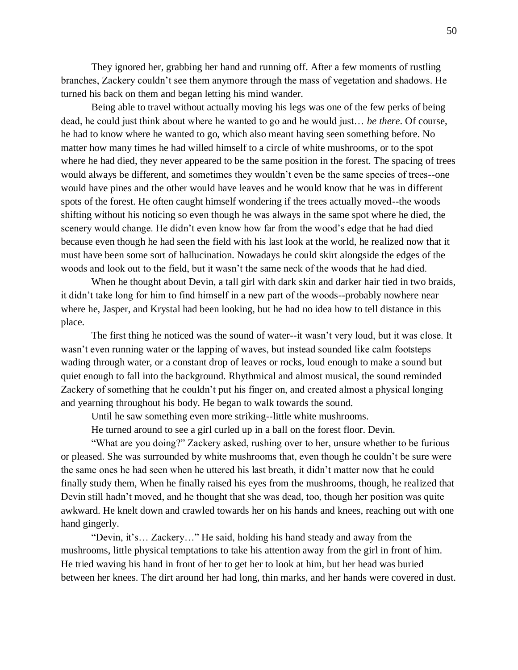They ignored her, grabbing her hand and running off. After a few moments of rustling branches, Zackery couldn't see them anymore through the mass of vegetation and shadows. He turned his back on them and began letting his mind wander.

Being able to travel without actually moving his legs was one of the few perks of being dead, he could just think about where he wanted to go and he would just… *be there*. Of course, he had to know where he wanted to go, which also meant having seen something before. No matter how many times he had willed himself to a circle of white mushrooms, or to the spot where he had died, they never appeared to be the same position in the forest. The spacing of trees would always be different, and sometimes they wouldn't even be the same species of trees--one would have pines and the other would have leaves and he would know that he was in different spots of the forest. He often caught himself wondering if the trees actually moved--the woods shifting without his noticing so even though he was always in the same spot where he died, the scenery would change. He didn't even know how far from the wood's edge that he had died because even though he had seen the field with his last look at the world, he realized now that it must have been some sort of hallucination. Nowadays he could skirt alongside the edges of the woods and look out to the field, but it wasn't the same neck of the woods that he had died.

When he thought about Devin, a tall girl with dark skin and darker hair tied in two braids, it didn't take long for him to find himself in a new part of the woods--probably nowhere near where he, Jasper, and Krystal had been looking, but he had no idea how to tell distance in this place.

The first thing he noticed was the sound of water--it wasn't very loud, but it was close. It wasn't even running water or the lapping of waves, but instead sounded like calm footsteps wading through water, or a constant drop of leaves or rocks, loud enough to make a sound but quiet enough to fall into the background. Rhythmical and almost musical, the sound reminded Zackery of something that he couldn't put his finger on, and created almost a physical longing and yearning throughout his body. He began to walk towards the sound.

Until he saw something even more striking--little white mushrooms.

He turned around to see a girl curled up in a ball on the forest floor. Devin.

"What are you doing?" Zackery asked, rushing over to her, unsure whether to be furious or pleased. She was surrounded by white mushrooms that, even though he couldn't be sure were the same ones he had seen when he uttered his last breath, it didn't matter now that he could finally study them, When he finally raised his eyes from the mushrooms, though, he realized that Devin still hadn't moved, and he thought that she was dead, too, though her position was quite awkward. He knelt down and crawled towards her on his hands and knees, reaching out with one hand gingerly.

"Devin, it's… Zackery…" He said, holding his hand steady and away from the mushrooms, little physical temptations to take his attention away from the girl in front of him. He tried waving his hand in front of her to get her to look at him, but her head was buried between her knees. The dirt around her had long, thin marks, and her hands were covered in dust.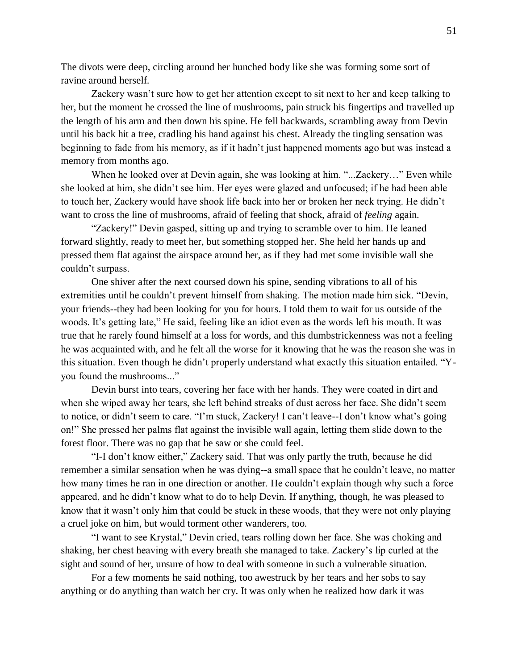The divots were deep, circling around her hunched body like she was forming some sort of ravine around herself.

Zackery wasn't sure how to get her attention except to sit next to her and keep talking to her, but the moment he crossed the line of mushrooms, pain struck his fingertips and travelled up the length of his arm and then down his spine. He fell backwards, scrambling away from Devin until his back hit a tree, cradling his hand against his chest. Already the tingling sensation was beginning to fade from his memory, as if it hadn't just happened moments ago but was instead a memory from months ago.

When he looked over at Devin again, she was looking at him. "...Zackery..." Even while she looked at him, she didn't see him. Her eyes were glazed and unfocused; if he had been able to touch her, Zackery would have shook life back into her or broken her neck trying. He didn't want to cross the line of mushrooms, afraid of feeling that shock, afraid of *feeling* again.

"Zackery!" Devin gasped, sitting up and trying to scramble over to him. He leaned forward slightly, ready to meet her, but something stopped her. She held her hands up and pressed them flat against the airspace around her, as if they had met some invisible wall she couldn't surpass.

One shiver after the next coursed down his spine, sending vibrations to all of his extremities until he couldn't prevent himself from shaking. The motion made him sick. "Devin, your friends--they had been looking for you for hours. I told them to wait for us outside of the woods. It's getting late," He said, feeling like an idiot even as the words left his mouth. It was true that he rarely found himself at a loss for words, and this dumbstrickenness was not a feeling he was acquainted with, and he felt all the worse for it knowing that he was the reason she was in this situation. Even though he didn't properly understand what exactly this situation entailed. "Yyou found the mushrooms..."

Devin burst into tears, covering her face with her hands. They were coated in dirt and when she wiped away her tears, she left behind streaks of dust across her face. She didn't seem to notice, or didn't seem to care. "I'm stuck, Zackery! I can't leave--I don't know what's going on!" She pressed her palms flat against the invisible wall again, letting them slide down to the forest floor. There was no gap that he saw or she could feel.

"I-I don't know either," Zackery said. That was only partly the truth, because he did remember a similar sensation when he was dying--a small space that he couldn't leave, no matter how many times he ran in one direction or another. He couldn't explain though why such a force appeared, and he didn't know what to do to help Devin. If anything, though, he was pleased to know that it wasn't only him that could be stuck in these woods, that they were not only playing a cruel joke on him, but would torment other wanderers, too.

"I want to see Krystal," Devin cried, tears rolling down her face. She was choking and shaking, her chest heaving with every breath she managed to take. Zackery's lip curled at the sight and sound of her, unsure of how to deal with someone in such a vulnerable situation.

For a few moments he said nothing, too awestruck by her tears and her sobs to say anything or do anything than watch her cry. It was only when he realized how dark it was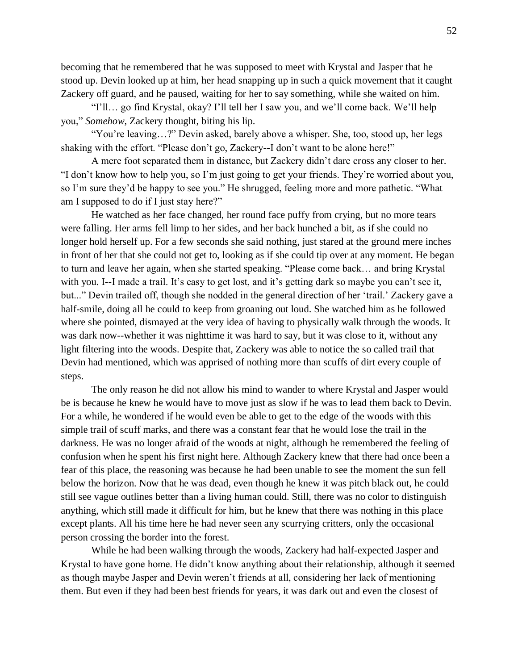becoming that he remembered that he was supposed to meet with Krystal and Jasper that he stood up. Devin looked up at him, her head snapping up in such a quick movement that it caught Zackery off guard, and he paused, waiting for her to say something, while she waited on him.

"I'll… go find Krystal, okay? I'll tell her I saw you, and we'll come back. We'll help you," *Somehow*, Zackery thought, biting his lip.

"You're leaving…?" Devin asked, barely above a whisper. She, too, stood up, her legs shaking with the effort. "Please don't go, Zackery--I don't want to be alone here!"

A mere foot separated them in distance, but Zackery didn't dare cross any closer to her. "I don't know how to help you, so I'm just going to get your friends. They're worried about you, so I'm sure they'd be happy to see you." He shrugged, feeling more and more pathetic. "What am I supposed to do if I just stay here?"

He watched as her face changed, her round face puffy from crying, but no more tears were falling. Her arms fell limp to her sides, and her back hunched a bit, as if she could no longer hold herself up. For a few seconds she said nothing, just stared at the ground mere inches in front of her that she could not get to, looking as if she could tip over at any moment. He began to turn and leave her again, when she started speaking. "Please come back… and bring Krystal with you. I--I made a trail. It's easy to get lost, and it's getting dark so maybe you can't see it, but..." Devin trailed off, though she nodded in the general direction of her 'trail.' Zackery gave a half-smile, doing all he could to keep from groaning out loud. She watched him as he followed where she pointed, dismayed at the very idea of having to physically walk through the woods. It was dark now--whether it was nighttime it was hard to say, but it was close to it, without any light filtering into the woods. Despite that, Zackery was able to notice the so called trail that Devin had mentioned, which was apprised of nothing more than scuffs of dirt every couple of steps.

The only reason he did not allow his mind to wander to where Krystal and Jasper would be is because he knew he would have to move just as slow if he was to lead them back to Devin. For a while, he wondered if he would even be able to get to the edge of the woods with this simple trail of scuff marks, and there was a constant fear that he would lose the trail in the darkness. He was no longer afraid of the woods at night, although he remembered the feeling of confusion when he spent his first night here. Although Zackery knew that there had once been a fear of this place, the reasoning was because he had been unable to see the moment the sun fell below the horizon. Now that he was dead, even though he knew it was pitch black out, he could still see vague outlines better than a living human could. Still, there was no color to distinguish anything, which still made it difficult for him, but he knew that there was nothing in this place except plants. All his time here he had never seen any scurrying critters, only the occasional person crossing the border into the forest.

While he had been walking through the woods, Zackery had half-expected Jasper and Krystal to have gone home. He didn't know anything about their relationship, although it seemed as though maybe Jasper and Devin weren't friends at all, considering her lack of mentioning them. But even if they had been best friends for years, it was dark out and even the closest of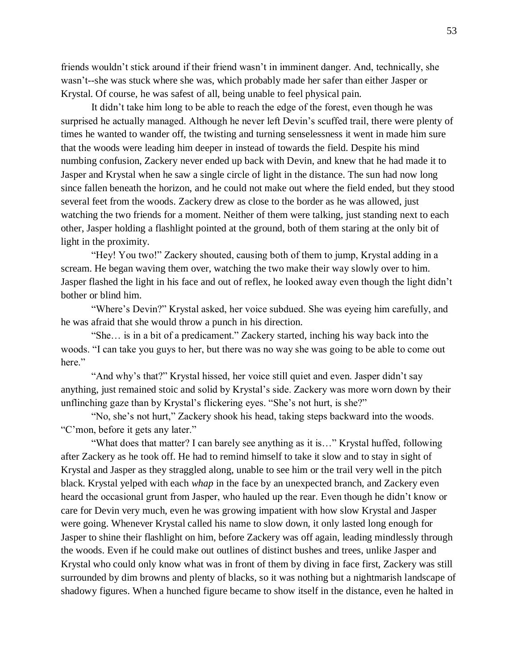friends wouldn't stick around if their friend wasn't in imminent danger. And, technically, she wasn't--she was stuck where she was, which probably made her safer than either Jasper or Krystal. Of course, he was safest of all, being unable to feel physical pain.

It didn't take him long to be able to reach the edge of the forest, even though he was surprised he actually managed. Although he never left Devin's scuffed trail, there were plenty of times he wanted to wander off, the twisting and turning senselessness it went in made him sure that the woods were leading him deeper in instead of towards the field. Despite his mind numbing confusion, Zackery never ended up back with Devin, and knew that he had made it to Jasper and Krystal when he saw a single circle of light in the distance. The sun had now long since fallen beneath the horizon, and he could not make out where the field ended, but they stood several feet from the woods. Zackery drew as close to the border as he was allowed, just watching the two friends for a moment. Neither of them were talking, just standing next to each other, Jasper holding a flashlight pointed at the ground, both of them staring at the only bit of light in the proximity.

"Hey! You two!" Zackery shouted, causing both of them to jump, Krystal adding in a scream. He began waving them over, watching the two make their way slowly over to him. Jasper flashed the light in his face and out of reflex, he looked away even though the light didn't bother or blind him.

"Where's Devin?" Krystal asked, her voice subdued. She was eyeing him carefully, and he was afraid that she would throw a punch in his direction.

"She… is in a bit of a predicament." Zackery started, inching his way back into the woods. "I can take you guys to her, but there was no way she was going to be able to come out here."

"And why's that?" Krystal hissed, her voice still quiet and even. Jasper didn't say anything, just remained stoic and solid by Krystal's side. Zackery was more worn down by their unflinching gaze than by Krystal's flickering eyes. "She's not hurt, is she?"

"No, she's not hurt," Zackery shook his head, taking steps backward into the woods. "C'mon, before it gets any later."

"What does that matter? I can barely see anything as it is…" Krystal huffed, following after Zackery as he took off. He had to remind himself to take it slow and to stay in sight of Krystal and Jasper as they straggled along, unable to see him or the trail very well in the pitch black. Krystal yelped with each *whap* in the face by an unexpected branch, and Zackery even heard the occasional grunt from Jasper, who hauled up the rear. Even though he didn't know or care for Devin very much, even he was growing impatient with how slow Krystal and Jasper were going. Whenever Krystal called his name to slow down, it only lasted long enough for Jasper to shine their flashlight on him, before Zackery was off again, leading mindlessly through the woods. Even if he could make out outlines of distinct bushes and trees, unlike Jasper and Krystal who could only know what was in front of them by diving in face first, Zackery was still surrounded by dim browns and plenty of blacks, so it was nothing but a nightmarish landscape of shadowy figures. When a hunched figure became to show itself in the distance, even he halted in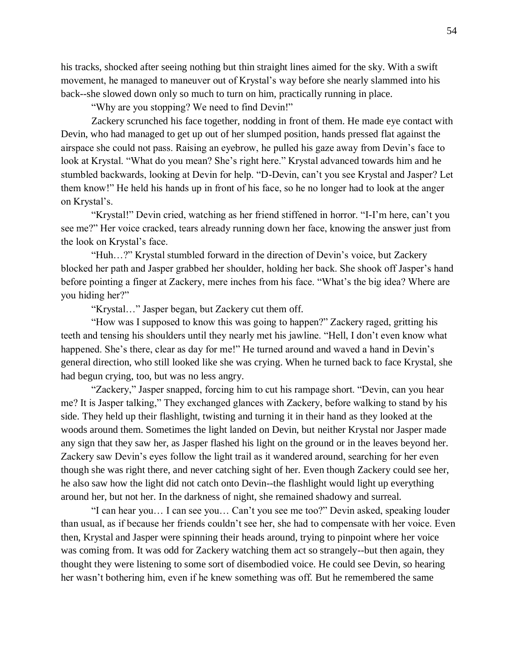his tracks, shocked after seeing nothing but thin straight lines aimed for the sky. With a swift movement, he managed to maneuver out of Krystal's way before she nearly slammed into his back--she slowed down only so much to turn on him, practically running in place.

"Why are you stopping? We need to find Devin!"

Zackery scrunched his face together, nodding in front of them. He made eye contact with Devin, who had managed to get up out of her slumped position, hands pressed flat against the airspace she could not pass. Raising an eyebrow, he pulled his gaze away from Devin's face to look at Krystal. "What do you mean? She's right here." Krystal advanced towards him and he stumbled backwards, looking at Devin for help. "D-Devin, can't you see Krystal and Jasper? Let them know!" He held his hands up in front of his face, so he no longer had to look at the anger on Krystal's.

"Krystal!" Devin cried, watching as her friend stiffened in horror. "I-I'm here, can't you see me?" Her voice cracked, tears already running down her face, knowing the answer just from the look on Krystal's face.

"Huh…?" Krystal stumbled forward in the direction of Devin's voice, but Zackery blocked her path and Jasper grabbed her shoulder, holding her back. She shook off Jasper's hand before pointing a finger at Zackery, mere inches from his face. "What's the big idea? Where are you hiding her?"

"Krystal…" Jasper began, but Zackery cut them off.

"How was I supposed to know this was going to happen?" Zackery raged, gritting his teeth and tensing his shoulders until they nearly met his jawline. "Hell, I don't even know what happened. She's there, clear as day for me!" He turned around and waved a hand in Devin's general direction, who still looked like she was crying. When he turned back to face Krystal, she had begun crying, too, but was no less angry.

"Zackery," Jasper snapped, forcing him to cut his rampage short. "Devin, can you hear me? It is Jasper talking," They exchanged glances with Zackery, before walking to stand by his side. They held up their flashlight, twisting and turning it in their hand as they looked at the woods around them. Sometimes the light landed on Devin, but neither Krystal nor Jasper made any sign that they saw her, as Jasper flashed his light on the ground or in the leaves beyond her. Zackery saw Devin's eyes follow the light trail as it wandered around, searching for her even though she was right there, and never catching sight of her. Even though Zackery could see her, he also saw how the light did not catch onto Devin--the flashlight would light up everything around her, but not her. In the darkness of night, she remained shadowy and surreal.

"I can hear you… I can see you… Can't you see me too?" Devin asked, speaking louder than usual, as if because her friends couldn't see her, she had to compensate with her voice. Even then, Krystal and Jasper were spinning their heads around, trying to pinpoint where her voice was coming from. It was odd for Zackery watching them act so strangely--but then again, they thought they were listening to some sort of disembodied voice. He could see Devin, so hearing her wasn't bothering him, even if he knew something was off. But he remembered the same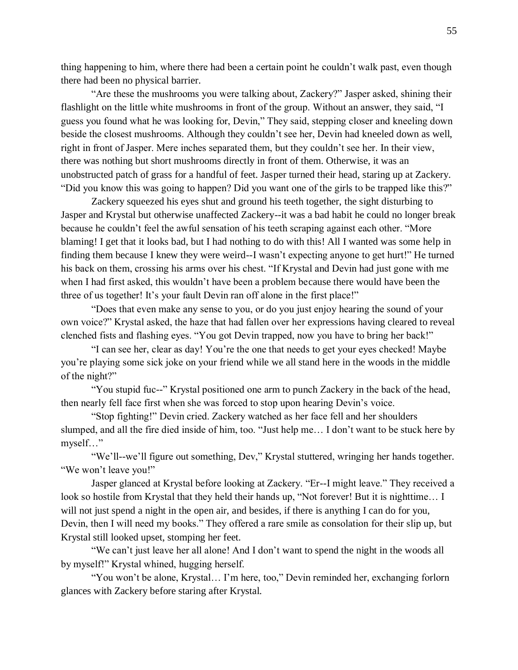thing happening to him, where there had been a certain point he couldn't walk past, even though there had been no physical barrier.

"Are these the mushrooms you were talking about, Zackery?" Jasper asked, shining their flashlight on the little white mushrooms in front of the group. Without an answer, they said, "I guess you found what he was looking for, Devin," They said, stepping closer and kneeling down beside the closest mushrooms. Although they couldn't see her, Devin had kneeled down as well, right in front of Jasper. Mere inches separated them, but they couldn't see her. In their view, there was nothing but short mushrooms directly in front of them. Otherwise, it was an unobstructed patch of grass for a handful of feet. Jasper turned their head, staring up at Zackery. "Did you know this was going to happen? Did you want one of the girls to be trapped like this?"

Zackery squeezed his eyes shut and ground his teeth together, the sight disturbing to Jasper and Krystal but otherwise unaffected Zackery--it was a bad habit he could no longer break because he couldn't feel the awful sensation of his teeth scraping against each other. "More blaming! I get that it looks bad, but I had nothing to do with this! All I wanted was some help in finding them because I knew they were weird--I wasn't expecting anyone to get hurt!" He turned his back on them, crossing his arms over his chest. "If Krystal and Devin had just gone with me when I had first asked, this wouldn't have been a problem because there would have been the three of us together! It's your fault Devin ran off alone in the first place!"

"Does that even make any sense to you, or do you just enjoy hearing the sound of your own voice?" Krystal asked, the haze that had fallen over her expressions having cleared to reveal clenched fists and flashing eyes. "You got Devin trapped, now you have to bring her back!"

"I can see her, clear as day! You're the one that needs to get your eyes checked! Maybe you're playing some sick joke on your friend while we all stand here in the woods in the middle of the night?"

"You stupid fuc--" Krystal positioned one arm to punch Zackery in the back of the head, then nearly fell face first when she was forced to stop upon hearing Devin's voice.

"Stop fighting!" Devin cried. Zackery watched as her face fell and her shoulders slumped, and all the fire died inside of him, too. "Just help me… I don't want to be stuck here by myself…"

"We'll--we'll figure out something, Dev," Krystal stuttered, wringing her hands together. "We won't leave you!"

Jasper glanced at Krystal before looking at Zackery. "Er--I might leave." They received a look so hostile from Krystal that they held their hands up, "Not forever! But it is nighttime… I will not just spend a night in the open air, and besides, if there is anything I can do for you, Devin, then I will need my books." They offered a rare smile as consolation for their slip up, but Krystal still looked upset, stomping her feet.

"We can't just leave her all alone! And I don't want to spend the night in the woods all by myself!" Krystal whined, hugging herself.

"You won't be alone, Krystal… I'm here, too," Devin reminded her, exchanging forlorn glances with Zackery before staring after Krystal.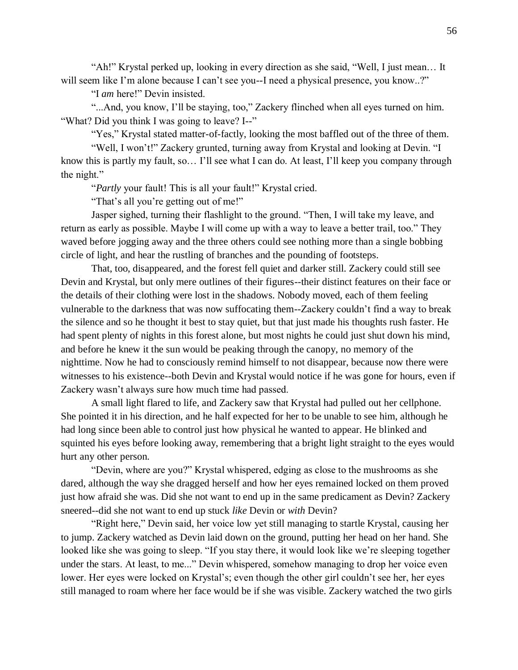"Ah!" Krystal perked up, looking in every direction as she said, "Well, I just mean… It will seem like I'm alone because I can't see you--I need a physical presence, you know..?"

"I *am* here!" Devin insisted.

"...And, you know, I'll be staying, too," Zackery flinched when all eyes turned on him. "What? Did you think I was going to leave? I--"

"Yes," Krystal stated matter-of-factly, looking the most baffled out of the three of them.

"Well, I won't!" Zackery grunted, turning away from Krystal and looking at Devin. "I know this is partly my fault, so… I'll see what I can do. At least, I'll keep you company through the night."

"*Partly* your fault! This is all your fault!" Krystal cried.

"That's all you're getting out of me!"

Jasper sighed, turning their flashlight to the ground. "Then, I will take my leave, and return as early as possible. Maybe I will come up with a way to leave a better trail, too." They waved before jogging away and the three others could see nothing more than a single bobbing circle of light, and hear the rustling of branches and the pounding of footsteps.

That, too, disappeared, and the forest fell quiet and darker still. Zackery could still see Devin and Krystal, but only mere outlines of their figures--their distinct features on their face or the details of their clothing were lost in the shadows. Nobody moved, each of them feeling vulnerable to the darkness that was now suffocating them--Zackery couldn't find a way to break the silence and so he thought it best to stay quiet, but that just made his thoughts rush faster. He had spent plenty of nights in this forest alone, but most nights he could just shut down his mind, and before he knew it the sun would be peaking through the canopy, no memory of the nighttime. Now he had to consciously remind himself to not disappear, because now there were witnesses to his existence--both Devin and Krystal would notice if he was gone for hours, even if Zackery wasn't always sure how much time had passed.

A small light flared to life, and Zackery saw that Krystal had pulled out her cellphone. She pointed it in his direction, and he half expected for her to be unable to see him, although he had long since been able to control just how physical he wanted to appear. He blinked and squinted his eyes before looking away, remembering that a bright light straight to the eyes would hurt any other person.

"Devin, where are you?" Krystal whispered, edging as close to the mushrooms as she dared, although the way she dragged herself and how her eyes remained locked on them proved just how afraid she was. Did she not want to end up in the same predicament as Devin? Zackery sneered--did she not want to end up stuck *like* Devin or *with* Devin?

"Right here," Devin said, her voice low yet still managing to startle Krystal, causing her to jump. Zackery watched as Devin laid down on the ground, putting her head on her hand. She looked like she was going to sleep. "If you stay there, it would look like we're sleeping together under the stars. At least, to me..." Devin whispered, somehow managing to drop her voice even lower. Her eyes were locked on Krystal's; even though the other girl couldn't see her, her eyes still managed to roam where her face would be if she was visible. Zackery watched the two girls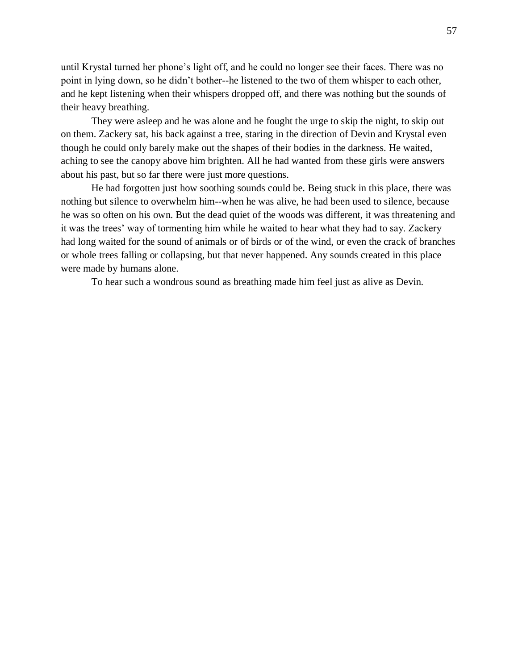until Krystal turned her phone's light off, and he could no longer see their faces. There was no point in lying down, so he didn't bother--he listened to the two of them whisper to each other, and he kept listening when their whispers dropped off, and there was nothing but the sounds of their heavy breathing.

They were asleep and he was alone and he fought the urge to skip the night, to skip out on them. Zackery sat, his back against a tree, staring in the direction of Devin and Krystal even though he could only barely make out the shapes of their bodies in the darkness. He waited, aching to see the canopy above him brighten. All he had wanted from these girls were answers about his past, but so far there were just more questions.

He had forgotten just how soothing sounds could be. Being stuck in this place, there was nothing but silence to overwhelm him--when he was alive, he had been used to silence, because he was so often on his own. But the dead quiet of the woods was different, it was threatening and it was the trees' way of tormenting him while he waited to hear what they had to say. Zackery had long waited for the sound of animals or of birds or of the wind, or even the crack of branches or whole trees falling or collapsing, but that never happened. Any sounds created in this place were made by humans alone.

To hear such a wondrous sound as breathing made him feel just as alive as Devin.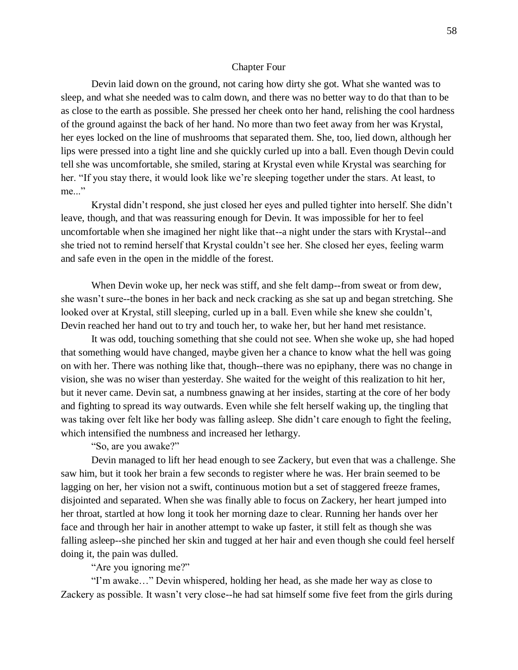#### Chapter Four

Devin laid down on the ground, not caring how dirty she got. What she wanted was to sleep, and what she needed was to calm down, and there was no better way to do that than to be as close to the earth as possible. She pressed her cheek onto her hand, relishing the cool hardness of the ground against the back of her hand. No more than two feet away from her was Krystal, her eyes locked on the line of mushrooms that separated them. She, too, lied down, although her lips were pressed into a tight line and she quickly curled up into a ball. Even though Devin could tell she was uncomfortable, she smiled, staring at Krystal even while Krystal was searching for her. "If you stay there, it would look like we're sleeping together under the stars. At least, to me..."

Krystal didn't respond, she just closed her eyes and pulled tighter into herself. She didn't leave, though, and that was reassuring enough for Devin. It was impossible for her to feel uncomfortable when she imagined her night like that--a night under the stars with Krystal--and she tried not to remind herself that Krystal couldn't see her. She closed her eyes, feeling warm and safe even in the open in the middle of the forest.

When Devin woke up, her neck was stiff, and she felt damp--from sweat or from dew, she wasn't sure--the bones in her back and neck cracking as she sat up and began stretching. She looked over at Krystal, still sleeping, curled up in a ball. Even while she knew she couldn't, Devin reached her hand out to try and touch her, to wake her, but her hand met resistance.

It was odd, touching something that she could not see. When she woke up, she had hoped that something would have changed, maybe given her a chance to know what the hell was going on with her. There was nothing like that, though--there was no epiphany, there was no change in vision, she was no wiser than yesterday. She waited for the weight of this realization to hit her, but it never came. Devin sat, a numbness gnawing at her insides, starting at the core of her body and fighting to spread its way outwards. Even while she felt herself waking up, the tingling that was taking over felt like her body was falling asleep. She didn't care enough to fight the feeling, which intensified the numbness and increased her lethargy.

### "So, are you awake?"

Devin managed to lift her head enough to see Zackery, but even that was a challenge. She saw him, but it took her brain a few seconds to register where he was. Her brain seemed to be lagging on her, her vision not a swift, continuous motion but a set of staggered freeze frames, disjointed and separated. When she was finally able to focus on Zackery, her heart jumped into her throat, startled at how long it took her morning daze to clear. Running her hands over her face and through her hair in another attempt to wake up faster, it still felt as though she was falling asleep--she pinched her skin and tugged at her hair and even though she could feel herself doing it, the pain was dulled.

"Are you ignoring me?"

"I'm awake…" Devin whispered, holding her head, as she made her way as close to Zackery as possible. It wasn't very close--he had sat himself some five feet from the girls during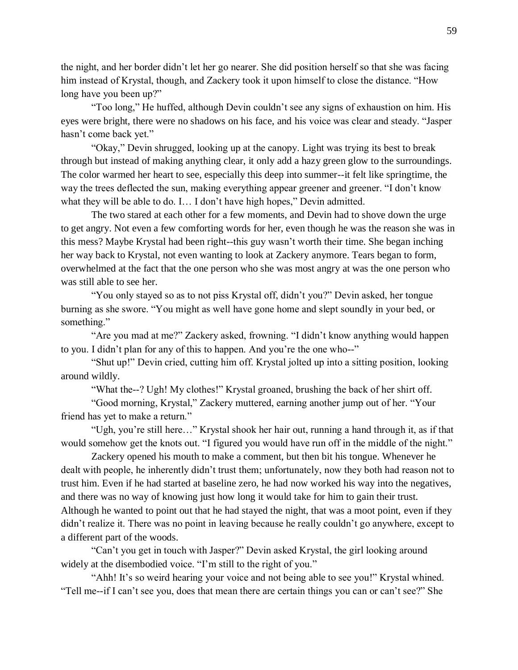the night, and her border didn't let her go nearer. She did position herself so that she was facing him instead of Krystal, though, and Zackery took it upon himself to close the distance. "How long have you been up?"

"Too long," He huffed, although Devin couldn't see any signs of exhaustion on him. His eyes were bright, there were no shadows on his face, and his voice was clear and steady. "Jasper hasn't come back yet."

"Okay," Devin shrugged, looking up at the canopy. Light was trying its best to break through but instead of making anything clear, it only add a hazy green glow to the surroundings. The color warmed her heart to see, especially this deep into summer--it felt like springtime, the way the trees deflected the sun, making everything appear greener and greener. "I don't know what they will be able to do. I... I don't have high hopes," Devin admitted.

The two stared at each other for a few moments, and Devin had to shove down the urge to get angry. Not even a few comforting words for her, even though he was the reason she was in this mess? Maybe Krystal had been right--this guy wasn't worth their time. She began inching her way back to Krystal, not even wanting to look at Zackery anymore. Tears began to form, overwhelmed at the fact that the one person who she was most angry at was the one person who was still able to see her.

"You only stayed so as to not piss Krystal off, didn't you?" Devin asked, her tongue burning as she swore. "You might as well have gone home and slept soundly in your bed, or something."

"Are you mad at me?" Zackery asked, frowning. "I didn't know anything would happen to you. I didn't plan for any of this to happen. And you're the one who--"

"Shut up!" Devin cried, cutting him off. Krystal jolted up into a sitting position, looking around wildly.

"What the--? Ugh! My clothes!" Krystal groaned, brushing the back of her shirt off.

"Good morning, Krystal," Zackery muttered, earning another jump out of her. "Your friend has yet to make a return."

"Ugh, you're still here…" Krystal shook her hair out, running a hand through it, as if that would somehow get the knots out. "I figured you would have run off in the middle of the night."

Zackery opened his mouth to make a comment, but then bit his tongue. Whenever he dealt with people, he inherently didn't trust them; unfortunately, now they both had reason not to trust him. Even if he had started at baseline zero, he had now worked his way into the negatives, and there was no way of knowing just how long it would take for him to gain their trust. Although he wanted to point out that he had stayed the night, that was a moot point, even if they didn't realize it. There was no point in leaving because he really couldn't go anywhere, except to a different part of the woods.

"Can't you get in touch with Jasper?" Devin asked Krystal, the girl looking around widely at the disembodied voice. "I'm still to the right of you."

"Ahh! It's so weird hearing your voice and not being able to see you!" Krystal whined. "Tell me--if I can't see you, does that mean there are certain things you can or can't see?" She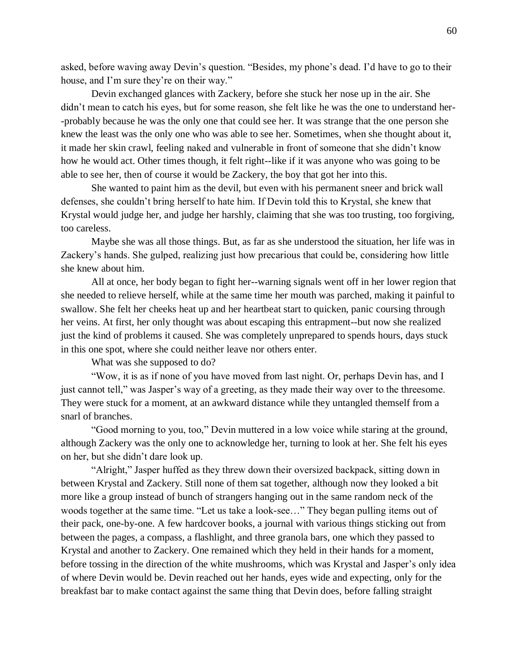asked, before waving away Devin's question. "Besides, my phone's dead. I'd have to go to their house, and I'm sure they're on their way."

Devin exchanged glances with Zackery, before she stuck her nose up in the air. She didn't mean to catch his eyes, but for some reason, she felt like he was the one to understand her--probably because he was the only one that could see her. It was strange that the one person she knew the least was the only one who was able to see her. Sometimes, when she thought about it, it made her skin crawl, feeling naked and vulnerable in front of someone that she didn't know how he would act. Other times though, it felt right--like if it was anyone who was going to be able to see her, then of course it would be Zackery, the boy that got her into this.

She wanted to paint him as the devil, but even with his permanent sneer and brick wall defenses, she couldn't bring herself to hate him. If Devin told this to Krystal, she knew that Krystal would judge her, and judge her harshly, claiming that she was too trusting, too forgiving, too careless.

Maybe she was all those things. But, as far as she understood the situation, her life was in Zackery's hands. She gulped, realizing just how precarious that could be, considering how little she knew about him.

All at once, her body began to fight her--warning signals went off in her lower region that she needed to relieve herself, while at the same time her mouth was parched, making it painful to swallow. She felt her cheeks heat up and her heartbeat start to quicken, panic coursing through her veins. At first, her only thought was about escaping this entrapment--but now she realized just the kind of problems it caused. She was completely unprepared to spends hours, days stuck in this one spot, where she could neither leave nor others enter.

What was she supposed to do?

"Wow, it is as if none of you have moved from last night. Or, perhaps Devin has, and I just cannot tell," was Jasper's way of a greeting, as they made their way over to the threesome. They were stuck for a moment, at an awkward distance while they untangled themself from a snarl of branches.

"Good morning to you, too," Devin muttered in a low voice while staring at the ground, although Zackery was the only one to acknowledge her, turning to look at her. She felt his eyes on her, but she didn't dare look up.

"Alright," Jasper huffed as they threw down their oversized backpack, sitting down in between Krystal and Zackery. Still none of them sat together, although now they looked a bit more like a group instead of bunch of strangers hanging out in the same random neck of the woods together at the same time. "Let us take a look-see…" They began pulling items out of their pack, one-by-one. A few hardcover books, a journal with various things sticking out from between the pages, a compass, a flashlight, and three granola bars, one which they passed to Krystal and another to Zackery. One remained which they held in their hands for a moment, before tossing in the direction of the white mushrooms, which was Krystal and Jasper's only idea of where Devin would be. Devin reached out her hands, eyes wide and expecting, only for the breakfast bar to make contact against the same thing that Devin does, before falling straight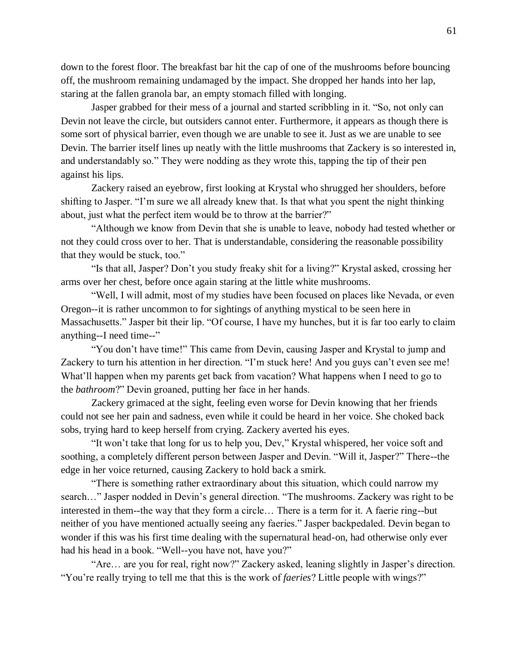down to the forest floor. The breakfast bar hit the cap of one of the mushrooms before bouncing off, the mushroom remaining undamaged by the impact. She dropped her hands into her lap, staring at the fallen granola bar, an empty stomach filled with longing.

Jasper grabbed for their mess of a journal and started scribbling in it. "So, not only can Devin not leave the circle, but outsiders cannot enter. Furthermore, it appears as though there is some sort of physical barrier, even though we are unable to see it. Just as we are unable to see Devin. The barrier itself lines up neatly with the little mushrooms that Zackery is so interested in, and understandably so." They were nodding as they wrote this, tapping the tip of their pen against his lips.

Zackery raised an eyebrow, first looking at Krystal who shrugged her shoulders, before shifting to Jasper. "I'm sure we all already knew that. Is that what you spent the night thinking about, just what the perfect item would be to throw at the barrier?"

"Although we know from Devin that she is unable to leave, nobody had tested whether or not they could cross over to her. That is understandable, considering the reasonable possibility that they would be stuck, too."

"Is that all, Jasper? Don't you study freaky shit for a living?" Krystal asked, crossing her arms over her chest, before once again staring at the little white mushrooms.

"Well, I will admit, most of my studies have been focused on places like Nevada, or even Oregon--it is rather uncommon to for sightings of anything mystical to be seen here in Massachusetts." Jasper bit their lip. "Of course, I have my hunches, but it is far too early to claim anything--I need time--"

"You don't have time!" This came from Devin, causing Jasper and Krystal to jump and Zackery to turn his attention in her direction. "I'm stuck here! And you guys can't even see me! What'll happen when my parents get back from vacation? What happens when I need to go to the *bathroom*?" Devin groaned, putting her face in her hands.

Zackery grimaced at the sight, feeling even worse for Devin knowing that her friends could not see her pain and sadness, even while it could be heard in her voice. She choked back sobs, trying hard to keep herself from crying. Zackery averted his eyes.

"It won't take that long for us to help you, Dev," Krystal whispered, her voice soft and soothing, a completely different person between Jasper and Devin. "Will it, Jasper?" There--the edge in her voice returned, causing Zackery to hold back a smirk.

"There is something rather extraordinary about this situation, which could narrow my search…" Jasper nodded in Devin's general direction. "The mushrooms. Zackery was right to be interested in them--the way that they form a circle… There is a term for it. A faerie ring--but neither of you have mentioned actually seeing any faeries." Jasper backpedaled. Devin began to wonder if this was his first time dealing with the supernatural head-on, had otherwise only ever had his head in a book. "Well--you have not, have you?"

"Are… are you for real, right now?" Zackery asked, leaning slightly in Jasper's direction. "You're really trying to tell me that this is the work of *faeries*? Little people with wings?"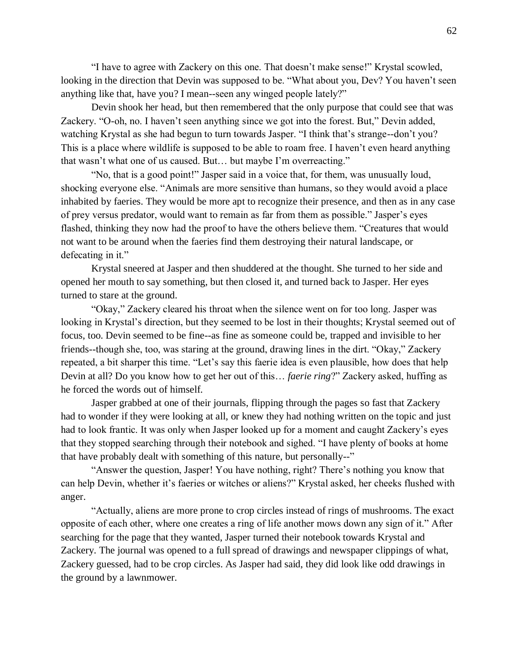"I have to agree with Zackery on this one. That doesn't make sense!" Krystal scowled, looking in the direction that Devin was supposed to be. "What about you, Dev? You haven't seen anything like that, have you? I mean--seen any winged people lately?"

Devin shook her head, but then remembered that the only purpose that could see that was Zackery. "O-oh, no. I haven't seen anything since we got into the forest. But," Devin added, watching Krystal as she had begun to turn towards Jasper. "I think that's strange--don't you? This is a place where wildlife is supposed to be able to roam free. I haven't even heard anything that wasn't what one of us caused. But… but maybe I'm overreacting."

"No, that is a good point!" Jasper said in a voice that, for them, was unusually loud, shocking everyone else. "Animals are more sensitive than humans, so they would avoid a place inhabited by faeries. They would be more apt to recognize their presence, and then as in any case of prey versus predator, would want to remain as far from them as possible." Jasper's eyes flashed, thinking they now had the proof to have the others believe them. "Creatures that would not want to be around when the faeries find them destroying their natural landscape, or defecating in it."

Krystal sneered at Jasper and then shuddered at the thought. She turned to her side and opened her mouth to say something, but then closed it, and turned back to Jasper. Her eyes turned to stare at the ground.

"Okay," Zackery cleared his throat when the silence went on for too long. Jasper was looking in Krystal's direction, but they seemed to be lost in their thoughts; Krystal seemed out of focus, too. Devin seemed to be fine--as fine as someone could be, trapped and invisible to her friends--though she, too, was staring at the ground, drawing lines in the dirt. "Okay," Zackery repeated, a bit sharper this time. "Let's say this faerie idea is even plausible, how does that help Devin at all? Do you know how to get her out of this… *faerie ring*?" Zackery asked, huffing as he forced the words out of himself.

Jasper grabbed at one of their journals, flipping through the pages so fast that Zackery had to wonder if they were looking at all, or knew they had nothing written on the topic and just had to look frantic. It was only when Jasper looked up for a moment and caught Zackery's eyes that they stopped searching through their notebook and sighed. "I have plenty of books at home that have probably dealt with something of this nature, but personally--"

"Answer the question, Jasper! You have nothing, right? There's nothing you know that can help Devin, whether it's faeries or witches or aliens?" Krystal asked, her cheeks flushed with anger.

"Actually, aliens are more prone to crop circles instead of rings of mushrooms. The exact opposite of each other, where one creates a ring of life another mows down any sign of it." After searching for the page that they wanted, Jasper turned their notebook towards Krystal and Zackery. The journal was opened to a full spread of drawings and newspaper clippings of what, Zackery guessed, had to be crop circles. As Jasper had said, they did look like odd drawings in the ground by a lawnmower.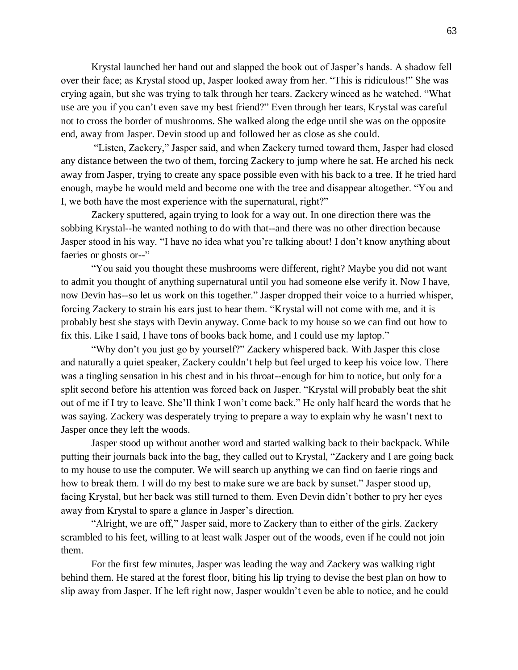Krystal launched her hand out and slapped the book out of Jasper's hands. A shadow fell over their face; as Krystal stood up, Jasper looked away from her. "This is ridiculous!" She was crying again, but she was trying to talk through her tears. Zackery winced as he watched. "What use are you if you can't even save my best friend?" Even through her tears, Krystal was careful not to cross the border of mushrooms. She walked along the edge until she was on the opposite end, away from Jasper. Devin stood up and followed her as close as she could.

"Listen, Zackery," Jasper said, and when Zackery turned toward them, Jasper had closed any distance between the two of them, forcing Zackery to jump where he sat. He arched his neck away from Jasper, trying to create any space possible even with his back to a tree. If he tried hard enough, maybe he would meld and become one with the tree and disappear altogether. "You and I, we both have the most experience with the supernatural, right?"

Zackery sputtered, again trying to look for a way out. In one direction there was the sobbing Krystal--he wanted nothing to do with that--and there was no other direction because Jasper stood in his way. "I have no idea what you're talking about! I don't know anything about faeries or ghosts or--"

"You said you thought these mushrooms were different, right? Maybe you did not want to admit you thought of anything supernatural until you had someone else verify it. Now I have, now Devin has--so let us work on this together." Jasper dropped their voice to a hurried whisper, forcing Zackery to strain his ears just to hear them. "Krystal will not come with me, and it is probably best she stays with Devin anyway. Come back to my house so we can find out how to fix this. Like I said, I have tons of books back home, and I could use my laptop."

"Why don't you just go by yourself?" Zackery whispered back. With Jasper this close and naturally a quiet speaker, Zackery couldn't help but feel urged to keep his voice low. There was a tingling sensation in his chest and in his throat--enough for him to notice, but only for a split second before his attention was forced back on Jasper. "Krystal will probably beat the shit out of me if I try to leave. She'll think I won't come back." He only half heard the words that he was saying. Zackery was desperately trying to prepare a way to explain why he wasn't next to Jasper once they left the woods.

Jasper stood up without another word and started walking back to their backpack. While putting their journals back into the bag, they called out to Krystal, "Zackery and I are going back to my house to use the computer. We will search up anything we can find on faerie rings and how to break them. I will do my best to make sure we are back by sunset." Jasper stood up, facing Krystal, but her back was still turned to them. Even Devin didn't bother to pry her eyes away from Krystal to spare a glance in Jasper's direction.

"Alright, we are off," Jasper said, more to Zackery than to either of the girls. Zackery scrambled to his feet, willing to at least walk Jasper out of the woods, even if he could not join them.

For the first few minutes, Jasper was leading the way and Zackery was walking right behind them. He stared at the forest floor, biting his lip trying to devise the best plan on how to slip away from Jasper. If he left right now, Jasper wouldn't even be able to notice, and he could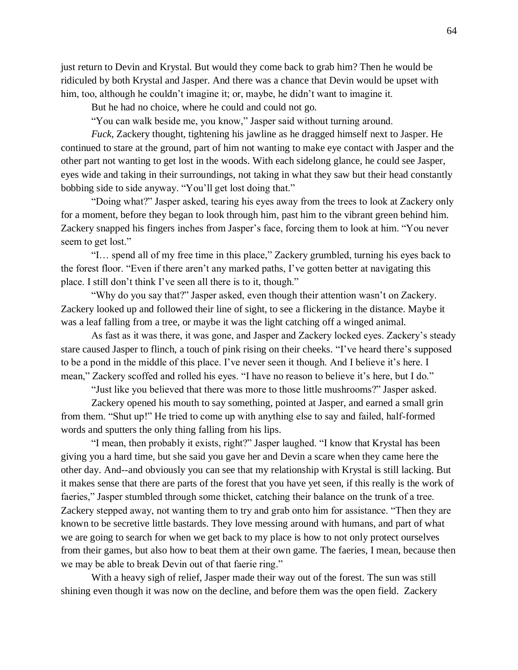just return to Devin and Krystal. But would they come back to grab him? Then he would be ridiculed by both Krystal and Jasper. And there was a chance that Devin would be upset with him, too, although he couldn't imagine it; or, maybe, he didn't want to imagine it.

But he had no choice, where he could and could not go.

"You can walk beside me, you know," Jasper said without turning around.

*Fuck*, Zackery thought, tightening his jawline as he dragged himself next to Jasper. He continued to stare at the ground, part of him not wanting to make eye contact with Jasper and the other part not wanting to get lost in the woods. With each sidelong glance, he could see Jasper, eyes wide and taking in their surroundings, not taking in what they saw but their head constantly bobbing side to side anyway. "You'll get lost doing that."

"Doing what?" Jasper asked, tearing his eyes away from the trees to look at Zackery only for a moment, before they began to look through him, past him to the vibrant green behind him. Zackery snapped his fingers inches from Jasper's face, forcing them to look at him. "You never seem to get lost."

"I… spend all of my free time in this place," Zackery grumbled, turning his eyes back to the forest floor. "Even if there aren't any marked paths, I've gotten better at navigating this place. I still don't think I've seen all there is to it, though."

"Why do you say that?" Jasper asked, even though their attention wasn't on Zackery. Zackery looked up and followed their line of sight, to see a flickering in the distance. Maybe it was a leaf falling from a tree, or maybe it was the light catching off a winged animal.

As fast as it was there, it was gone, and Jasper and Zackery locked eyes. Zackery's steady stare caused Jasper to flinch, a touch of pink rising on their cheeks. "I've heard there's supposed to be a pond in the middle of this place. I've never seen it though. And I believe it's here. I mean," Zackery scoffed and rolled his eyes. "I have no reason to believe it's here, but I do."

"Just like you believed that there was more to those little mushrooms?" Jasper asked.

Zackery opened his mouth to say something, pointed at Jasper, and earned a small grin from them. "Shut up!" He tried to come up with anything else to say and failed, half-formed words and sputters the only thing falling from his lips.

"I mean, then probably it exists, right?" Jasper laughed. "I know that Krystal has been giving you a hard time, but she said you gave her and Devin a scare when they came here the other day. And--and obviously you can see that my relationship with Krystal is still lacking. But it makes sense that there are parts of the forest that you have yet seen, if this really is the work of faeries," Jasper stumbled through some thicket, catching their balance on the trunk of a tree. Zackery stepped away, not wanting them to try and grab onto him for assistance. "Then they are known to be secretive little bastards. They love messing around with humans, and part of what we are going to search for when we get back to my place is how to not only protect ourselves from their games, but also how to beat them at their own game. The faeries, I mean, because then we may be able to break Devin out of that faerie ring."

With a heavy sigh of relief, Jasper made their way out of the forest. The sun was still shining even though it was now on the decline, and before them was the open field. Zackery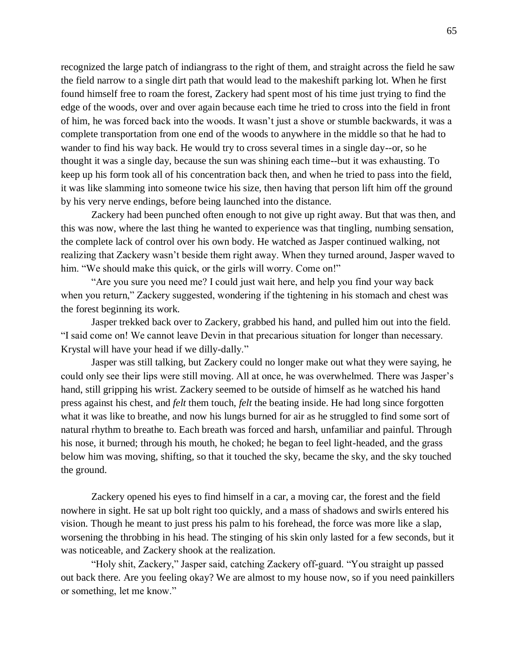recognized the large patch of indiangrass to the right of them, and straight across the field he saw the field narrow to a single dirt path that would lead to the makeshift parking lot. When he first found himself free to roam the forest, Zackery had spent most of his time just trying to find the edge of the woods, over and over again because each time he tried to cross into the field in front of him, he was forced back into the woods. It wasn't just a shove or stumble backwards, it was a complete transportation from one end of the woods to anywhere in the middle so that he had to wander to find his way back. He would try to cross several times in a single day--or, so he thought it was a single day, because the sun was shining each time--but it was exhausting. To keep up his form took all of his concentration back then, and when he tried to pass into the field, it was like slamming into someone twice his size, then having that person lift him off the ground by his very nerve endings, before being launched into the distance.

Zackery had been punched often enough to not give up right away. But that was then, and this was now, where the last thing he wanted to experience was that tingling, numbing sensation, the complete lack of control over his own body. He watched as Jasper continued walking, not realizing that Zackery wasn't beside them right away. When they turned around, Jasper waved to him. "We should make this quick, or the girls will worry. Come on!"

"Are you sure you need me? I could just wait here, and help you find your way back when you return," Zackery suggested, wondering if the tightening in his stomach and chest was the forest beginning its work.

Jasper trekked back over to Zackery, grabbed his hand, and pulled him out into the field. "I said come on! We cannot leave Devin in that precarious situation for longer than necessary. Krystal will have your head if we dilly-dally."

Jasper was still talking, but Zackery could no longer make out what they were saying, he could only see their lips were still moving. All at once, he was overwhelmed. There was Jasper's hand, still gripping his wrist. Zackery seemed to be outside of himself as he watched his hand press against his chest, and *felt* them touch, *felt* the beating inside. He had long since forgotten what it was like to breathe, and now his lungs burned for air as he struggled to find some sort of natural rhythm to breathe to. Each breath was forced and harsh, unfamiliar and painful. Through his nose, it burned; through his mouth, he choked; he began to feel light-headed, and the grass below him was moving, shifting, so that it touched the sky, became the sky, and the sky touched the ground.

Zackery opened his eyes to find himself in a car, a moving car, the forest and the field nowhere in sight. He sat up bolt right too quickly, and a mass of shadows and swirls entered his vision. Though he meant to just press his palm to his forehead, the force was more like a slap, worsening the throbbing in his head. The stinging of his skin only lasted for a few seconds, but it was noticeable, and Zackery shook at the realization.

"Holy shit, Zackery," Jasper said, catching Zackery off-guard. "You straight up passed out back there. Are you feeling okay? We are almost to my house now, so if you need painkillers or something, let me know."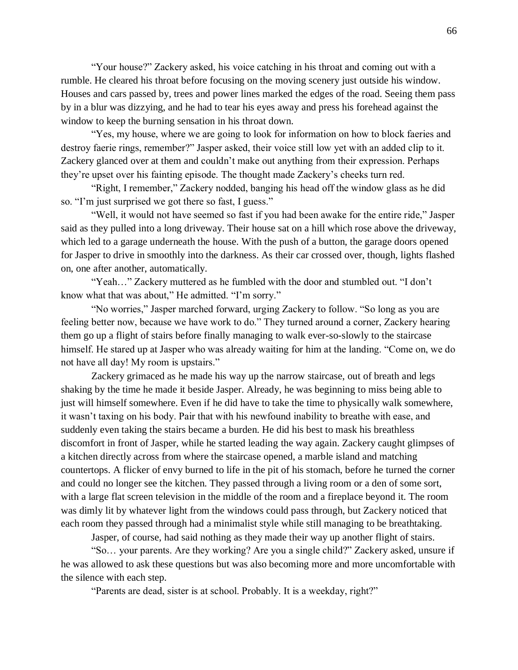"Your house?" Zackery asked, his voice catching in his throat and coming out with a rumble. He cleared his throat before focusing on the moving scenery just outside his window. Houses and cars passed by, trees and power lines marked the edges of the road. Seeing them pass by in a blur was dizzying, and he had to tear his eyes away and press his forehead against the window to keep the burning sensation in his throat down.

"Yes, my house, where we are going to look for information on how to block faeries and destroy faerie rings, remember?" Jasper asked, their voice still low yet with an added clip to it. Zackery glanced over at them and couldn't make out anything from their expression. Perhaps they're upset over his fainting episode. The thought made Zackery's cheeks turn red.

"Right, I remember," Zackery nodded, banging his head off the window glass as he did so. "I'm just surprised we got there so fast, I guess."

"Well, it would not have seemed so fast if you had been awake for the entire ride," Jasper said as they pulled into a long driveway. Their house sat on a hill which rose above the driveway, which led to a garage underneath the house. With the push of a button, the garage doors opened for Jasper to drive in smoothly into the darkness. As their car crossed over, though, lights flashed on, one after another, automatically.

"Yeah…" Zackery muttered as he fumbled with the door and stumbled out. "I don't know what that was about," He admitted. "I'm sorry."

"No worries," Jasper marched forward, urging Zackery to follow. "So long as you are feeling better now, because we have work to do." They turned around a corner, Zackery hearing them go up a flight of stairs before finally managing to walk ever-so-slowly to the staircase himself. He stared up at Jasper who was already waiting for him at the landing. "Come on, we do not have all day! My room is upstairs."

Zackery grimaced as he made his way up the narrow staircase, out of breath and legs shaking by the time he made it beside Jasper. Already, he was beginning to miss being able to just will himself somewhere. Even if he did have to take the time to physically walk somewhere, it wasn't taxing on his body. Pair that with his newfound inability to breathe with ease, and suddenly even taking the stairs became a burden. He did his best to mask his breathless discomfort in front of Jasper, while he started leading the way again. Zackery caught glimpses of a kitchen directly across from where the staircase opened, a marble island and matching countertops. A flicker of envy burned to life in the pit of his stomach, before he turned the corner and could no longer see the kitchen. They passed through a living room or a den of some sort, with a large flat screen television in the middle of the room and a fireplace beyond it. The room was dimly lit by whatever light from the windows could pass through, but Zackery noticed that each room they passed through had a minimalist style while still managing to be breathtaking.

Jasper, of course, had said nothing as they made their way up another flight of stairs.

"So… your parents. Are they working? Are you a single child?" Zackery asked, unsure if he was allowed to ask these questions but was also becoming more and more uncomfortable with the silence with each step.

"Parents are dead, sister is at school. Probably. It is a weekday, right?"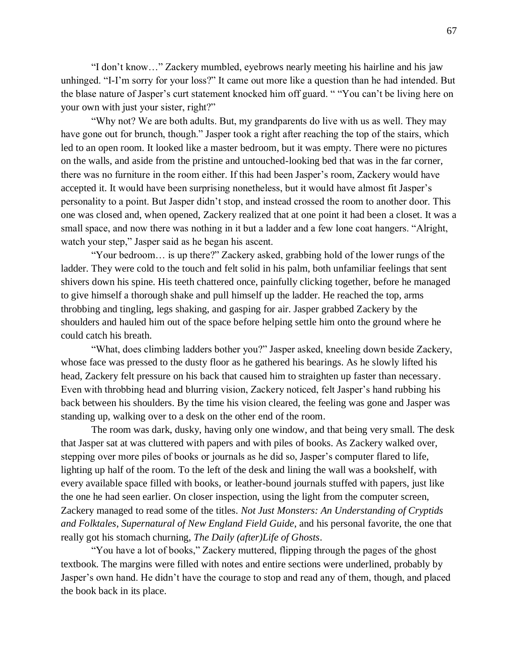"I don't know…" Zackery mumbled, eyebrows nearly meeting his hairline and his jaw unhinged. "I-I'm sorry for your loss?" It came out more like a question than he had intended. But the blase nature of Jasper's curt statement knocked him off guard. " "You can't be living here on your own with just your sister, right?"

"Why not? We are both adults. But, my grandparents do live with us as well. They may have gone out for brunch, though." Jasper took a right after reaching the top of the stairs, which led to an open room. It looked like a master bedroom, but it was empty. There were no pictures on the walls, and aside from the pristine and untouched-looking bed that was in the far corner, there was no furniture in the room either. If this had been Jasper's room, Zackery would have accepted it. It would have been surprising nonetheless, but it would have almost fit Jasper's personality to a point. But Jasper didn't stop, and instead crossed the room to another door. This one was closed and, when opened, Zackery realized that at one point it had been a closet. It was a small space, and now there was nothing in it but a ladder and a few lone coat hangers. "Alright, watch your step," Jasper said as he began his ascent.

"Your bedroom… is up there?" Zackery asked, grabbing hold of the lower rungs of the ladder. They were cold to the touch and felt solid in his palm, both unfamiliar feelings that sent shivers down his spine. His teeth chattered once, painfully clicking together, before he managed to give himself a thorough shake and pull himself up the ladder. He reached the top, arms throbbing and tingling, legs shaking, and gasping for air. Jasper grabbed Zackery by the shoulders and hauled him out of the space before helping settle him onto the ground where he could catch his breath.

"What, does climbing ladders bother you?" Jasper asked, kneeling down beside Zackery, whose face was pressed to the dusty floor as he gathered his bearings. As he slowly lifted his head, Zackery felt pressure on his back that caused him to straighten up faster than necessary. Even with throbbing head and blurring vision, Zackery noticed, felt Jasper's hand rubbing his back between his shoulders. By the time his vision cleared, the feeling was gone and Jasper was standing up, walking over to a desk on the other end of the room.

The room was dark, dusky, having only one window, and that being very small. The desk that Jasper sat at was cluttered with papers and with piles of books. As Zackery walked over, stepping over more piles of books or journals as he did so, Jasper's computer flared to life, lighting up half of the room. To the left of the desk and lining the wall was a bookshelf, with every available space filled with books, or leather-bound journals stuffed with papers, just like the one he had seen earlier. On closer inspection, using the light from the computer screen, Zackery managed to read some of the titles. *Not Just Monsters: An Understanding of Cryptids and Folktales*, *Supernatural of New England Field Guide*, and his personal favorite, the one that really got his stomach churning, *The Daily (after)Life of Ghosts*.

"You have a lot of books," Zackery muttered, flipping through the pages of the ghost textbook. The margins were filled with notes and entire sections were underlined, probably by Jasper's own hand. He didn't have the courage to stop and read any of them, though, and placed the book back in its place.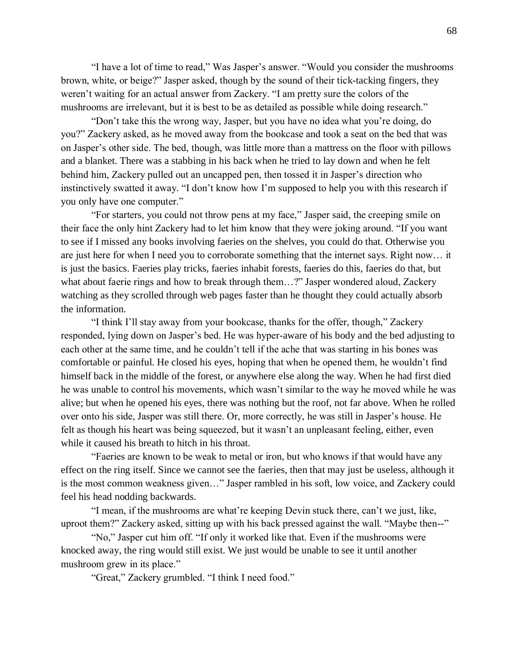"I have a lot of time to read," Was Jasper's answer. "Would you consider the mushrooms brown, white, or beige?" Jasper asked, though by the sound of their tick-tacking fingers, they weren't waiting for an actual answer from Zackery. "I am pretty sure the colors of the mushrooms are irrelevant, but it is best to be as detailed as possible while doing research."

"Don't take this the wrong way, Jasper, but you have no idea what you're doing, do you?" Zackery asked, as he moved away from the bookcase and took a seat on the bed that was on Jasper's other side. The bed, though, was little more than a mattress on the floor with pillows and a blanket. There was a stabbing in his back when he tried to lay down and when he felt behind him, Zackery pulled out an uncapped pen, then tossed it in Jasper's direction who instinctively swatted it away. "I don't know how I'm supposed to help you with this research if you only have one computer."

"For starters, you could not throw pens at my face," Jasper said, the creeping smile on their face the only hint Zackery had to let him know that they were joking around. "If you want to see if I missed any books involving faeries on the shelves, you could do that. Otherwise you are just here for when I need you to corroborate something that the internet says. Right now… it is just the basics. Faeries play tricks, faeries inhabit forests, faeries do this, faeries do that, but what about faerie rings and how to break through them…?" Jasper wondered aloud, Zackery watching as they scrolled through web pages faster than he thought they could actually absorb the information.

"I think I'll stay away from your bookcase, thanks for the offer, though," Zackery responded, lying down on Jasper's bed. He was hyper-aware of his body and the bed adjusting to each other at the same time, and he couldn't tell if the ache that was starting in his bones was comfortable or painful. He closed his eyes, hoping that when he opened them, he wouldn't find himself back in the middle of the forest, or anywhere else along the way. When he had first died he was unable to control his movements, which wasn't similar to the way he moved while he was alive; but when he opened his eyes, there was nothing but the roof, not far above. When he rolled over onto his side, Jasper was still there. Or, more correctly, he was still in Jasper's house. He felt as though his heart was being squeezed, but it wasn't an unpleasant feeling, either, even while it caused his breath to hitch in his throat.

"Faeries are known to be weak to metal or iron, but who knows if that would have any effect on the ring itself. Since we cannot see the faeries, then that may just be useless, although it is the most common weakness given…" Jasper rambled in his soft, low voice, and Zackery could feel his head nodding backwards.

"I mean, if the mushrooms are what're keeping Devin stuck there, can't we just, like, uproot them?" Zackery asked, sitting up with his back pressed against the wall. "Maybe then--"

"No," Jasper cut him off. "If only it worked like that. Even if the mushrooms were knocked away, the ring would still exist. We just would be unable to see it until another mushroom grew in its place."

"Great," Zackery grumbled. "I think I need food."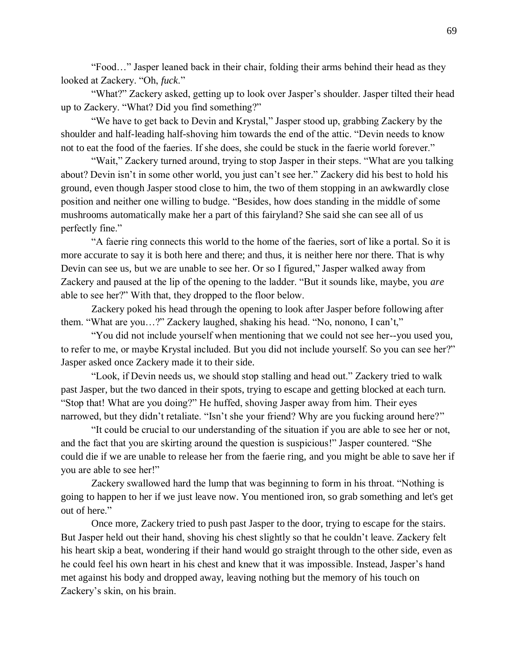"Food…" Jasper leaned back in their chair, folding their arms behind their head as they looked at Zackery. "Oh, *fuck*."

"What?" Zackery asked, getting up to look over Jasper's shoulder. Jasper tilted their head up to Zackery. "What? Did you find something?"

"We have to get back to Devin and Krystal," Jasper stood up, grabbing Zackery by the shoulder and half-leading half-shoving him towards the end of the attic. "Devin needs to know not to eat the food of the faeries. If she does, she could be stuck in the faerie world forever."

"Wait," Zackery turned around, trying to stop Jasper in their steps. "What are you talking about? Devin isn't in some other world, you just can't see her." Zackery did his best to hold his ground, even though Jasper stood close to him, the two of them stopping in an awkwardly close position and neither one willing to budge. "Besides, how does standing in the middle of some mushrooms automatically make her a part of this fairyland? She said she can see all of us perfectly fine."

"A faerie ring connects this world to the home of the faeries, sort of like a portal. So it is more accurate to say it is both here and there; and thus, it is neither here nor there. That is why Devin can see us, but we are unable to see her. Or so I figured," Jasper walked away from Zackery and paused at the lip of the opening to the ladder. "But it sounds like, maybe, you *are* able to see her?" With that, they dropped to the floor below.

Zackery poked his head through the opening to look after Jasper before following after them. "What are you…?" Zackery laughed, shaking his head. "No, nonono, I can't,"

"You did not include yourself when mentioning that we could not see her--you used you, to refer to me, or maybe Krystal included. But you did not include yourself. So you can see her?" Jasper asked once Zackery made it to their side.

"Look, if Devin needs us, we should stop stalling and head out." Zackery tried to walk past Jasper, but the two danced in their spots, trying to escape and getting blocked at each turn. "Stop that! What are you doing?" He huffed, shoving Jasper away from him. Their eyes narrowed, but they didn't retaliate. "Isn't she your friend? Why are you fucking around here?"

"It could be crucial to our understanding of the situation if you are able to see her or not, and the fact that you are skirting around the question is suspicious!" Jasper countered. "She could die if we are unable to release her from the faerie ring, and you might be able to save her if you are able to see her!"

Zackery swallowed hard the lump that was beginning to form in his throat. "Nothing is going to happen to her if we just leave now. You mentioned iron, so grab something and let's get out of here."

Once more, Zackery tried to push past Jasper to the door, trying to escape for the stairs. But Jasper held out their hand, shoving his chest slightly so that he couldn't leave. Zackery felt his heart skip a beat, wondering if their hand would go straight through to the other side, even as he could feel his own heart in his chest and knew that it was impossible. Instead, Jasper's hand met against his body and dropped away, leaving nothing but the memory of his touch on Zackery's skin, on his brain.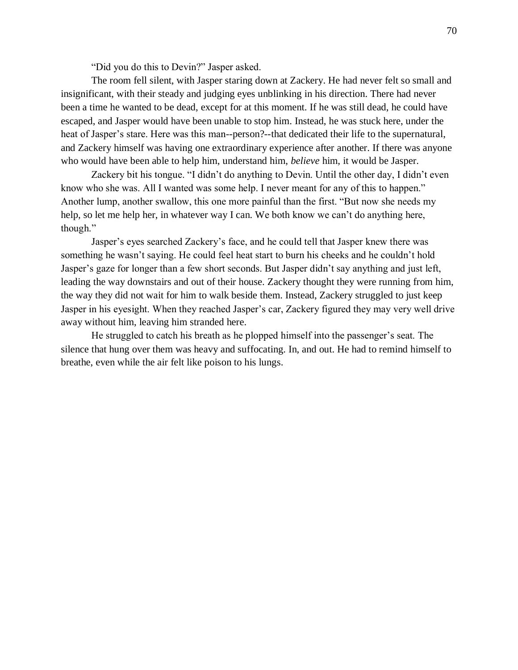"Did you do this to Devin?" Jasper asked.

The room fell silent, with Jasper staring down at Zackery. He had never felt so small and insignificant, with their steady and judging eyes unblinking in his direction. There had never been a time he wanted to be dead, except for at this moment. If he was still dead, he could have escaped, and Jasper would have been unable to stop him. Instead, he was stuck here, under the heat of Jasper's stare. Here was this man--person?--that dedicated their life to the supernatural, and Zackery himself was having one extraordinary experience after another. If there was anyone who would have been able to help him, understand him, *believe* him, it would be Jasper.

Zackery bit his tongue. "I didn't do anything to Devin. Until the other day, I didn't even know who she was. All I wanted was some help. I never meant for any of this to happen." Another lump, another swallow, this one more painful than the first. "But now she needs my help, so let me help her, in whatever way I can. We both know we can't do anything here, though."

Jasper's eyes searched Zackery's face, and he could tell that Jasper knew there was something he wasn't saying. He could feel heat start to burn his cheeks and he couldn't hold Jasper's gaze for longer than a few short seconds. But Jasper didn't say anything and just left, leading the way downstairs and out of their house. Zackery thought they were running from him, the way they did not wait for him to walk beside them. Instead, Zackery struggled to just keep Jasper in his eyesight. When they reached Jasper's car, Zackery figured they may very well drive away without him, leaving him stranded here.

He struggled to catch his breath as he plopped himself into the passenger's seat. The silence that hung over them was heavy and suffocating. In, and out. He had to remind himself to breathe, even while the air felt like poison to his lungs.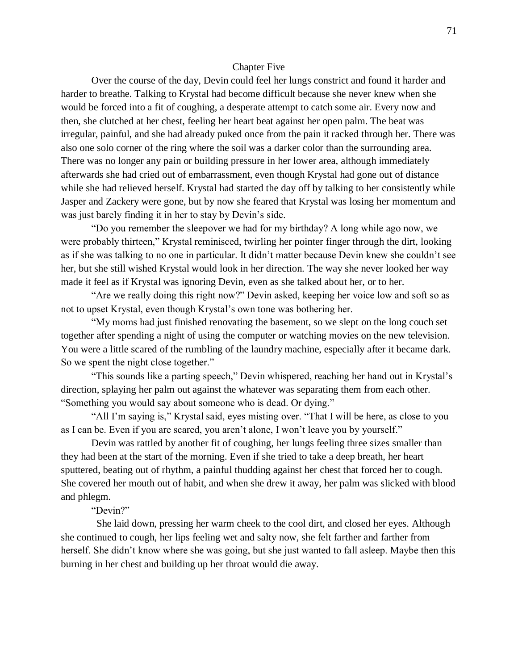## Chapter Five

Over the course of the day, Devin could feel her lungs constrict and found it harder and harder to breathe. Talking to Krystal had become difficult because she never knew when she would be forced into a fit of coughing, a desperate attempt to catch some air. Every now and then, she clutched at her chest, feeling her heart beat against her open palm. The beat was irregular, painful, and she had already puked once from the pain it racked through her. There was also one solo corner of the ring where the soil was a darker color than the surrounding area. There was no longer any pain or building pressure in her lower area, although immediately afterwards she had cried out of embarrassment, even though Krystal had gone out of distance while she had relieved herself. Krystal had started the day off by talking to her consistently while Jasper and Zackery were gone, but by now she feared that Krystal was losing her momentum and was just barely finding it in her to stay by Devin's side.

"Do you remember the sleepover we had for my birthday? A long while ago now, we were probably thirteen," Krystal reminisced, twirling her pointer finger through the dirt, looking as if she was talking to no one in particular. It didn't matter because Devin knew she couldn't see her, but she still wished Krystal would look in her direction. The way she never looked her way made it feel as if Krystal was ignoring Devin, even as she talked about her, or to her.

"Are we really doing this right now?" Devin asked, keeping her voice low and soft so as not to upset Krystal, even though Krystal's own tone was bothering her.

"My moms had just finished renovating the basement, so we slept on the long couch set together after spending a night of using the computer or watching movies on the new television. You were a little scared of the rumbling of the laundry machine, especially after it became dark. So we spent the night close together."

"This sounds like a parting speech," Devin whispered, reaching her hand out in Krystal's direction, splaying her palm out against the whatever was separating them from each other. "Something you would say about someone who is dead. Or dying."

"All I'm saying is," Krystal said, eyes misting over. "That I will be here, as close to you as I can be. Even if you are scared, you aren't alone, I won't leave you by yourself."

Devin was rattled by another fit of coughing, her lungs feeling three sizes smaller than they had been at the start of the morning. Even if she tried to take a deep breath, her heart sputtered, beating out of rhythm, a painful thudding against her chest that forced her to cough. She covered her mouth out of habit, and when she drew it away, her palm was slicked with blood and phlegm.

## "Devin?"

 She laid down, pressing her warm cheek to the cool dirt, and closed her eyes. Although she continued to cough, her lips feeling wet and salty now, she felt farther and farther from herself. She didn't know where she was going, but she just wanted to fall asleep. Maybe then this burning in her chest and building up her throat would die away.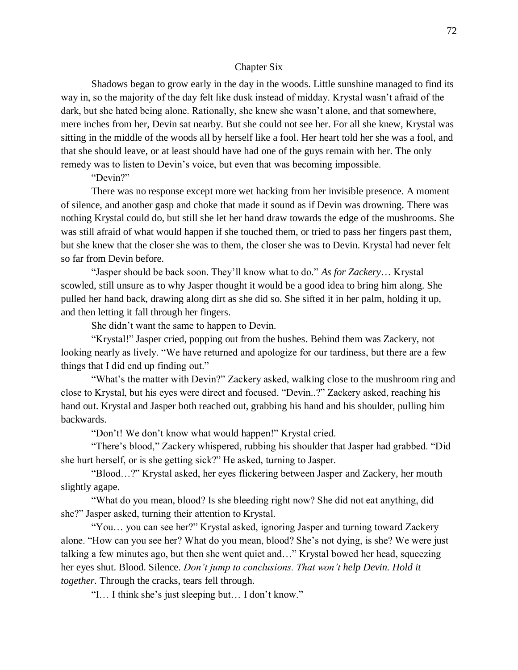### Chapter Six

Shadows began to grow early in the day in the woods. Little sunshine managed to find its way in, so the majority of the day felt like dusk instead of midday. Krystal wasn't afraid of the dark, but she hated being alone. Rationally, she knew she wasn't alone, and that somewhere, mere inches from her, Devin sat nearby. But she could not see her. For all she knew, Krystal was sitting in the middle of the woods all by herself like a fool. Her heart told her she was a fool, and that she should leave, or at least should have had one of the guys remain with her. The only remedy was to listen to Devin's voice, but even that was becoming impossible.

## "Devin?"

There was no response except more wet hacking from her invisible presence. A moment of silence, and another gasp and choke that made it sound as if Devin was drowning. There was nothing Krystal could do, but still she let her hand draw towards the edge of the mushrooms. She was still afraid of what would happen if she touched them, or tried to pass her fingers past them, but she knew that the closer she was to them, the closer she was to Devin. Krystal had never felt so far from Devin before.

"Jasper should be back soon. They'll know what to do." *As for Zackery*… Krystal scowled, still unsure as to why Jasper thought it would be a good idea to bring him along. She pulled her hand back, drawing along dirt as she did so. She sifted it in her palm, holding it up, and then letting it fall through her fingers.

She didn't want the same to happen to Devin.

"Krystal!" Jasper cried, popping out from the bushes. Behind them was Zackery, not looking nearly as lively. "We have returned and apologize for our tardiness, but there are a few things that I did end up finding out."

"What's the matter with Devin?" Zackery asked, walking close to the mushroom ring and close to Krystal, but his eyes were direct and focused. "Devin..?" Zackery asked, reaching his hand out. Krystal and Jasper both reached out, grabbing his hand and his shoulder, pulling him backwards.

"Don't! We don't know what would happen!" Krystal cried.

"There's blood," Zackery whispered, rubbing his shoulder that Jasper had grabbed. "Did she hurt herself, or is she getting sick?" He asked, turning to Jasper.

"Blood…?" Krystal asked, her eyes flickering between Jasper and Zackery, her mouth slightly agape.

"What do you mean, blood? Is she bleeding right now? She did not eat anything, did she?" Jasper asked, turning their attention to Krystal.

"You… you can see her?" Krystal asked, ignoring Jasper and turning toward Zackery alone. "How can you see her? What do you mean, blood? She's not dying, is she? We were just talking a few minutes ago, but then she went quiet and…" Krystal bowed her head, squeezing her eyes shut. Blood. Silence. *Don't jump to conclusions. That won't help Devin. Hold it together.* Through the cracks, tears fell through.

"I… I think she's just sleeping but… I don't know."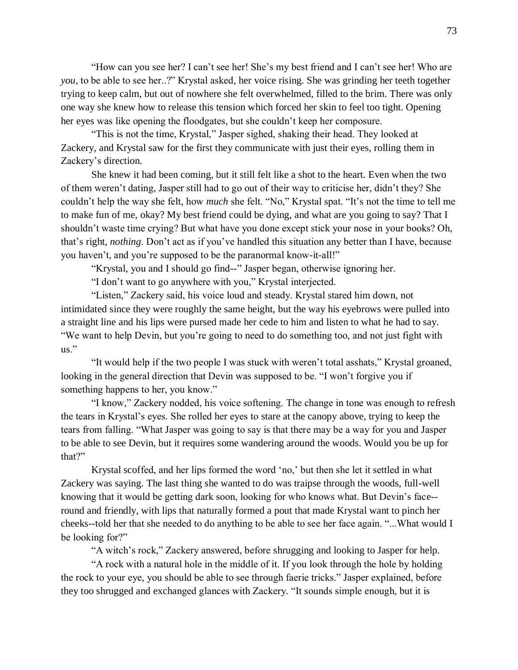"How can you see her? I can't see her! She's my best friend and I can't see her! Who are *you*, to be able to see her..?" Krystal asked, her voice rising. She was grinding her teeth together trying to keep calm, but out of nowhere she felt overwhelmed, filled to the brim. There was only one way she knew how to release this tension which forced her skin to feel too tight. Opening her eyes was like opening the floodgates, but she couldn't keep her composure.

"This is not the time, Krystal," Jasper sighed, shaking their head. They looked at Zackery, and Krystal saw for the first they communicate with just their eyes, rolling them in Zackery's direction.

She knew it had been coming, but it still felt like a shot to the heart. Even when the two of them weren't dating, Jasper still had to go out of their way to criticise her, didn't they? She couldn't help the way she felt, how *much* she felt. "No," Krystal spat. "It's not the time to tell me to make fun of me, okay? My best friend could be dying, and what are you going to say? That I shouldn't waste time crying? But what have you done except stick your nose in your books? Oh, that's right, *nothing*. Don't act as if you've handled this situation any better than I have, because you haven't, and you're supposed to be the paranormal know-it-all!"

"Krystal, you and I should go find--" Jasper began, otherwise ignoring her.

"I don't want to go anywhere with you," Krystal interjected.

"Listen," Zackery said, his voice loud and steady. Krystal stared him down, not intimidated since they were roughly the same height, but the way his eyebrows were pulled into a straight line and his lips were pursed made her cede to him and listen to what he had to say. "We want to help Devin, but you're going to need to do something too, and not just fight with us."

"It would help if the two people I was stuck with weren't total asshats," Krystal groaned, looking in the general direction that Devin was supposed to be. "I won't forgive you if something happens to her, you know."

"I know," Zackery nodded, his voice softening. The change in tone was enough to refresh the tears in Krystal's eyes. She rolled her eyes to stare at the canopy above, trying to keep the tears from falling. "What Jasper was going to say is that there may be a way for you and Jasper to be able to see Devin, but it requires some wandering around the woods. Would you be up for that?"

Krystal scoffed, and her lips formed the word 'no,' but then she let it settled in what Zackery was saying. The last thing she wanted to do was traipse through the woods, full-well knowing that it would be getting dark soon, looking for who knows what. But Devin's face- round and friendly, with lips that naturally formed a pout that made Krystal want to pinch her cheeks--told her that she needed to do anything to be able to see her face again. "...What would I be looking for?"

"A witch's rock," Zackery answered, before shrugging and looking to Jasper for help.

"A rock with a natural hole in the middle of it. If you look through the hole by holding the rock to your eye, you should be able to see through faerie tricks." Jasper explained, before they too shrugged and exchanged glances with Zackery. "It sounds simple enough, but it is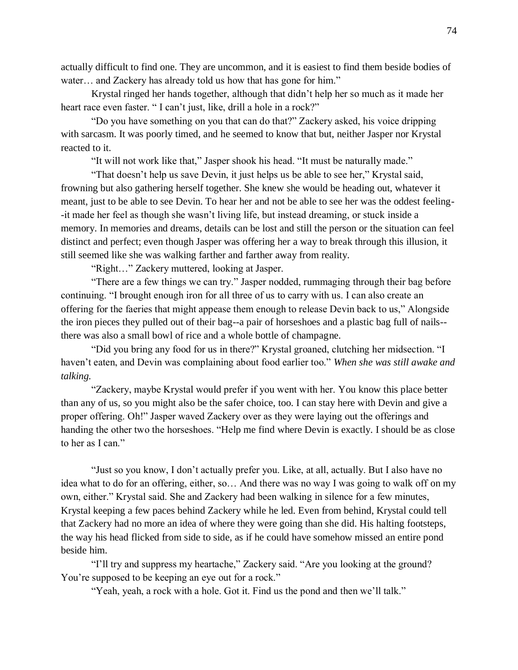actually difficult to find one. They are uncommon, and it is easiest to find them beside bodies of water… and Zackery has already told us how that has gone for him."

Krystal ringed her hands together, although that didn't help her so much as it made her heart race even faster. " I can't just, like, drill a hole in a rock?"

"Do you have something on you that can do that?" Zackery asked, his voice dripping with sarcasm. It was poorly timed, and he seemed to know that but, neither Jasper nor Krystal reacted to it.

"It will not work like that," Jasper shook his head. "It must be naturally made."

"That doesn't help us save Devin, it just helps us be able to see her," Krystal said, frowning but also gathering herself together. She knew she would be heading out, whatever it meant, just to be able to see Devin. To hear her and not be able to see her was the oddest feeling- -it made her feel as though she wasn't living life, but instead dreaming, or stuck inside a memory. In memories and dreams, details can be lost and still the person or the situation can feel distinct and perfect; even though Jasper was offering her a way to break through this illusion, it still seemed like she was walking farther and farther away from reality.

"Right…" Zackery muttered, looking at Jasper.

"There are a few things we can try." Jasper nodded, rummaging through their bag before continuing. "I brought enough iron for all three of us to carry with us. I can also create an offering for the faeries that might appease them enough to release Devin back to us," Alongside the iron pieces they pulled out of their bag--a pair of horseshoes and a plastic bag full of nails- there was also a small bowl of rice and a whole bottle of champagne.

"Did you bring any food for us in there?" Krystal groaned, clutching her midsection. "I haven't eaten, and Devin was complaining about food earlier too." *When she was still awake and talking.* 

"Zackery, maybe Krystal would prefer if you went with her. You know this place better than any of us, so you might also be the safer choice, too. I can stay here with Devin and give a proper offering. Oh!" Jasper waved Zackery over as they were laying out the offerings and handing the other two the horseshoes. "Help me find where Devin is exactly. I should be as close to her as I can."

"Just so you know, I don't actually prefer you. Like, at all, actually. But I also have no idea what to do for an offering, either, so… And there was no way I was going to walk off on my own, either." Krystal said. She and Zackery had been walking in silence for a few minutes, Krystal keeping a few paces behind Zackery while he led. Even from behind, Krystal could tell that Zackery had no more an idea of where they were going than she did. His halting footsteps, the way his head flicked from side to side, as if he could have somehow missed an entire pond beside him.

"I'll try and suppress my heartache," Zackery said. "Are you looking at the ground? You're supposed to be keeping an eye out for a rock."

"Yeah, yeah, a rock with a hole. Got it. Find us the pond and then we'll talk."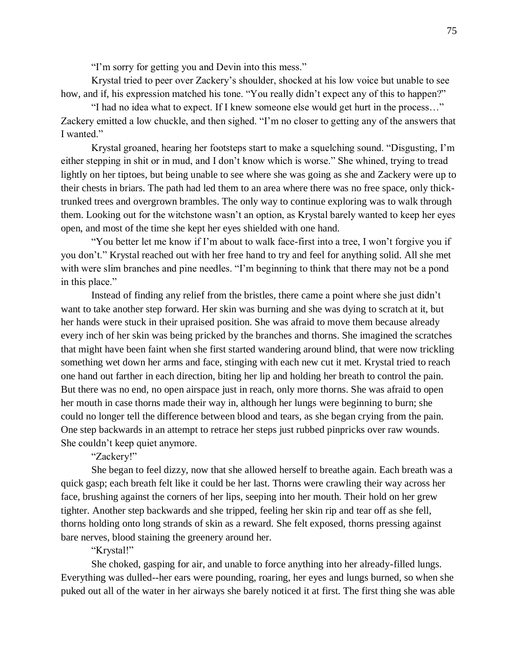"I'm sorry for getting you and Devin into this mess."

Krystal tried to peer over Zackery's shoulder, shocked at his low voice but unable to see how, and if, his expression matched his tone. "You really didn't expect any of this to happen?"

"I had no idea what to expect. If I knew someone else would get hurt in the process…" Zackery emitted a low chuckle, and then sighed. "I'm no closer to getting any of the answers that I wanted."

Krystal groaned, hearing her footsteps start to make a squelching sound. "Disgusting, I'm either stepping in shit or in mud, and I don't know which is worse." She whined, trying to tread lightly on her tiptoes, but being unable to see where she was going as she and Zackery were up to their chests in briars. The path had led them to an area where there was no free space, only thicktrunked trees and overgrown brambles. The only way to continue exploring was to walk through them. Looking out for the witchstone wasn't an option, as Krystal barely wanted to keep her eyes open, and most of the time she kept her eyes shielded with one hand.

"You better let me know if I'm about to walk face-first into a tree, I won't forgive you if you don't." Krystal reached out with her free hand to try and feel for anything solid. All she met with were slim branches and pine needles. "I'm beginning to think that there may not be a pond in this place."

Instead of finding any relief from the bristles, there came a point where she just didn't want to take another step forward. Her skin was burning and she was dying to scratch at it, but her hands were stuck in their upraised position. She was afraid to move them because already every inch of her skin was being pricked by the branches and thorns. She imagined the scratches that might have been faint when she first started wandering around blind, that were now trickling something wet down her arms and face, stinging with each new cut it met. Krystal tried to reach one hand out farther in each direction, biting her lip and holding her breath to control the pain. But there was no end, no open airspace just in reach, only more thorns. She was afraid to open her mouth in case thorns made their way in, although her lungs were beginning to burn; she could no longer tell the difference between blood and tears, as she began crying from the pain. One step backwards in an attempt to retrace her steps just rubbed pinpricks over raw wounds. She couldn't keep quiet anymore.

# "Zackery!"

She began to feel dizzy, now that she allowed herself to breathe again. Each breath was a quick gasp; each breath felt like it could be her last. Thorns were crawling their way across her face, brushing against the corners of her lips, seeping into her mouth. Their hold on her grew tighter. Another step backwards and she tripped, feeling her skin rip and tear off as she fell, thorns holding onto long strands of skin as a reward. She felt exposed, thorns pressing against bare nerves, blood staining the greenery around her.

## "Krystal!"

She choked, gasping for air, and unable to force anything into her already-filled lungs. Everything was dulled--her ears were pounding, roaring, her eyes and lungs burned, so when she puked out all of the water in her airways she barely noticed it at first. The first thing she was able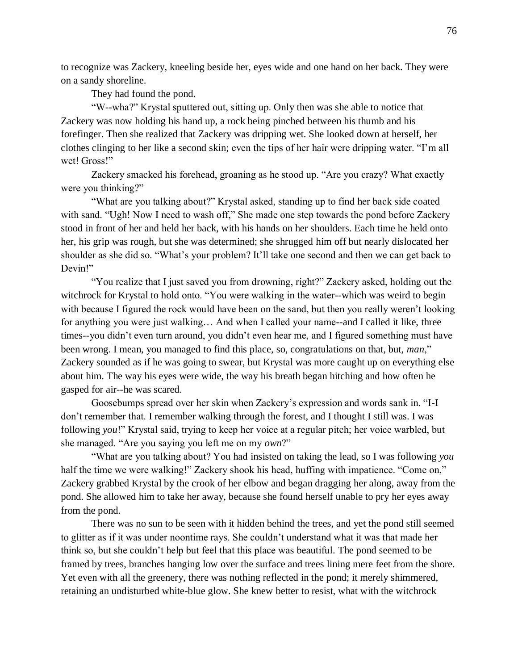to recognize was Zackery, kneeling beside her, eyes wide and one hand on her back. They were on a sandy shoreline.

They had found the pond.

"W--wha?" Krystal sputtered out, sitting up. Only then was she able to notice that Zackery was now holding his hand up, a rock being pinched between his thumb and his forefinger. Then she realized that Zackery was dripping wet. She looked down at herself, her clothes clinging to her like a second skin; even the tips of her hair were dripping water. "I'm all wet! Gross!"

Zackery smacked his forehead, groaning as he stood up. "Are you crazy? What exactly were you thinking?"

"What are you talking about?" Krystal asked, standing up to find her back side coated with sand. "Ugh! Now I need to wash off," She made one step towards the pond before Zackery stood in front of her and held her back, with his hands on her shoulders. Each time he held onto her, his grip was rough, but she was determined; she shrugged him off but nearly dislocated her shoulder as she did so. "What's your problem? It'll take one second and then we can get back to Devin!"

"You realize that I just saved you from drowning, right?" Zackery asked, holding out the witchrock for Krystal to hold onto. "You were walking in the water--which was weird to begin with because I figured the rock would have been on the sand, but then you really weren't looking for anything you were just walking… And when I called your name--and I called it like, three times--you didn't even turn around, you didn't even hear me, and I figured something must have been wrong. I mean, you managed to find this place, so, congratulations on that, but, *man*," Zackery sounded as if he was going to swear, but Krystal was more caught up on everything else about him. The way his eyes were wide, the way his breath began hitching and how often he gasped for air--he was scared.

Goosebumps spread over her skin when Zackery's expression and words sank in. "I-I don't remember that. I remember walking through the forest, and I thought I still was. I was following *you*!" Krystal said, trying to keep her voice at a regular pitch; her voice warbled, but she managed. "Are you saying you left me on my *own*?"

"What are you talking about? You had insisted on taking the lead, so I was following *you* half the time we were walking!" Zackery shook his head, huffing with impatience. "Come on," Zackery grabbed Krystal by the crook of her elbow and began dragging her along, away from the pond. She allowed him to take her away, because she found herself unable to pry her eyes away from the pond.

There was no sun to be seen with it hidden behind the trees, and yet the pond still seemed to glitter as if it was under noontime rays. She couldn't understand what it was that made her think so, but she couldn't help but feel that this place was beautiful. The pond seemed to be framed by trees, branches hanging low over the surface and trees lining mere feet from the shore. Yet even with all the greenery, there was nothing reflected in the pond; it merely shimmered, retaining an undisturbed white-blue glow. She knew better to resist, what with the witchrock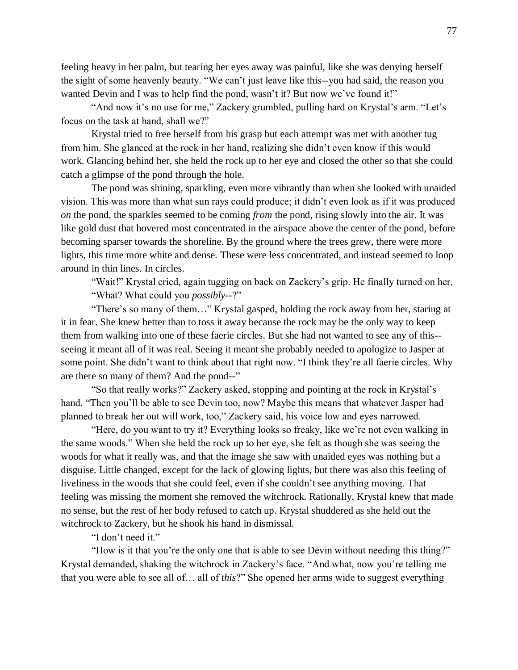feeling heavy in her palm, but tearing her eyes away was painful, like she was denying herself the sight of some heavenly beauty. "We can't just leave like this--you had said, the reason you wanted Devin and I was to help find the pond, wasn't it? But now we've found it!"

"And now it's no use for me," Zackery grumbled, pulling hard on Krystal's arm. "Let's focus on the task at hand, shall we?"

Krystal tried to free herself from his grasp but each attempt was met with another tug from him. She glanced at the rock in her hand, realizing she didn't even know if this would work. Glancing behind her, she held the rock up to her eye and closed the other so that she could catch a glimpse of the pond through the hole.

The pond was shining, sparkling, even more vibrantly than when she looked with unaided vision. This was more than what sun rays could produce; it didn't even look as if it was produced *on* the pond, the sparkles seemed to be coming *from* the pond, rising slowly into the air. It was like gold dust that hovered most concentrated in the airspace above the center of the pond, before becoming sparser towards the shoreline. By the ground where the trees grew, there were more lights, this time more white and dense. These were less concentrated, and instead seemed to loop around in thin lines. In circles.

"Wait!" Krystal cried, again tugging on back on Zackery's grip. He finally turned on her. "What? What could you *possibly*--?"

"There's so many of them…" Krystal gasped, holding the rock away from her, staring at it in fear. She knew better than to toss it away because the rock may be the only way to keep them from walking into one of these faerie circles. But she had not wanted to see any of this- seeing it meant all of it was real. Seeing it meant she probably needed to apologize to Jasper at some point. She didn't want to think about that right now. "I think they're all faerie circles. Why are there so many of them? And the pond--"

"So that really works?" Zackery asked, stopping and pointing at the rock in Krystal's hand. "Then you'll be able to see Devin too, now? Maybe this means that whatever Jasper had planned to break her out will work, too," Zackery said, his voice low and eyes narrowed.

"Here, do you want to try it? Everything looks so freaky, like we're not even walking in the same woods." When she held the rock up to her eye, she felt as though she was seeing the woods for what it really was, and that the image she saw with unaided eyes was nothing but a disguise. Little changed, except for the lack of glowing lights, but there was also this feeling of liveliness in the woods that she could feel, even if she couldn't see anything moving. That feeling was missing the moment she removed the witchrock. Rationally, Krystal knew that made no sense, but the rest of her body refused to catch up. Krystal shuddered as she held out the witchrock to Zackery, but he shook his hand in dismissal.

"I don't need it."

"How is it that you're the only one that is able to see Devin without needing this thing?" Krystal demanded, shaking the witchrock in Zackery's face. "And what, now you're telling me that you were able to see all of… all of *this*?" She opened her arms wide to suggest everything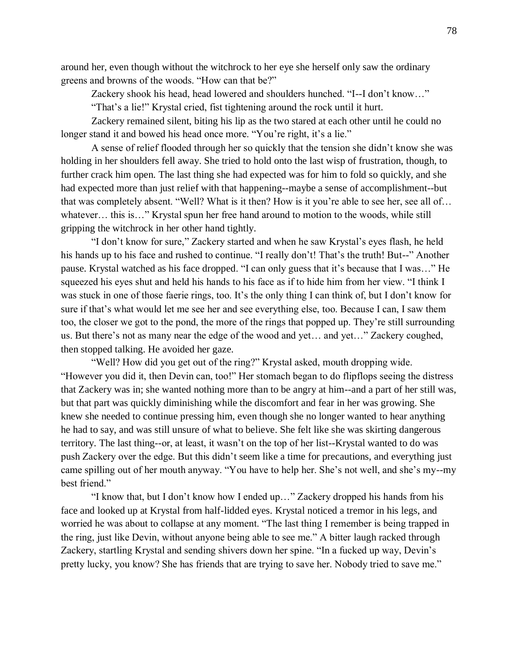around her, even though without the witchrock to her eye she herself only saw the ordinary greens and browns of the woods. "How can that be?"

Zackery shook his head, head lowered and shoulders hunched. "I--I don't know…"

"That's a lie!" Krystal cried, fist tightening around the rock until it hurt.

Zackery remained silent, biting his lip as the two stared at each other until he could no longer stand it and bowed his head once more. "You're right, it's a lie."

A sense of relief flooded through her so quickly that the tension she didn't know she was holding in her shoulders fell away. She tried to hold onto the last wisp of frustration, though, to further crack him open. The last thing she had expected was for him to fold so quickly, and she had expected more than just relief with that happening--maybe a sense of accomplishment--but that was completely absent. "Well? What is it then? How is it you're able to see her, see all of… whatever... this is..." Krystal spun her free hand around to motion to the woods, while still gripping the witchrock in her other hand tightly.

"I don't know for sure," Zackery started and when he saw Krystal's eyes flash, he held his hands up to his face and rushed to continue. "I really don't! That's the truth! But--" Another pause. Krystal watched as his face dropped. "I can only guess that it's because that I was…" He squeezed his eyes shut and held his hands to his face as if to hide him from her view. "I think I was stuck in one of those faerie rings, too. It's the only thing I can think of, but I don't know for sure if that's what would let me see her and see everything else, too. Because I can, I saw them too, the closer we got to the pond, the more of the rings that popped up. They're still surrounding us. But there's not as many near the edge of the wood and yet... and yet..." Zackery coughed, then stopped talking. He avoided her gaze.

"Well? How did you get out of the ring?" Krystal asked, mouth dropping wide. "However you did it, then Devin can, too!" Her stomach began to do flipflops seeing the distress that Zackery was in; she wanted nothing more than to be angry at him--and a part of her still was, but that part was quickly diminishing while the discomfort and fear in her was growing. She knew she needed to continue pressing him, even though she no longer wanted to hear anything he had to say, and was still unsure of what to believe. She felt like she was skirting dangerous territory. The last thing--or, at least, it wasn't on the top of her list--Krystal wanted to do was push Zackery over the edge. But this didn't seem like a time for precautions, and everything just came spilling out of her mouth anyway. "You have to help her. She's not well, and she's my--my best friend."

"I know that, but I don't know how I ended up…" Zackery dropped his hands from his face and looked up at Krystal from half-lidded eyes. Krystal noticed a tremor in his legs, and worried he was about to collapse at any moment. "The last thing I remember is being trapped in the ring, just like Devin, without anyone being able to see me." A bitter laugh racked through Zackery, startling Krystal and sending shivers down her spine. "In a fucked up way, Devin's pretty lucky, you know? She has friends that are trying to save her. Nobody tried to save me."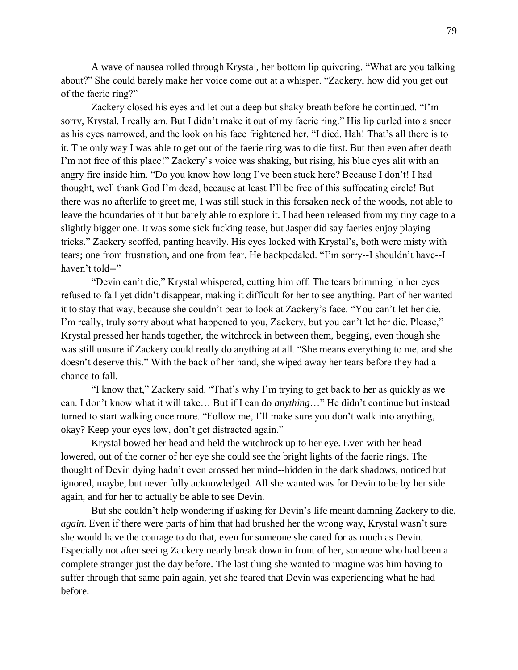A wave of nausea rolled through Krystal, her bottom lip quivering. "What are you talking about?" She could barely make her voice come out at a whisper. "Zackery, how did you get out of the faerie ring?"

Zackery closed his eyes and let out a deep but shaky breath before he continued. "I'm sorry, Krystal. I really am. But I didn't make it out of my faerie ring." His lip curled into a sneer as his eyes narrowed, and the look on his face frightened her. "I died. Hah! That's all there is to it. The only way I was able to get out of the faerie ring was to die first. But then even after death I'm not free of this place!" Zackery's voice was shaking, but rising, his blue eyes alit with an angry fire inside him. "Do you know how long I've been stuck here? Because I don't! I had thought, well thank God I'm dead, because at least I'll be free of this suffocating circle! But there was no afterlife to greet me, I was still stuck in this forsaken neck of the woods, not able to leave the boundaries of it but barely able to explore it. I had been released from my tiny cage to a slightly bigger one. It was some sick fucking tease, but Jasper did say faeries enjoy playing tricks." Zackery scoffed, panting heavily. His eyes locked with Krystal's, both were misty with tears; one from frustration, and one from fear. He backpedaled. "I'm sorry--I shouldn't have--I haven't told--"

"Devin can't die," Krystal whispered, cutting him off. The tears brimming in her eyes refused to fall yet didn't disappear, making it difficult for her to see anything. Part of her wanted it to stay that way, because she couldn't bear to look at Zackery's face. "You can't let her die. I'm really, truly sorry about what happened to you, Zackery, but you can't let her die. Please," Krystal pressed her hands together, the witchrock in between them, begging, even though she was still unsure if Zackery could really do anything at all. "She means everything to me, and she doesn't deserve this." With the back of her hand, she wiped away her tears before they had a chance to fall.

"I know that," Zackery said. "That's why I'm trying to get back to her as quickly as we can. I don't know what it will take… But if I can do *anything*…" He didn't continue but instead turned to start walking once more. "Follow me, I'll make sure you don't walk into anything, okay? Keep your eyes low, don't get distracted again."

Krystal bowed her head and held the witchrock up to her eye. Even with her head lowered, out of the corner of her eye she could see the bright lights of the faerie rings. The thought of Devin dying hadn't even crossed her mind--hidden in the dark shadows, noticed but ignored, maybe, but never fully acknowledged. All she wanted was for Devin to be by her side again, and for her to actually be able to see Devin.

But she couldn't help wondering if asking for Devin's life meant damning Zackery to die, *again*. Even if there were parts of him that had brushed her the wrong way, Krystal wasn't sure she would have the courage to do that, even for someone she cared for as much as Devin. Especially not after seeing Zackery nearly break down in front of her, someone who had been a complete stranger just the day before. The last thing she wanted to imagine was him having to suffer through that same pain again, yet she feared that Devin was experiencing what he had before.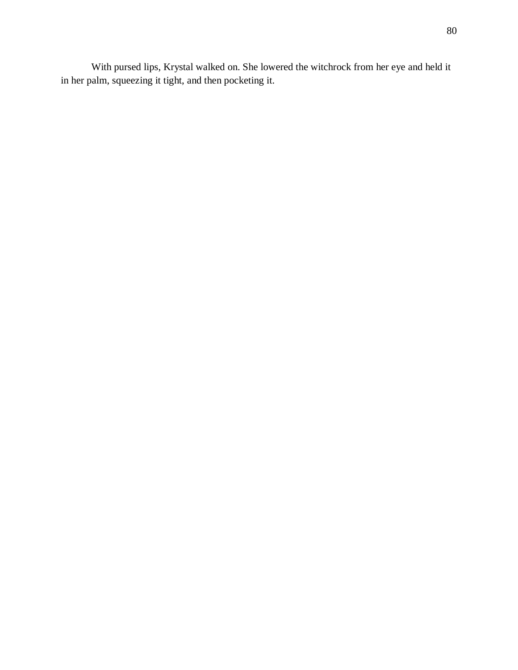With pursed lips, Krystal walked on. She lowered the witchrock from her eye and held it in her palm, squeezing it tight, and then pocketing it.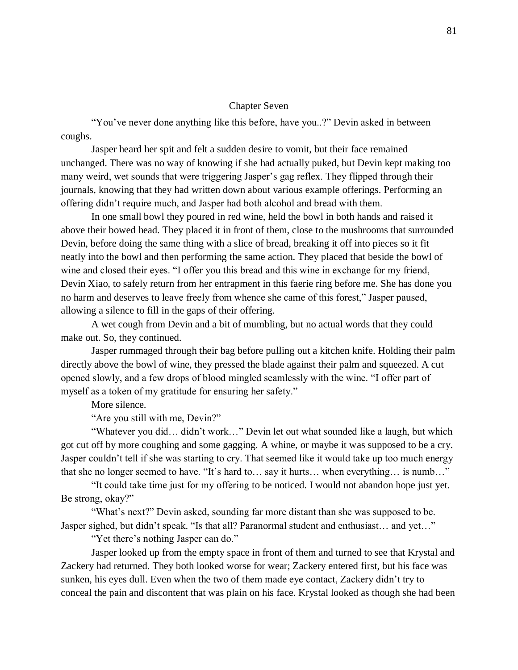### Chapter Seven

"You've never done anything like this before, have you..?" Devin asked in between coughs.

Jasper heard her spit and felt a sudden desire to vomit, but their face remained unchanged. There was no way of knowing if she had actually puked, but Devin kept making too many weird, wet sounds that were triggering Jasper's gag reflex. They flipped through their journals, knowing that they had written down about various example offerings. Performing an offering didn't require much, and Jasper had both alcohol and bread with them.

In one small bowl they poured in red wine, held the bowl in both hands and raised it above their bowed head. They placed it in front of them, close to the mushrooms that surrounded Devin, before doing the same thing with a slice of bread, breaking it off into pieces so it fit neatly into the bowl and then performing the same action. They placed that beside the bowl of wine and closed their eyes. "I offer you this bread and this wine in exchange for my friend, Devin Xiao, to safely return from her entrapment in this faerie ring before me. She has done you no harm and deserves to leave freely from whence she came of this forest," Jasper paused, allowing a silence to fill in the gaps of their offering.

A wet cough from Devin and a bit of mumbling, but no actual words that they could make out. So, they continued.

Jasper rummaged through their bag before pulling out a kitchen knife. Holding their palm directly above the bowl of wine, they pressed the blade against their palm and squeezed. A cut opened slowly, and a few drops of blood mingled seamlessly with the wine. "I offer part of myself as a token of my gratitude for ensuring her safety."

More silence.

"Are you still with me, Devin?"

"Whatever you did… didn't work…" Devin let out what sounded like a laugh, but which got cut off by more coughing and some gagging. A whine, or maybe it was supposed to be a cry. Jasper couldn't tell if she was starting to cry. That seemed like it would take up too much energy that she no longer seemed to have. "It's hard to… say it hurts… when everything… is numb…"

"It could take time just for my offering to be noticed. I would not abandon hope just yet. Be strong, okay?"

"What's next?" Devin asked, sounding far more distant than she was supposed to be. Jasper sighed, but didn't speak. "Is that all? Paranormal student and enthusiast… and yet…"

"Yet there's nothing Jasper can do."

Jasper looked up from the empty space in front of them and turned to see that Krystal and Zackery had returned. They both looked worse for wear; Zackery entered first, but his face was sunken, his eyes dull. Even when the two of them made eye contact, Zackery didn't try to conceal the pain and discontent that was plain on his face. Krystal looked as though she had been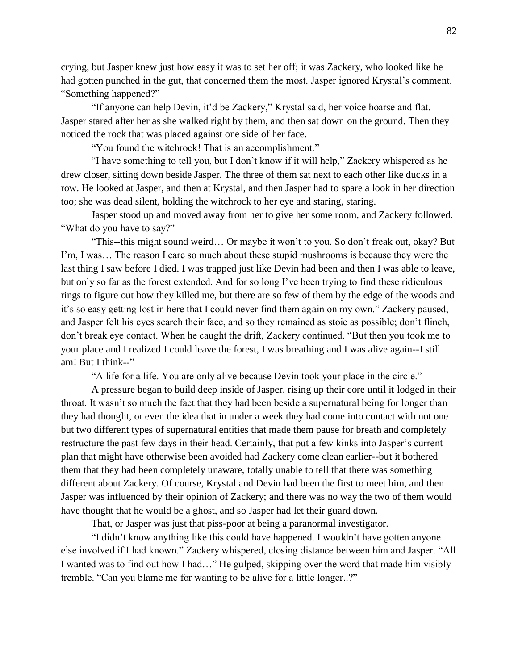crying, but Jasper knew just how easy it was to set her off; it was Zackery, who looked like he had gotten punched in the gut, that concerned them the most. Jasper ignored Krystal's comment. "Something happened?"

"If anyone can help Devin, it'd be Zackery," Krystal said, her voice hoarse and flat. Jasper stared after her as she walked right by them, and then sat down on the ground. Then they noticed the rock that was placed against one side of her face.

"You found the witchrock! That is an accomplishment."

"I have something to tell you, but I don't know if it will help," Zackery whispered as he drew closer, sitting down beside Jasper. The three of them sat next to each other like ducks in a row. He looked at Jasper, and then at Krystal, and then Jasper had to spare a look in her direction too; she was dead silent, holding the witchrock to her eye and staring, staring.

Jasper stood up and moved away from her to give her some room, and Zackery followed. "What do you have to say?"

"This--this might sound weird… Or maybe it won't to you. So don't freak out, okay? But I'm, I was… The reason I care so much about these stupid mushrooms is because they were the last thing I saw before I died. I was trapped just like Devin had been and then I was able to leave, but only so far as the forest extended. And for so long I've been trying to find these ridiculous rings to figure out how they killed me, but there are so few of them by the edge of the woods and it's so easy getting lost in here that I could never find them again on my own." Zackery paused, and Jasper felt his eyes search their face, and so they remained as stoic as possible; don't flinch, don't break eye contact. When he caught the drift, Zackery continued. "But then you took me to your place and I realized I could leave the forest, I was breathing and I was alive again--I still am! But I think--"

"A life for a life. You are only alive because Devin took your place in the circle."

A pressure began to build deep inside of Jasper, rising up their core until it lodged in their throat. It wasn't so much the fact that they had been beside a supernatural being for longer than they had thought, or even the idea that in under a week they had come into contact with not one but two different types of supernatural entities that made them pause for breath and completely restructure the past few days in their head. Certainly, that put a few kinks into Jasper's current plan that might have otherwise been avoided had Zackery come clean earlier--but it bothered them that they had been completely unaware, totally unable to tell that there was something different about Zackery. Of course, Krystal and Devin had been the first to meet him, and then Jasper was influenced by their opinion of Zackery; and there was no way the two of them would have thought that he would be a ghost, and so Jasper had let their guard down.

That, or Jasper was just that piss-poor at being a paranormal investigator.

"I didn't know anything like this could have happened. I wouldn't have gotten anyone else involved if I had known." Zackery whispered, closing distance between him and Jasper. "All I wanted was to find out how I had…" He gulped, skipping over the word that made him visibly tremble. "Can you blame me for wanting to be alive for a little longer..?"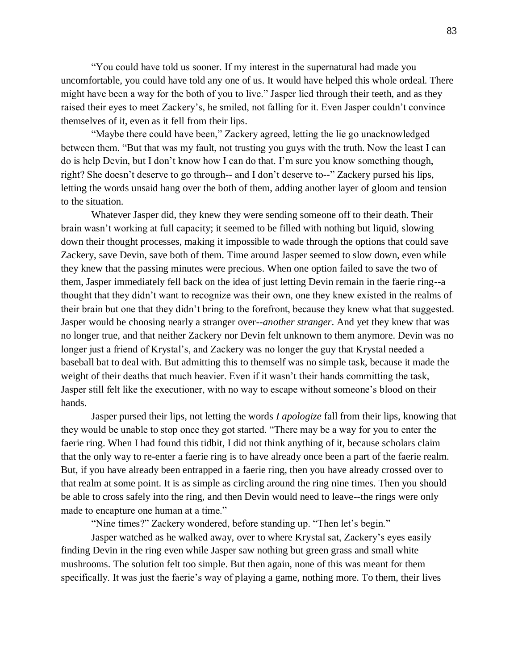"You could have told us sooner. If my interest in the supernatural had made you uncomfortable, you could have told any one of us. It would have helped this whole ordeal. There might have been a way for the both of you to live." Jasper lied through their teeth, and as they raised their eyes to meet Zackery's, he smiled, not falling for it. Even Jasper couldn't convince themselves of it, even as it fell from their lips.

"Maybe there could have been," Zackery agreed, letting the lie go unacknowledged between them. "But that was my fault, not trusting you guys with the truth. Now the least I can do is help Devin, but I don't know how I can do that. I'm sure you know something though, right? She doesn't deserve to go through-- and I don't deserve to--" Zackery pursed his lips, letting the words unsaid hang over the both of them, adding another layer of gloom and tension to the situation.

Whatever Jasper did, they knew they were sending someone off to their death. Their brain wasn't working at full capacity; it seemed to be filled with nothing but liquid, slowing down their thought processes, making it impossible to wade through the options that could save Zackery, save Devin, save both of them. Time around Jasper seemed to slow down, even while they knew that the passing minutes were precious. When one option failed to save the two of them, Jasper immediately fell back on the idea of just letting Devin remain in the faerie ring--a thought that they didn't want to recognize was their own, one they knew existed in the realms of their brain but one that they didn't bring to the forefront, because they knew what that suggested. Jasper would be choosing nearly a stranger over--*another stranger*. And yet they knew that was no longer true, and that neither Zackery nor Devin felt unknown to them anymore. Devin was no longer just a friend of Krystal's, and Zackery was no longer the guy that Krystal needed a baseball bat to deal with. But admitting this to themself was no simple task, because it made the weight of their deaths that much heavier. Even if it wasn't their hands committing the task, Jasper still felt like the executioner, with no way to escape without someone's blood on their hands.

Jasper pursed their lips, not letting the words *I apologize* fall from their lips, knowing that they would be unable to stop once they got started. "There may be a way for you to enter the faerie ring. When I had found this tidbit, I did not think anything of it, because scholars claim that the only way to re-enter a faerie ring is to have already once been a part of the faerie realm. But, if you have already been entrapped in a faerie ring, then you have already crossed over to that realm at some point. It is as simple as circling around the ring nine times. Then you should be able to cross safely into the ring, and then Devin would need to leave--the rings were only made to encapture one human at a time."

"Nine times?" Zackery wondered, before standing up. "Then let's begin."

Jasper watched as he walked away, over to where Krystal sat, Zackery's eyes easily finding Devin in the ring even while Jasper saw nothing but green grass and small white mushrooms. The solution felt too simple. But then again, none of this was meant for them specifically. It was just the faerie's way of playing a game, nothing more. To them, their lives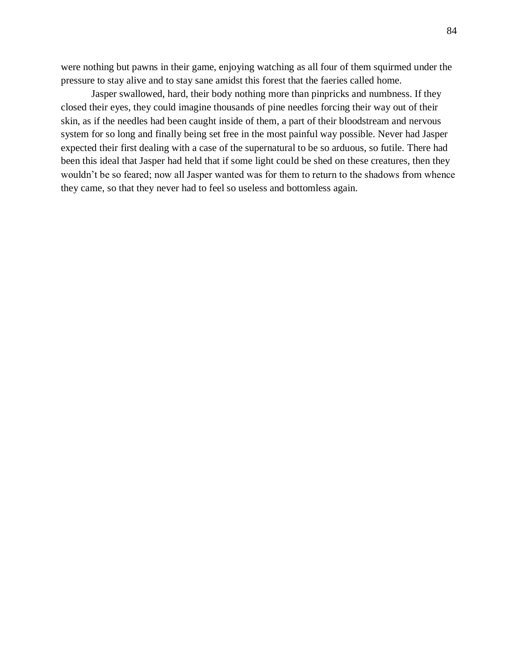were nothing but pawns in their game, enjoying watching as all four of them squirmed under the pressure to stay alive and to stay sane amidst this forest that the faeries called home.

Jasper swallowed, hard, their body nothing more than pinpricks and numbness. If they closed their eyes, they could imagine thousands of pine needles forcing their way out of their skin, as if the needles had been caught inside of them, a part of their bloodstream and nervous system for so long and finally being set free in the most painful way possible. Never had Jasper expected their first dealing with a case of the supernatural to be so arduous, so futile. There had been this ideal that Jasper had held that if some light could be shed on these creatures, then they wouldn't be so feared; now all Jasper wanted was for them to return to the shadows from whence they came, so that they never had to feel so useless and bottomless again.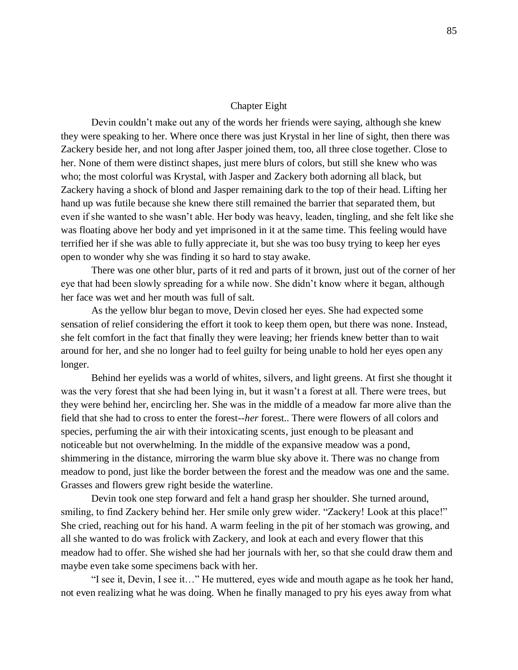### Chapter Eight

Devin couldn't make out any of the words her friends were saying, although she knew they were speaking to her. Where once there was just Krystal in her line of sight, then there was Zackery beside her, and not long after Jasper joined them, too, all three close together. Close to her. None of them were distinct shapes, just mere blurs of colors, but still she knew who was who; the most colorful was Krystal, with Jasper and Zackery both adorning all black, but Zackery having a shock of blond and Jasper remaining dark to the top of their head. Lifting her hand up was futile because she knew there still remained the barrier that separated them, but even if she wanted to she wasn't able. Her body was heavy, leaden, tingling, and she felt like she was floating above her body and yet imprisoned in it at the same time. This feeling would have terrified her if she was able to fully appreciate it, but she was too busy trying to keep her eyes open to wonder why she was finding it so hard to stay awake.

There was one other blur, parts of it red and parts of it brown, just out of the corner of her eye that had been slowly spreading for a while now. She didn't know where it began, although her face was wet and her mouth was full of salt.

As the yellow blur began to move, Devin closed her eyes. She had expected some sensation of relief considering the effort it took to keep them open, but there was none. Instead, she felt comfort in the fact that finally they were leaving; her friends knew better than to wait around for her, and she no longer had to feel guilty for being unable to hold her eyes open any longer.

Behind her eyelids was a world of whites, silvers, and light greens. At first she thought it was the very forest that she had been lying in, but it wasn't a forest at all. There were trees, but they were behind her, encircling her. She was in the middle of a meadow far more alive than the field that she had to cross to enter the forest--*her* forest.. There were flowers of all colors and species, perfuming the air with their intoxicating scents, just enough to be pleasant and noticeable but not overwhelming. In the middle of the expansive meadow was a pond, shimmering in the distance, mirroring the warm blue sky above it. There was no change from meadow to pond, just like the border between the forest and the meadow was one and the same. Grasses and flowers grew right beside the waterline.

Devin took one step forward and felt a hand grasp her shoulder. She turned around, smiling, to find Zackery behind her. Her smile only grew wider. "Zackery! Look at this place!" She cried, reaching out for his hand. A warm feeling in the pit of her stomach was growing, and all she wanted to do was frolick with Zackery, and look at each and every flower that this meadow had to offer. She wished she had her journals with her, so that she could draw them and maybe even take some specimens back with her.

"I see it, Devin, I see it…" He muttered, eyes wide and mouth agape as he took her hand, not even realizing what he was doing. When he finally managed to pry his eyes away from what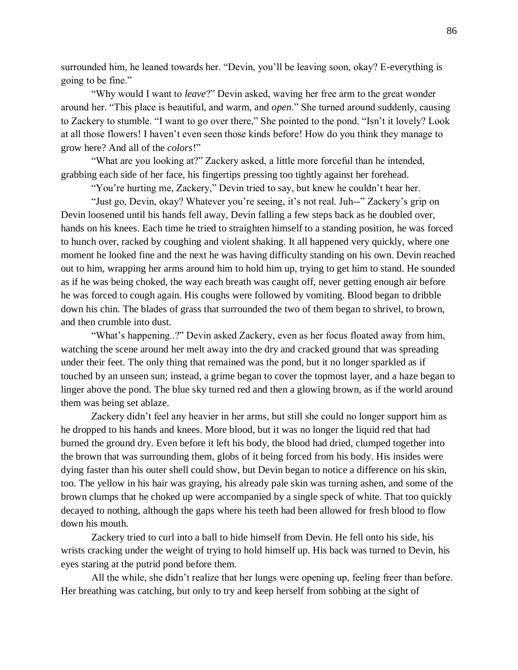surrounded him, he leaned towards her. "Devin, you'll be leaving soon, okay? E-everything is going to be fine."

"Why would I want to *leave*?" Devin asked, waving her free arm to the great wonder around her. "This place is beautiful, and warm, and *open*." She turned around suddenly, causing to Zackery to stumble. "I want to go over there," She pointed to the pond. "Isn't it lovely? Look at all those flowers! I haven't even seen those kinds before! How do you think they manage to grow here? And all of the *colors*!"

"What are you looking at?" Zackery asked, a little more forceful than he intended, grabbing each side of her face, his fingertips pressing too tightly against her forehead.

"You're hurting me, Zackery," Devin tried to say, but knew he couldn't hear her.

"Just go, Devin, okay? Whatever you're seeing, it's not real. Juh--" Zackery's grip on Devin loosened until his hands fell away, Devin falling a few steps back as he doubled over, hands on his knees. Each time he tried to straighten himself to a standing position, he was forced to hunch over, racked by coughing and violent shaking. It all happened very quickly, where one moment he looked fine and the next he was having difficulty standing on his own. Devin reached out to him, wrapping her arms around him to hold him up, trying to get him to stand. He sounded as if he was being choked, the way each breath was caught off, never getting enough air before he was forced to cough again. His coughs were followed by vomiting. Blood began to dribble down his chin. The blades of grass that surrounded the two of them began to shrivel, to brown, and then crumble into dust.

"What's happening..?" Devin asked Zackery, even as her focus floated away from him, watching the scene around her melt away into the dry and cracked ground that was spreading under their feet. The only thing that remained was the pond, but it no longer sparkled as if touched by an unseen sun; instead, a grime began to cover the topmost layer, and a haze began to linger above the pond. The blue sky turned red and then a glowing brown, as if the world around them was being set ablaze.

Zackery didn't feel any heavier in her arms, but still she could no longer support him as he dropped to his hands and knees. More blood, but it was no longer the liquid red that had burned the ground dry. Even before it left his body, the blood had dried, clumped together into the brown that was surrounding them, globs of it being forced from his body. His insides were dying faster than his outer shell could show, but Devin began to notice a difference on his skin, too. The yellow in his hair was graying, his already pale skin was turning ashen, and some of the brown clumps that he choked up were accompanied by a single speck of white. That too quickly decayed to nothing, although the gaps where his teeth had been allowed for fresh blood to flow down his mouth.

Zackery tried to curl into a ball to hide himself from Devin. He fell onto his side, his wrists cracking under the weight of trying to hold himself up. His back was turned to Devin, his eyes staring at the putrid pond before them.

All the while, she didn't realize that her lungs were opening up, feeling freer than before. Her breathing was catching, but only to try and keep herself from sobbing at the sight of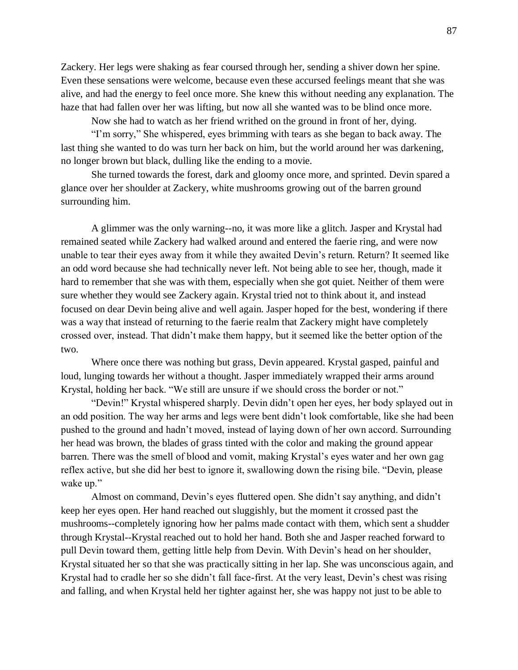Zackery. Her legs were shaking as fear coursed through her, sending a shiver down her spine. Even these sensations were welcome, because even these accursed feelings meant that she was alive, and had the energy to feel once more. She knew this without needing any explanation. The haze that had fallen over her was lifting, but now all she wanted was to be blind once more.

Now she had to watch as her friend writhed on the ground in front of her, dying.

"I'm sorry," She whispered, eyes brimming with tears as she began to back away. The last thing she wanted to do was turn her back on him, but the world around her was darkening, no longer brown but black, dulling like the ending to a movie.

She turned towards the forest, dark and gloomy once more, and sprinted. Devin spared a glance over her shoulder at Zackery, white mushrooms growing out of the barren ground surrounding him.

A glimmer was the only warning--no, it was more like a glitch. Jasper and Krystal had remained seated while Zackery had walked around and entered the faerie ring, and were now unable to tear their eyes away from it while they awaited Devin's return. Return? It seemed like an odd word because she had technically never left. Not being able to see her, though, made it hard to remember that she was with them, especially when she got quiet. Neither of them were sure whether they would see Zackery again. Krystal tried not to think about it, and instead focused on dear Devin being alive and well again. Jasper hoped for the best, wondering if there was a way that instead of returning to the faerie realm that Zackery might have completely crossed over, instead. That didn't make them happy, but it seemed like the better option of the two.

Where once there was nothing but grass, Devin appeared. Krystal gasped, painful and loud, lunging towards her without a thought. Jasper immediately wrapped their arms around Krystal, holding her back. "We still are unsure if we should cross the border or not."

"Devin!" Krystal whispered sharply. Devin didn't open her eyes, her body splayed out in an odd position. The way her arms and legs were bent didn't look comfortable, like she had been pushed to the ground and hadn't moved, instead of laying down of her own accord. Surrounding her head was brown, the blades of grass tinted with the color and making the ground appear barren. There was the smell of blood and vomit, making Krystal's eyes water and her own gag reflex active, but she did her best to ignore it, swallowing down the rising bile. "Devin, please wake up."

Almost on command, Devin's eyes fluttered open. She didn't say anything, and didn't keep her eyes open. Her hand reached out sluggishly, but the moment it crossed past the mushrooms--completely ignoring how her palms made contact with them, which sent a shudder through Krystal--Krystal reached out to hold her hand. Both she and Jasper reached forward to pull Devin toward them, getting little help from Devin. With Devin's head on her shoulder, Krystal situated her so that she was practically sitting in her lap. She was unconscious again, and Krystal had to cradle her so she didn't fall face-first. At the very least, Devin's chest was rising and falling, and when Krystal held her tighter against her, she was happy not just to be able to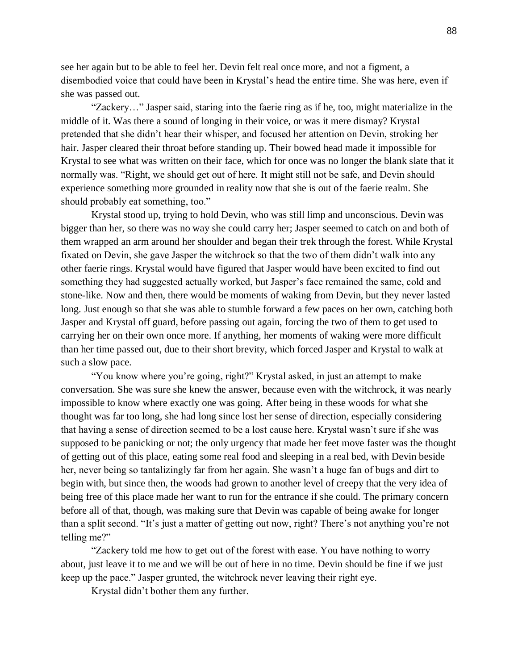see her again but to be able to feel her. Devin felt real once more, and not a figment, a disembodied voice that could have been in Krystal's head the entire time. She was here, even if she was passed out.

"Zackery…" Jasper said, staring into the faerie ring as if he, too, might materialize in the middle of it. Was there a sound of longing in their voice, or was it mere dismay? Krystal pretended that she didn't hear their whisper, and focused her attention on Devin, stroking her hair. Jasper cleared their throat before standing up. Their bowed head made it impossible for Krystal to see what was written on their face, which for once was no longer the blank slate that it normally was. "Right, we should get out of here. It might still not be safe, and Devin should experience something more grounded in reality now that she is out of the faerie realm. She should probably eat something, too."

Krystal stood up, trying to hold Devin, who was still limp and unconscious. Devin was bigger than her, so there was no way she could carry her; Jasper seemed to catch on and both of them wrapped an arm around her shoulder and began their trek through the forest. While Krystal fixated on Devin, she gave Jasper the witchrock so that the two of them didn't walk into any other faerie rings. Krystal would have figured that Jasper would have been excited to find out something they had suggested actually worked, but Jasper's face remained the same, cold and stone-like. Now and then, there would be moments of waking from Devin, but they never lasted long. Just enough so that she was able to stumble forward a few paces on her own, catching both Jasper and Krystal off guard, before passing out again, forcing the two of them to get used to carrying her on their own once more. If anything, her moments of waking were more difficult than her time passed out, due to their short brevity, which forced Jasper and Krystal to walk at such a slow pace.

"You know where you're going, right?" Krystal asked, in just an attempt to make conversation. She was sure she knew the answer, because even with the witchrock, it was nearly impossible to know where exactly one was going. After being in these woods for what she thought was far too long, she had long since lost her sense of direction, especially considering that having a sense of direction seemed to be a lost cause here. Krystal wasn't sure if she was supposed to be panicking or not; the only urgency that made her feet move faster was the thought of getting out of this place, eating some real food and sleeping in a real bed, with Devin beside her, never being so tantalizingly far from her again. She wasn't a huge fan of bugs and dirt to begin with, but since then, the woods had grown to another level of creepy that the very idea of being free of this place made her want to run for the entrance if she could. The primary concern before all of that, though, was making sure that Devin was capable of being awake for longer than a split second. "It's just a matter of getting out now, right? There's not anything you're not telling me?"

"Zackery told me how to get out of the forest with ease. You have nothing to worry about, just leave it to me and we will be out of here in no time. Devin should be fine if we just keep up the pace." Jasper grunted, the witchrock never leaving their right eye.

Krystal didn't bother them any further.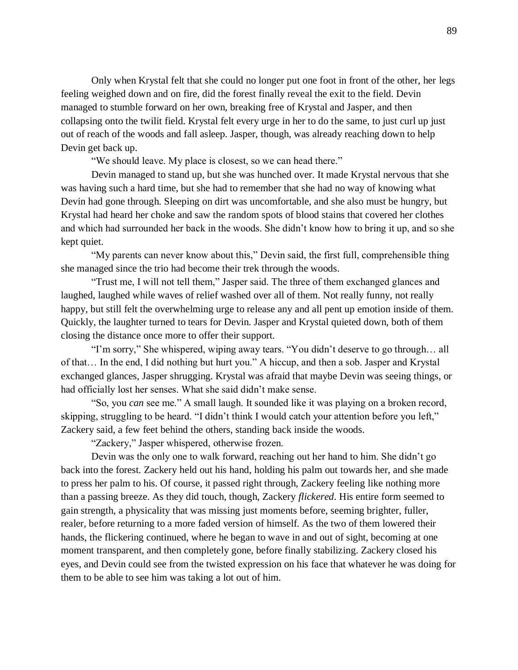Only when Krystal felt that she could no longer put one foot in front of the other, her legs feeling weighed down and on fire, did the forest finally reveal the exit to the field. Devin managed to stumble forward on her own, breaking free of Krystal and Jasper, and then collapsing onto the twilit field. Krystal felt every urge in her to do the same, to just curl up just out of reach of the woods and fall asleep. Jasper, though, was already reaching down to help Devin get back up.

"We should leave. My place is closest, so we can head there."

Devin managed to stand up, but she was hunched over. It made Krystal nervous that she was having such a hard time, but she had to remember that she had no way of knowing what Devin had gone through. Sleeping on dirt was uncomfortable, and she also must be hungry, but Krystal had heard her choke and saw the random spots of blood stains that covered her clothes and which had surrounded her back in the woods. She didn't know how to bring it up, and so she kept quiet.

"My parents can never know about this," Devin said, the first full, comprehensible thing she managed since the trio had become their trek through the woods.

"Trust me, I will not tell them," Jasper said. The three of them exchanged glances and laughed, laughed while waves of relief washed over all of them. Not really funny, not really happy, but still felt the overwhelming urge to release any and all pent up emotion inside of them. Quickly, the laughter turned to tears for Devin. Jasper and Krystal quieted down, both of them closing the distance once more to offer their support.

"I'm sorry," She whispered, wiping away tears. "You didn't deserve to go through… all of that… In the end, I did nothing but hurt you." A hiccup, and then a sob. Jasper and Krystal exchanged glances, Jasper shrugging. Krystal was afraid that maybe Devin was seeing things, or had officially lost her senses. What she said didn't make sense.

"So, you *can* see me." A small laugh. It sounded like it was playing on a broken record, skipping, struggling to be heard. "I didn't think I would catch your attention before you left," Zackery said, a few feet behind the others, standing back inside the woods.

"Zackery," Jasper whispered, otherwise frozen.

Devin was the only one to walk forward, reaching out her hand to him. She didn't go back into the forest. Zackery held out his hand, holding his palm out towards her, and she made to press her palm to his. Of course, it passed right through, Zackery feeling like nothing more than a passing breeze. As they did touch, though, Zackery *flickered*. His entire form seemed to gain strength, a physicality that was missing just moments before, seeming brighter, fuller, realer, before returning to a more faded version of himself. As the two of them lowered their hands, the flickering continued, where he began to wave in and out of sight, becoming at one moment transparent, and then completely gone, before finally stabilizing. Zackery closed his eyes, and Devin could see from the twisted expression on his face that whatever he was doing for them to be able to see him was taking a lot out of him.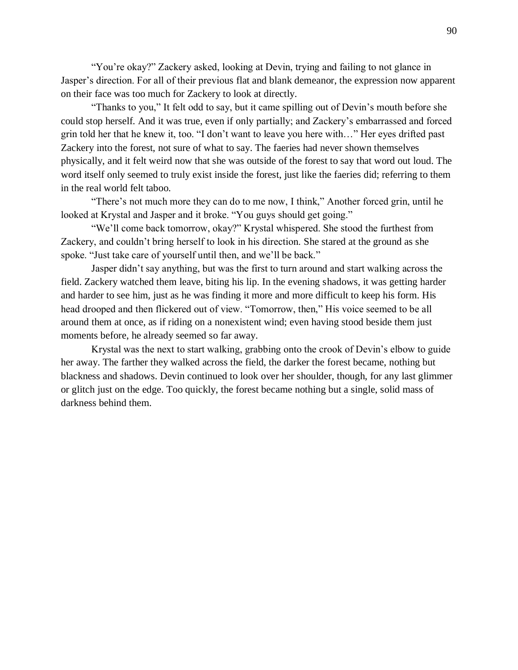"You're okay?" Zackery asked, looking at Devin, trying and failing to not glance in Jasper's direction. For all of their previous flat and blank demeanor, the expression now apparent on their face was too much for Zackery to look at directly.

"Thanks to you," It felt odd to say, but it came spilling out of Devin's mouth before she could stop herself. And it was true, even if only partially; and Zackery's embarrassed and forced grin told her that he knew it, too. "I don't want to leave you here with…" Her eyes drifted past Zackery into the forest, not sure of what to say. The faeries had never shown themselves physically, and it felt weird now that she was outside of the forest to say that word out loud. The word itself only seemed to truly exist inside the forest, just like the faeries did; referring to them in the real world felt taboo.

"There's not much more they can do to me now, I think," Another forced grin, until he looked at Krystal and Jasper and it broke. "You guys should get going."

"We'll come back tomorrow, okay?" Krystal whispered. She stood the furthest from Zackery, and couldn't bring herself to look in his direction. She stared at the ground as she spoke. "Just take care of yourself until then, and we'll be back."

Jasper didn't say anything, but was the first to turn around and start walking across the field. Zackery watched them leave, biting his lip. In the evening shadows, it was getting harder and harder to see him, just as he was finding it more and more difficult to keep his form. His head drooped and then flickered out of view. "Tomorrow, then," His voice seemed to be all around them at once, as if riding on a nonexistent wind; even having stood beside them just moments before, he already seemed so far away.

Krystal was the next to start walking, grabbing onto the crook of Devin's elbow to guide her away. The farther they walked across the field, the darker the forest became, nothing but blackness and shadows. Devin continued to look over her shoulder, though, for any last glimmer or glitch just on the edge. Too quickly, the forest became nothing but a single, solid mass of darkness behind them.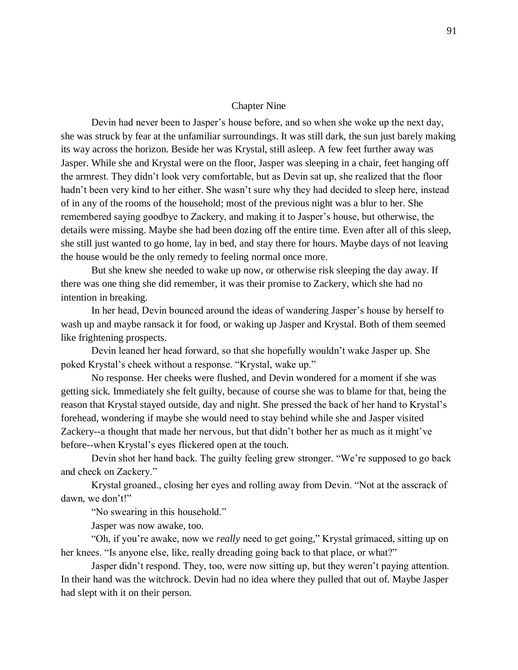#### Chapter Nine

Devin had never been to Jasper's house before, and so when she woke up the next day, she was struck by fear at the unfamiliar surroundings. It was still dark, the sun just barely making its way across the horizon. Beside her was Krystal, still asleep. A few feet further away was Jasper. While she and Krystal were on the floor, Jasper was sleeping in a chair, feet hanging off the armrest. They didn't look very comfortable, but as Devin sat up, she realized that the floor hadn't been very kind to her either. She wasn't sure why they had decided to sleep here, instead of in any of the rooms of the household; most of the previous night was a blur to her. She remembered saying goodbye to Zackery, and making it to Jasper's house, but otherwise, the details were missing. Maybe she had been dozing off the entire time. Even after all of this sleep, she still just wanted to go home, lay in bed, and stay there for hours. Maybe days of not leaving the house would be the only remedy to feeling normal once more.

But she knew she needed to wake up now, or otherwise risk sleeping the day away. If there was one thing she did remember, it was their promise to Zackery, which she had no intention in breaking.

In her head, Devin bounced around the ideas of wandering Jasper's house by herself to wash up and maybe ransack it for food, or waking up Jasper and Krystal. Both of them seemed like frightening prospects.

Devin leaned her head forward, so that she hopefully wouldn't wake Jasper up. She poked Krystal's cheek without a response. "Krystal, wake up."

No response. Her cheeks were flushed, and Devin wondered for a moment if she was getting sick. Immediately she felt guilty, because of course she was to blame for that, being the reason that Krystal stayed outside, day and night. She pressed the back of her hand to Krystal's forehead, wondering if maybe she would need to stay behind while she and Jasper visited Zackery--a thought that made her nervous, but that didn't bother her as much as it might've before--when Krystal's eyes flickered open at the touch.

Devin shot her hand back. The guilty feeling grew stronger. "We're supposed to go back and check on Zackery."

Krystal groaned., closing her eyes and rolling away from Devin. "Not at the asscrack of dawn, we don't!"

"No swearing in this household."

Jasper was now awake, too.

"Oh, if you're awake, now we *really* need to get going," Krystal grimaced, sitting up on her knees. "Is anyone else, like, really dreading going back to that place, or what?"

Jasper didn't respond. They, too, were now sitting up, but they weren't paying attention. In their hand was the witchrock. Devin had no idea where they pulled that out of. Maybe Jasper had slept with it on their person.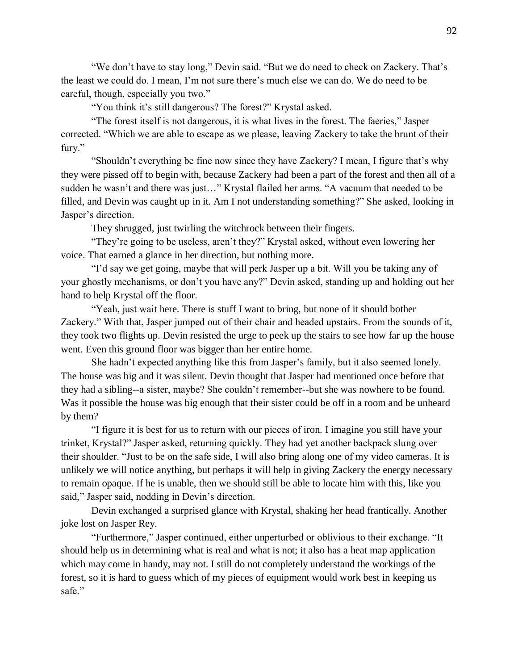"We don't have to stay long," Devin said. "But we do need to check on Zackery. That's the least we could do. I mean, I'm not sure there's much else we can do. We do need to be careful, though, especially you two."

"You think it's still dangerous? The forest?" Krystal asked.

"The forest itself is not dangerous, it is what lives in the forest. The faeries," Jasper corrected. "Which we are able to escape as we please, leaving Zackery to take the brunt of their fury."

"Shouldn't everything be fine now since they have Zackery? I mean, I figure that's why they were pissed off to begin with, because Zackery had been a part of the forest and then all of a sudden he wasn't and there was just…" Krystal flailed her arms. "A vacuum that needed to be filled, and Devin was caught up in it. Am I not understanding something?" She asked, looking in Jasper's direction.

They shrugged, just twirling the witchrock between their fingers.

"They're going to be useless, aren't they?" Krystal asked, without even lowering her voice. That earned a glance in her direction, but nothing more.

"I'd say we get going, maybe that will perk Jasper up a bit. Will you be taking any of your ghostly mechanisms, or don't you have any?" Devin asked, standing up and holding out her hand to help Krystal off the floor.

"Yeah, just wait here. There is stuff I want to bring, but none of it should bother Zackery." With that, Jasper jumped out of their chair and headed upstairs. From the sounds of it, they took two flights up. Devin resisted the urge to peek up the stairs to see how far up the house went. Even this ground floor was bigger than her entire home.

She hadn't expected anything like this from Jasper's family, but it also seemed lonely. The house was big and it was silent. Devin thought that Jasper had mentioned once before that they had a sibling--a sister, maybe? She couldn't remember--but she was nowhere to be found. Was it possible the house was big enough that their sister could be off in a room and be unheard by them?

"I figure it is best for us to return with our pieces of iron. I imagine you still have your trinket, Krystal?" Jasper asked, returning quickly. They had yet another backpack slung over their shoulder. "Just to be on the safe side, I will also bring along one of my video cameras. It is unlikely we will notice anything, but perhaps it will help in giving Zackery the energy necessary to remain opaque. If he is unable, then we should still be able to locate him with this, like you said," Jasper said, nodding in Devin's direction.

Devin exchanged a surprised glance with Krystal, shaking her head frantically. Another joke lost on Jasper Rey.

"Furthermore," Jasper continued, either unperturbed or oblivious to their exchange. "It should help us in determining what is real and what is not; it also has a heat map application which may come in handy, may not. I still do not completely understand the workings of the forest, so it is hard to guess which of my pieces of equipment would work best in keeping us safe."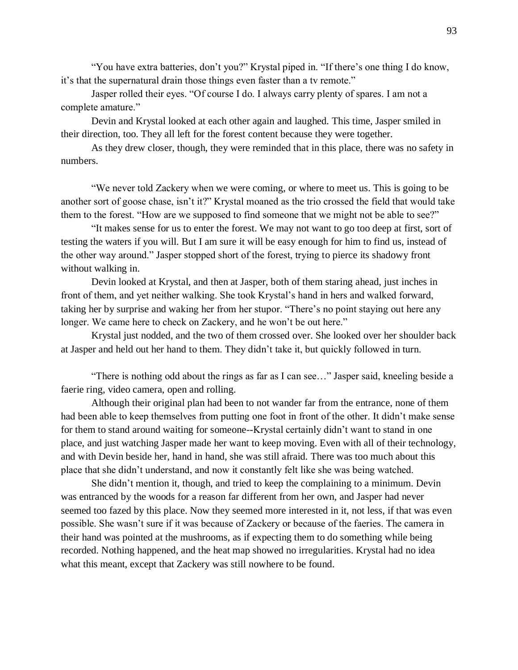"You have extra batteries, don't you?" Krystal piped in. "If there's one thing I do know, it's that the supernatural drain those things even faster than a tv remote."

Jasper rolled their eyes. "Of course I do. I always carry plenty of spares. I am not a complete amature."

Devin and Krystal looked at each other again and laughed. This time, Jasper smiled in their direction, too. They all left for the forest content because they were together.

As they drew closer, though, they were reminded that in this place, there was no safety in numbers.

"We never told Zackery when we were coming, or where to meet us. This is going to be another sort of goose chase, isn't it?" Krystal moaned as the trio crossed the field that would take them to the forest. "How are we supposed to find someone that we might not be able to see?"

"It makes sense for us to enter the forest. We may not want to go too deep at first, sort of testing the waters if you will. But I am sure it will be easy enough for him to find us, instead of the other way around." Jasper stopped short of the forest, trying to pierce its shadowy front without walking in.

Devin looked at Krystal, and then at Jasper, both of them staring ahead, just inches in front of them, and yet neither walking. She took Krystal's hand in hers and walked forward, taking her by surprise and waking her from her stupor. "There's no point staying out here any longer. We came here to check on Zackery, and he won't be out here."

Krystal just nodded, and the two of them crossed over. She looked over her shoulder back at Jasper and held out her hand to them. They didn't take it, but quickly followed in turn.

"There is nothing odd about the rings as far as I can see…" Jasper said, kneeling beside a faerie ring, video camera, open and rolling.

Although their original plan had been to not wander far from the entrance, none of them had been able to keep themselves from putting one foot in front of the other. It didn't make sense for them to stand around waiting for someone--Krystal certainly didn't want to stand in one place, and just watching Jasper made her want to keep moving. Even with all of their technology, and with Devin beside her, hand in hand, she was still afraid. There was too much about this place that she didn't understand, and now it constantly felt like she was being watched.

She didn't mention it, though, and tried to keep the complaining to a minimum. Devin was entranced by the woods for a reason far different from her own, and Jasper had never seemed too fazed by this place. Now they seemed more interested in it, not less, if that was even possible. She wasn't sure if it was because of Zackery or because of the faeries. The camera in their hand was pointed at the mushrooms, as if expecting them to do something while being recorded. Nothing happened, and the heat map showed no irregularities. Krystal had no idea what this meant, except that Zackery was still nowhere to be found.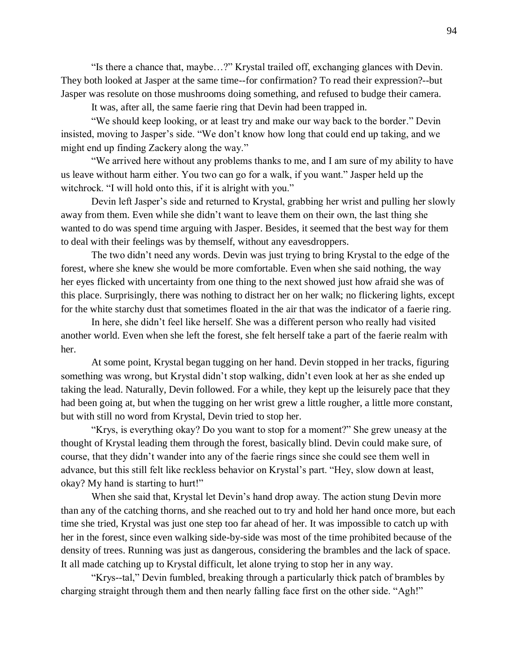"Is there a chance that, maybe…?" Krystal trailed off, exchanging glances with Devin. They both looked at Jasper at the same time--for confirmation? To read their expression?--but Jasper was resolute on those mushrooms doing something, and refused to budge their camera.

It was, after all, the same faerie ring that Devin had been trapped in.

"We should keep looking, or at least try and make our way back to the border." Devin insisted, moving to Jasper's side. "We don't know how long that could end up taking, and we might end up finding Zackery along the way."

"We arrived here without any problems thanks to me, and I am sure of my ability to have us leave without harm either. You two can go for a walk, if you want." Jasper held up the witchrock. "I will hold onto this, if it is alright with you."

Devin left Jasper's side and returned to Krystal, grabbing her wrist and pulling her slowly away from them. Even while she didn't want to leave them on their own, the last thing she wanted to do was spend time arguing with Jasper. Besides, it seemed that the best way for them to deal with their feelings was by themself, without any eavesdroppers.

The two didn't need any words. Devin was just trying to bring Krystal to the edge of the forest, where she knew she would be more comfortable. Even when she said nothing, the way her eyes flicked with uncertainty from one thing to the next showed just how afraid she was of this place. Surprisingly, there was nothing to distract her on her walk; no flickering lights, except for the white starchy dust that sometimes floated in the air that was the indicator of a faerie ring.

In here, she didn't feel like herself. She was a different person who really had visited another world. Even when she left the forest, she felt herself take a part of the faerie realm with her.

At some point, Krystal began tugging on her hand. Devin stopped in her tracks, figuring something was wrong, but Krystal didn't stop walking, didn't even look at her as she ended up taking the lead. Naturally, Devin followed. For a while, they kept up the leisurely pace that they had been going at, but when the tugging on her wrist grew a little rougher, a little more constant, but with still no word from Krystal, Devin tried to stop her.

"Krys, is everything okay? Do you want to stop for a moment?" She grew uneasy at the thought of Krystal leading them through the forest, basically blind. Devin could make sure, of course, that they didn't wander into any of the faerie rings since she could see them well in advance, but this still felt like reckless behavior on Krystal's part. "Hey, slow down at least, okay? My hand is starting to hurt!"

When she said that, Krystal let Devin's hand drop away. The action stung Devin more than any of the catching thorns, and she reached out to try and hold her hand once more, but each time she tried, Krystal was just one step too far ahead of her. It was impossible to catch up with her in the forest, since even walking side-by-side was most of the time prohibited because of the density of trees. Running was just as dangerous, considering the brambles and the lack of space. It all made catching up to Krystal difficult, let alone trying to stop her in any way.

"Krys--tal," Devin fumbled, breaking through a particularly thick patch of brambles by charging straight through them and then nearly falling face first on the other side. "Agh!"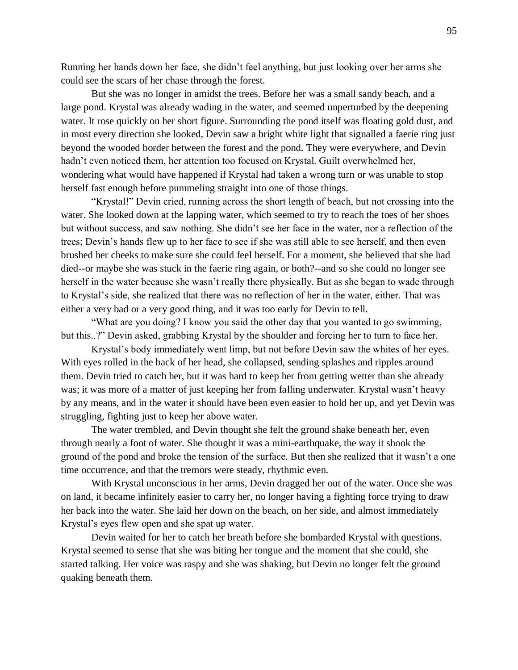Running her hands down her face, she didn't feel anything, but just looking over her arms she could see the scars of her chase through the forest.

But she was no longer in amidst the trees. Before her was a small sandy beach, and a large pond. Krystal was already wading in the water, and seemed unperturbed by the deepening water. It rose quickly on her short figure. Surrounding the pond itself was floating gold dust, and in most every direction she looked, Devin saw a bright white light that signalled a faerie ring just beyond the wooded border between the forest and the pond. They were everywhere, and Devin hadn't even noticed them, her attention too focused on Krystal. Guilt overwhelmed her, wondering what would have happened if Krystal had taken a wrong turn or was unable to stop herself fast enough before pummeling straight into one of those things.

"Krystal!" Devin cried, running across the short length of beach, but not crossing into the water. She looked down at the lapping water, which seemed to try to reach the toes of her shoes but without success, and saw nothing. She didn't see her face in the water, nor a reflection of the trees; Devin's hands flew up to her face to see if she was still able to see herself, and then even brushed her cheeks to make sure she could feel herself. For a moment, she believed that she had died--or maybe she was stuck in the faerie ring again, or both?--and so she could no longer see herself in the water because she wasn't really there physically. But as she began to wade through to Krystal's side, she realized that there was no reflection of her in the water, either. That was either a very bad or a very good thing, and it was too early for Devin to tell.

"What are you doing? I know you said the other day that you wanted to go swimming, but this..?" Devin asked, grabbing Krystal by the shoulder and forcing her to turn to face her.

Krystal's body immediately went limp, but not before Devin saw the whites of her eyes. With eyes rolled in the back of her head, she collapsed, sending splashes and ripples around them. Devin tried to catch her, but it was hard to keep her from getting wetter than she already was; it was more of a matter of just keeping her from falling underwater. Krystal wasn't heavy by any means, and in the water it should have been even easier to hold her up, and yet Devin was struggling, fighting just to keep her above water.

The water trembled, and Devin thought she felt the ground shake beneath her, even through nearly a foot of water. She thought it was a mini-earthquake, the way it shook the ground of the pond and broke the tension of the surface. But then she realized that it wasn't a one time occurrence, and that the tremors were steady, rhythmic even.

With Krystal unconscious in her arms, Devin dragged her out of the water. Once she was on land, it became infinitely easier to carry her, no longer having a fighting force trying to draw her back into the water. She laid her down on the beach, on her side, and almost immediately Krystal's eyes flew open and she spat up water.

Devin waited for her to catch her breath before she bombarded Krystal with questions. Krystal seemed to sense that she was biting her tongue and the moment that she could, she started talking. Her voice was raspy and she was shaking, but Devin no longer felt the ground quaking beneath them.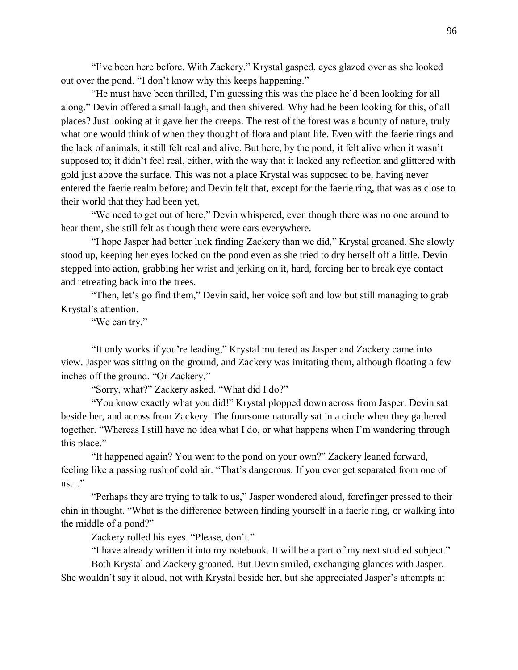"I've been here before. With Zackery." Krystal gasped, eyes glazed over as she looked out over the pond. "I don't know why this keeps happening."

"He must have been thrilled, I'm guessing this was the place he'd been looking for all along." Devin offered a small laugh, and then shivered. Why had he been looking for this, of all places? Just looking at it gave her the creeps. The rest of the forest was a bounty of nature, truly what one would think of when they thought of flora and plant life. Even with the faerie rings and the lack of animals, it still felt real and alive. But here, by the pond, it felt alive when it wasn't supposed to; it didn't feel real, either, with the way that it lacked any reflection and glittered with gold just above the surface. This was not a place Krystal was supposed to be, having never entered the faerie realm before; and Devin felt that, except for the faerie ring, that was as close to their world that they had been yet.

"We need to get out of here," Devin whispered, even though there was no one around to hear them, she still felt as though there were ears everywhere.

"I hope Jasper had better luck finding Zackery than we did," Krystal groaned. She slowly stood up, keeping her eyes locked on the pond even as she tried to dry herself off a little. Devin stepped into action, grabbing her wrist and jerking on it, hard, forcing her to break eye contact and retreating back into the trees.

"Then, let's go find them," Devin said, her voice soft and low but still managing to grab Krystal's attention.

"We can try."

"It only works if you're leading," Krystal muttered as Jasper and Zackery came into view. Jasper was sitting on the ground, and Zackery was imitating them, although floating a few inches off the ground. "Or Zackery."

"Sorry, what?" Zackery asked. "What did I do?"

"You know exactly what you did!" Krystal plopped down across from Jasper. Devin sat beside her, and across from Zackery. The foursome naturally sat in a circle when they gathered together. "Whereas I still have no idea what I do, or what happens when I'm wandering through this place."

"It happened again? You went to the pond on your own?" Zackery leaned forward, feeling like a passing rush of cold air. "That's dangerous. If you ever get separated from one of us…"

"Perhaps they are trying to talk to us," Jasper wondered aloud, forefinger pressed to their chin in thought. "What is the difference between finding yourself in a faerie ring, or walking into the middle of a pond?"

Zackery rolled his eyes. "Please, don't."

"I have already written it into my notebook. It will be a part of my next studied subject."

Both Krystal and Zackery groaned. But Devin smiled, exchanging glances with Jasper. She wouldn't say it aloud, not with Krystal beside her, but she appreciated Jasper's attempts at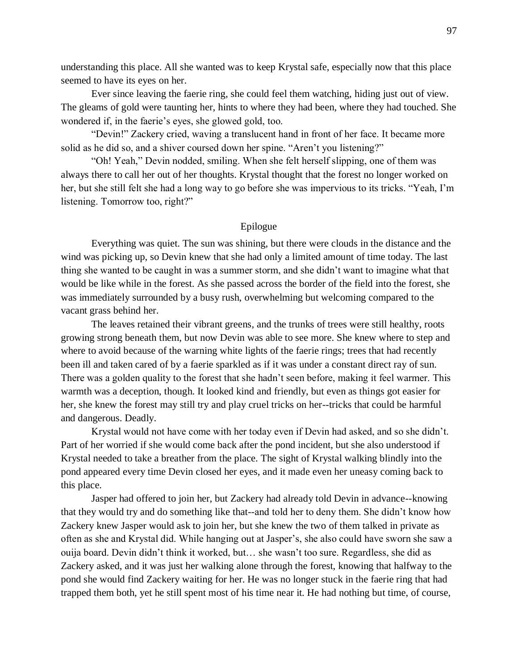understanding this place. All she wanted was to keep Krystal safe, especially now that this place seemed to have its eyes on her.

Ever since leaving the faerie ring, she could feel them watching, hiding just out of view. The gleams of gold were taunting her, hints to where they had been, where they had touched. She wondered if, in the faerie's eyes, she glowed gold, too.

"Devin!" Zackery cried, waving a translucent hand in front of her face. It became more solid as he did so, and a shiver coursed down her spine. "Aren't you listening?"

"Oh! Yeah," Devin nodded, smiling. When she felt herself slipping, one of them was always there to call her out of her thoughts. Krystal thought that the forest no longer worked on her, but she still felt she had a long way to go before she was impervious to its tricks. "Yeah, I'm listening. Tomorrow too, right?"

# Epilogue

Everything was quiet. The sun was shining, but there were clouds in the distance and the wind was picking up, so Devin knew that she had only a limited amount of time today. The last thing she wanted to be caught in was a summer storm, and she didn't want to imagine what that would be like while in the forest. As she passed across the border of the field into the forest, she was immediately surrounded by a busy rush, overwhelming but welcoming compared to the vacant grass behind her.

The leaves retained their vibrant greens, and the trunks of trees were still healthy, roots growing strong beneath them, but now Devin was able to see more. She knew where to step and where to avoid because of the warning white lights of the faerie rings; trees that had recently been ill and taken cared of by a faerie sparkled as if it was under a constant direct ray of sun. There was a golden quality to the forest that she hadn't seen before, making it feel warmer. This warmth was a deception, though. It looked kind and friendly, but even as things got easier for her, she knew the forest may still try and play cruel tricks on her--tricks that could be harmful and dangerous. Deadly.

Krystal would not have come with her today even if Devin had asked, and so she didn't. Part of her worried if she would come back after the pond incident, but she also understood if Krystal needed to take a breather from the place. The sight of Krystal walking blindly into the pond appeared every time Devin closed her eyes, and it made even her uneasy coming back to this place.

Jasper had offered to join her, but Zackery had already told Devin in advance--knowing that they would try and do something like that--and told her to deny them. She didn't know how Zackery knew Jasper would ask to join her, but she knew the two of them talked in private as often as she and Krystal did. While hanging out at Jasper's, she also could have sworn she saw a ouija board. Devin didn't think it worked, but… she wasn't too sure. Regardless, she did as Zackery asked, and it was just her walking alone through the forest, knowing that halfway to the pond she would find Zackery waiting for her. He was no longer stuck in the faerie ring that had trapped them both, yet he still spent most of his time near it. He had nothing but time, of course,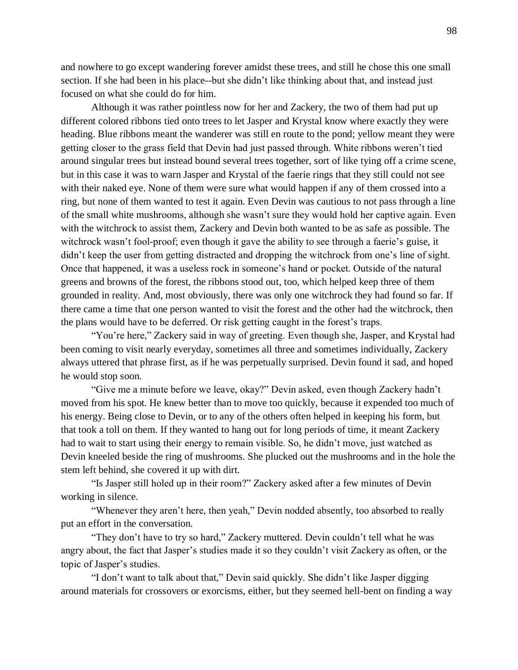and nowhere to go except wandering forever amidst these trees, and still he chose this one small section. If she had been in his place--but she didn't like thinking about that, and instead just focused on what she could do for him.

Although it was rather pointless now for her and Zackery, the two of them had put up different colored ribbons tied onto trees to let Jasper and Krystal know where exactly they were heading. Blue ribbons meant the wanderer was still en route to the pond; yellow meant they were getting closer to the grass field that Devin had just passed through. White ribbons weren't tied around singular trees but instead bound several trees together, sort of like tying off a crime scene, but in this case it was to warn Jasper and Krystal of the faerie rings that they still could not see with their naked eye. None of them were sure what would happen if any of them crossed into a ring, but none of them wanted to test it again. Even Devin was cautious to not pass through a line of the small white mushrooms, although she wasn't sure they would hold her captive again. Even with the witchrock to assist them, Zackery and Devin both wanted to be as safe as possible. The witchrock wasn't fool-proof; even though it gave the ability to see through a faerie's guise, it didn't keep the user from getting distracted and dropping the witchrock from one's line of sight. Once that happened, it was a useless rock in someone's hand or pocket. Outside of the natural greens and browns of the forest, the ribbons stood out, too, which helped keep three of them grounded in reality. And, most obviously, there was only one witchrock they had found so far. If there came a time that one person wanted to visit the forest and the other had the witchrock, then the plans would have to be deferred. Or risk getting caught in the forest's traps.

"You're here," Zackery said in way of greeting. Even though she, Jasper, and Krystal had been coming to visit nearly everyday, sometimes all three and sometimes individually, Zackery always uttered that phrase first, as if he was perpetually surprised. Devin found it sad, and hoped he would stop soon.

"Give me a minute before we leave, okay?" Devin asked, even though Zackery hadn't moved from his spot. He knew better than to move too quickly, because it expended too much of his energy. Being close to Devin, or to any of the others often helped in keeping his form, but that took a toll on them. If they wanted to hang out for long periods of time, it meant Zackery had to wait to start using their energy to remain visible. So, he didn't move, just watched as Devin kneeled beside the ring of mushrooms. She plucked out the mushrooms and in the hole the stem left behind, she covered it up with dirt.

"Is Jasper still holed up in their room?" Zackery asked after a few minutes of Devin working in silence.

"Whenever they aren't here, then yeah," Devin nodded absently, too absorbed to really put an effort in the conversation.

"They don't have to try so hard," Zackery muttered. Devin couldn't tell what he was angry about, the fact that Jasper's studies made it so they couldn't visit Zackery as often, or the topic of Jasper's studies.

"I don't want to talk about that," Devin said quickly. She didn't like Jasper digging around materials for crossovers or exorcisms, either, but they seemed hell-bent on finding a way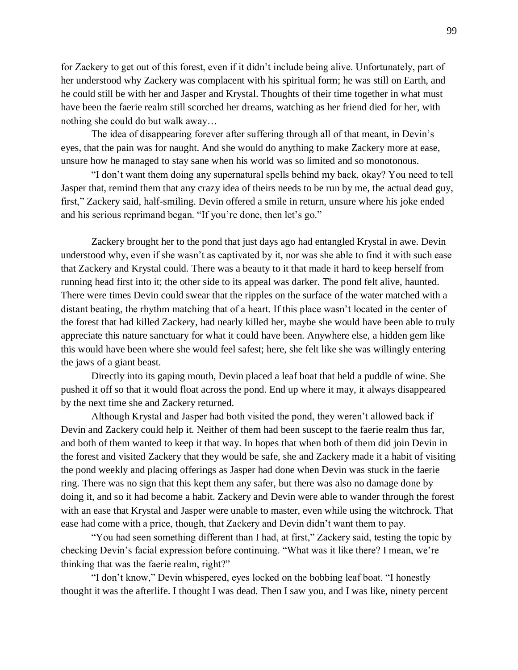for Zackery to get out of this forest, even if it didn't include being alive. Unfortunately, part of her understood why Zackery was complacent with his spiritual form; he was still on Earth, and he could still be with her and Jasper and Krystal. Thoughts of their time together in what must have been the faerie realm still scorched her dreams, watching as her friend died for her, with nothing she could do but walk away…

The idea of disappearing forever after suffering through all of that meant, in Devin's eyes, that the pain was for naught. And she would do anything to make Zackery more at ease, unsure how he managed to stay sane when his world was so limited and so monotonous.

"I don't want them doing any supernatural spells behind my back, okay? You need to tell Jasper that, remind them that any crazy idea of theirs needs to be run by me, the actual dead guy, first," Zackery said, half-smiling. Devin offered a smile in return, unsure where his joke ended and his serious reprimand began. "If you're done, then let's go."

Zackery brought her to the pond that just days ago had entangled Krystal in awe. Devin understood why, even if she wasn't as captivated by it, nor was she able to find it with such ease that Zackery and Krystal could. There was a beauty to it that made it hard to keep herself from running head first into it; the other side to its appeal was darker. The pond felt alive, haunted. There were times Devin could swear that the ripples on the surface of the water matched with a distant beating, the rhythm matching that of a heart. If this place wasn't located in the center of the forest that had killed Zackery, had nearly killed her, maybe she would have been able to truly appreciate this nature sanctuary for what it could have been. Anywhere else, a hidden gem like this would have been where she would feel safest; here, she felt like she was willingly entering the jaws of a giant beast.

Directly into its gaping mouth, Devin placed a leaf boat that held a puddle of wine. She pushed it off so that it would float across the pond. End up where it may, it always disappeared by the next time she and Zackery returned.

Although Krystal and Jasper had both visited the pond, they weren't allowed back if Devin and Zackery could help it. Neither of them had been suscept to the faerie realm thus far, and both of them wanted to keep it that way. In hopes that when both of them did join Devin in the forest and visited Zackery that they would be safe, she and Zackery made it a habit of visiting the pond weekly and placing offerings as Jasper had done when Devin was stuck in the faerie ring. There was no sign that this kept them any safer, but there was also no damage done by doing it, and so it had become a habit. Zackery and Devin were able to wander through the forest with an ease that Krystal and Jasper were unable to master, even while using the witchrock. That ease had come with a price, though, that Zackery and Devin didn't want them to pay.

"You had seen something different than I had, at first," Zackery said, testing the topic by checking Devin's facial expression before continuing. "What was it like there? I mean, we're thinking that was the faerie realm, right?"

"I don't know," Devin whispered, eyes locked on the bobbing leaf boat. "I honestly thought it was the afterlife. I thought I was dead. Then I saw you, and I was like, ninety percent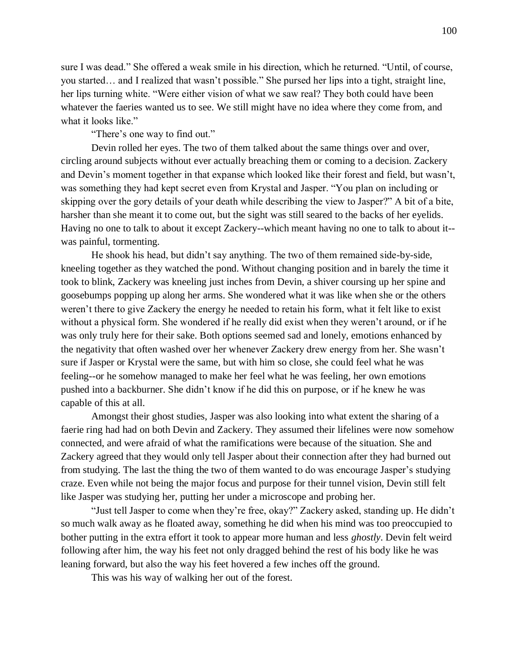sure I was dead." She offered a weak smile in his direction, which he returned. "Until, of course, you started… and I realized that wasn't possible." She pursed her lips into a tight, straight line, her lips turning white. "Were either vision of what we saw real? They both could have been whatever the faeries wanted us to see. We still might have no idea where they come from, and what it looks like."

"There's one way to find out."

Devin rolled her eyes. The two of them talked about the same things over and over, circling around subjects without ever actually breaching them or coming to a decision. Zackery and Devin's moment together in that expanse which looked like their forest and field, but wasn't, was something they had kept secret even from Krystal and Jasper. "You plan on including or skipping over the gory details of your death while describing the view to Jasper?" A bit of a bite, harsher than she meant it to come out, but the sight was still seared to the backs of her eyelids. Having no one to talk to about it except Zackery--which meant having no one to talk to about it- was painful, tormenting.

He shook his head, but didn't say anything. The two of them remained side-by-side, kneeling together as they watched the pond. Without changing position and in barely the time it took to blink, Zackery was kneeling just inches from Devin, a shiver coursing up her spine and goosebumps popping up along her arms. She wondered what it was like when she or the others weren't there to give Zackery the energy he needed to retain his form, what it felt like to exist without a physical form. She wondered if he really did exist when they weren't around, or if he was only truly here for their sake. Both options seemed sad and lonely, emotions enhanced by the negativity that often washed over her whenever Zackery drew energy from her. She wasn't sure if Jasper or Krystal were the same, but with him so close, she could feel what he was feeling--or he somehow managed to make her feel what he was feeling, her own emotions pushed into a backburner. She didn't know if he did this on purpose, or if he knew he was capable of this at all.

Amongst their ghost studies, Jasper was also looking into what extent the sharing of a faerie ring had had on both Devin and Zackery. They assumed their lifelines were now somehow connected, and were afraid of what the ramifications were because of the situation. She and Zackery agreed that they would only tell Jasper about their connection after they had burned out from studying. The last the thing the two of them wanted to do was encourage Jasper's studying craze. Even while not being the major focus and purpose for their tunnel vision, Devin still felt like Jasper was studying her, putting her under a microscope and probing her.

"Just tell Jasper to come when they're free, okay?" Zackery asked, standing up. He didn't so much walk away as he floated away, something he did when his mind was too preoccupied to bother putting in the extra effort it took to appear more human and less *ghostly*. Devin felt weird following after him, the way his feet not only dragged behind the rest of his body like he was leaning forward, but also the way his feet hovered a few inches off the ground.

This was his way of walking her out of the forest.